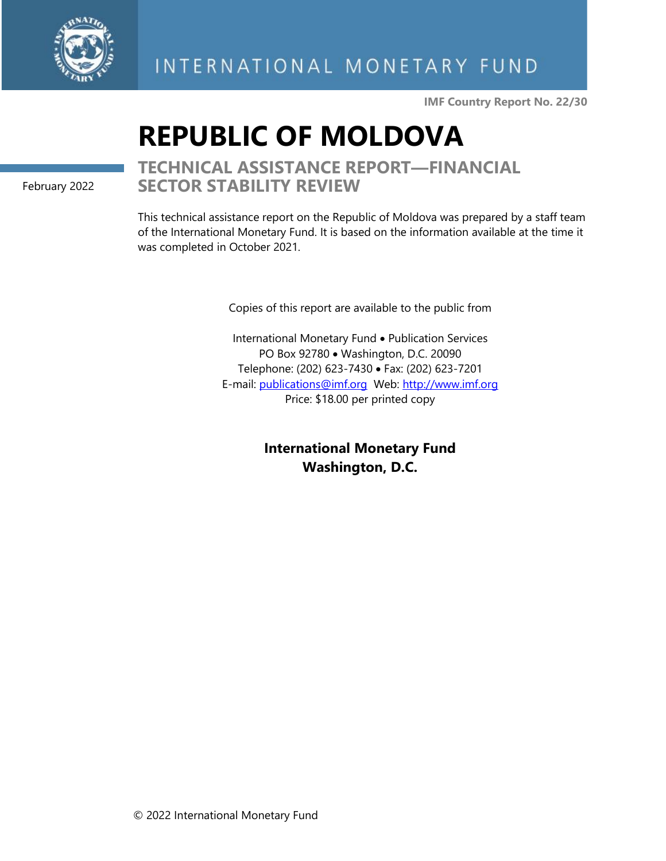

**IMF Country Report No. 22/30**

# **REPUBLIC OF MOLDOVA**

February 2022

# **TECHNICAL ASSISTANCE REPORT—FINANCIAL SECTOR STABILITY REVIEW**

This technical assistance report on the Republic of Moldova was prepared by a staff team of the International Monetary Fund. It is based on the information available at the time it was completed in October 2021.

Copies of this report are available to the public from

International Monetary Fund • Publication Services PO Box 92780 • Washington, D.C. 20090 Telephone: (202) 623-7430 • Fax: (202) 623-7201 E-mail: [publications@imf.org](mailto:publications@imf.org) Web: [http://www.imf.org](http://www.imf.org/) Price: \$18.00 per printed copy

> **International Monetary Fund Washington, D.C.**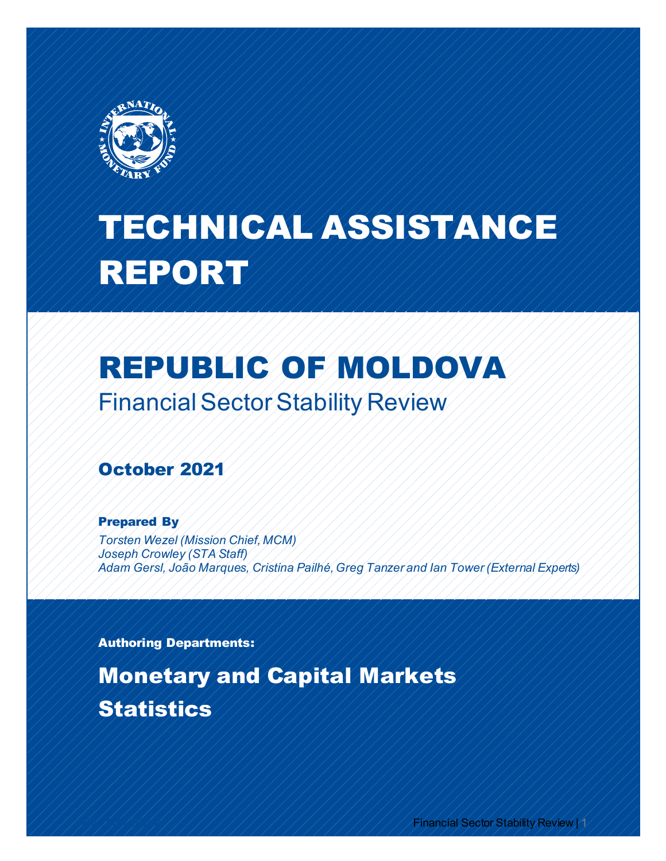

# TECHNICAL ASSISTANCE REPORT

# REPUBLIC OF MOLDOVA Financial Sector Stability Review

# October 2021

#### Prepared By

*Torsten Wezel (Mission Chief, MCM) Joseph Crowley (STA Staff) Adam Gersl, João Marques, Cristina Pailhé, Greg Tanzer and Ian Tower (External Experts)* 

Authoring Departments:

Monetary and Capital Markets **Statistics** 

**Financial Sector Stability Review | 1**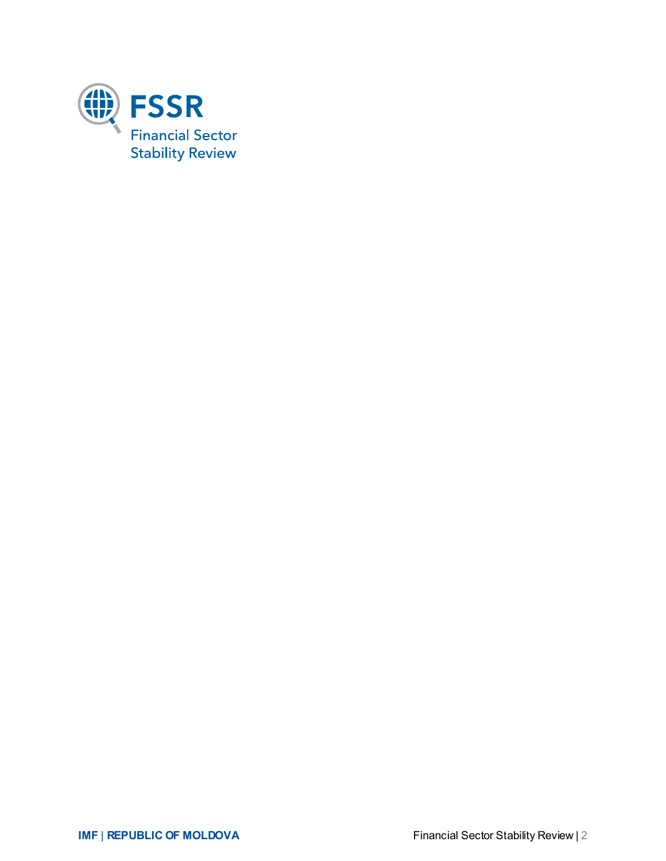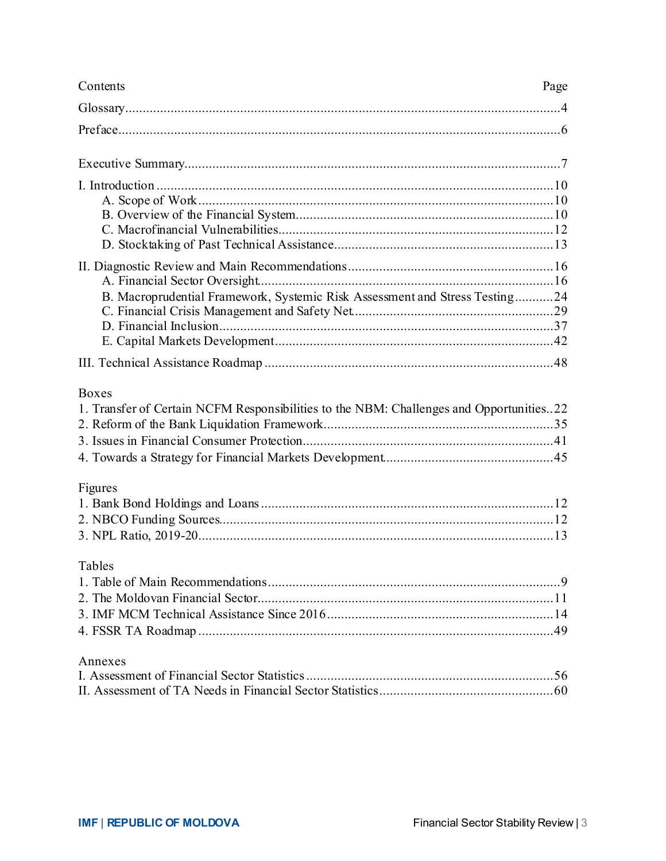| Contents                                                                                                | Page |
|---------------------------------------------------------------------------------------------------------|------|
|                                                                                                         |      |
|                                                                                                         |      |
|                                                                                                         |      |
|                                                                                                         |      |
| B. Macroprudential Framework, Systemic Risk Assessment and Stress Testing24                             |      |
|                                                                                                         |      |
| <b>Boxes</b><br>1. Transfer of Certain NCFM Responsibilities to the NBM: Challenges and Opportunities22 |      |
| Figures                                                                                                 |      |
| Tables                                                                                                  |      |
| Annexes                                                                                                 |      |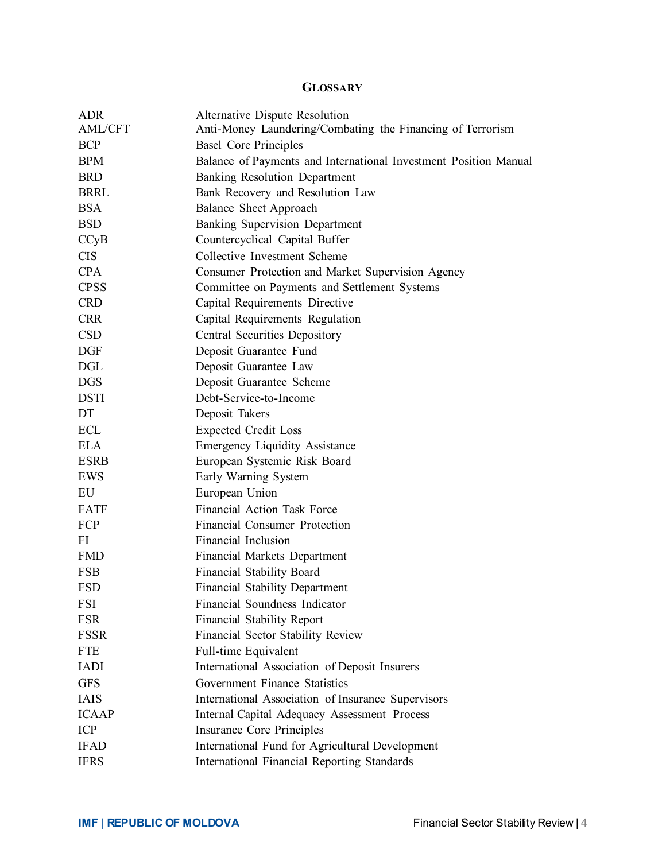#### **GLOSSARY**

| <b>ADR</b><br><b>AML/CFT</b> | Alternative Dispute Resolution<br>Anti-Money Laundering/Combating the Financing of Terrorism |
|------------------------------|----------------------------------------------------------------------------------------------|
| <b>BCP</b>                   | <b>Basel Core Principles</b>                                                                 |
| <b>BPM</b>                   | Balance of Payments and International Investment Position Manual                             |
| <b>BRD</b>                   | Banking Resolution Department                                                                |
| BRRL                         | Bank Recovery and Resolution Law                                                             |
| <b>BSA</b>                   | Balance Sheet Approach                                                                       |
| <b>BSD</b>                   | <b>Banking Supervision Department</b>                                                        |
| CCyB                         | Countercyclical Capital Buffer                                                               |
| <b>CIS</b>                   | Collective Investment Scheme                                                                 |
| CPA                          | Consumer Protection and Market Supervision Agency                                            |
| <b>CPSS</b>                  | Committee on Payments and Settlement Systems                                                 |
| <b>CRD</b>                   | Capital Requirements Directive                                                               |
| <b>CRR</b>                   | Capital Requirements Regulation                                                              |
| <b>CSD</b>                   | Central Securities Depository                                                                |
| <b>DGF</b>                   | Deposit Guarantee Fund                                                                       |
| <b>DGL</b>                   | Deposit Guarantee Law                                                                        |
| <b>DGS</b>                   | Deposit Guarantee Scheme                                                                     |
| <b>DSTI</b>                  | Debt-Service-to-Income                                                                       |
| DT                           | Deposit Takers                                                                               |
| ECL                          | <b>Expected Credit Loss</b>                                                                  |
| <b>ELA</b>                   | <b>Emergency Liquidity Assistance</b>                                                        |
| <b>ESRB</b>                  | European Systemic Risk Board                                                                 |
| EWS                          | Early Warning System                                                                         |
| EU                           | European Union                                                                               |
| FATF                         | Financial Action Task Force                                                                  |
| FCP                          | Financial Consumer Protection                                                                |
| FI                           | Financial Inclusion                                                                          |
| <b>FMD</b>                   | <b>Financial Markets Department</b>                                                          |
| <b>FSB</b>                   | Financial Stability Board                                                                    |
| <b>FSD</b>                   | <b>Financial Stability Department</b>                                                        |
| FSI                          | Financial Soundness Indicator                                                                |
| <b>FSR</b>                   | <b>Financial Stability Report</b>                                                            |
| <b>FSSR</b>                  | Financial Sector Stability Review                                                            |
| <b>FTE</b>                   | Full-time Equivalent                                                                         |
| <b>IADI</b>                  | International Association of Deposit Insurers                                                |
| <b>GFS</b>                   | Government Finance Statistics                                                                |
| <b>IAIS</b>                  | International Association of Insurance Supervisors                                           |
| <b>ICAAP</b>                 | Internal Capital Adequacy Assessment Process                                                 |
| <b>ICP</b>                   | Insurance Core Principles                                                                    |
| <b>IFAD</b>                  | International Fund for Agricultural Development                                              |
| <b>IFRS</b>                  | International Financial Reporting Standards                                                  |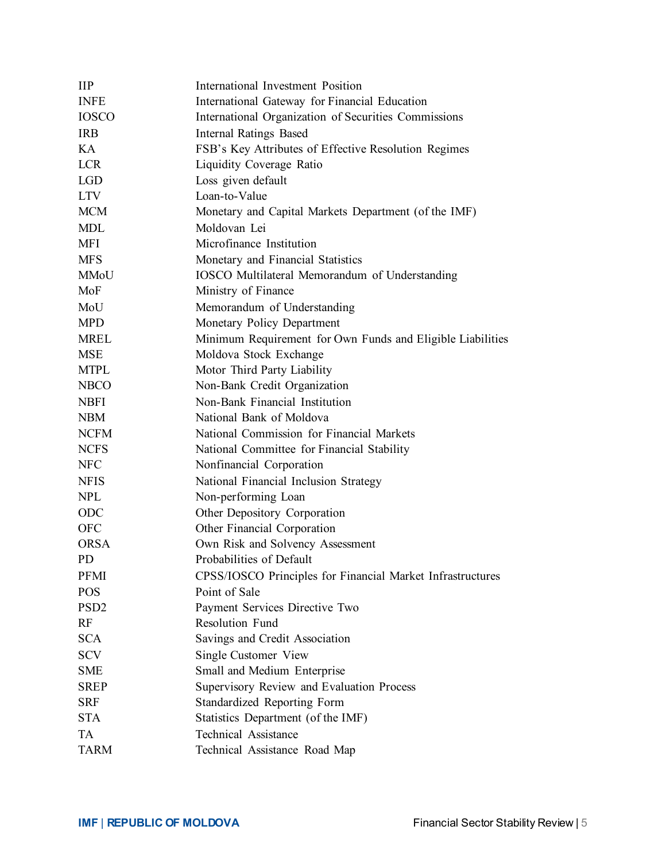| $\mathbf{H}$     | International Investment Position                          |
|------------------|------------------------------------------------------------|
| <b>INFE</b>      | International Gateway for Financial Education              |
| <b>IOSCO</b>     | International Organization of Securities Commissions       |
| <b>IRB</b>       | <b>Internal Ratings Based</b>                              |
| KA.              | FSB's Key Attributes of Effective Resolution Regimes       |
| <b>LCR</b>       | Liquidity Coverage Ratio                                   |
| <b>LGD</b>       | Loss given default                                         |
| <b>LTV</b>       | Loan-to-Value                                              |
| <b>MCM</b>       | Monetary and Capital Markets Department (of the IMF)       |
| <b>MDL</b>       | Moldovan Lei                                               |
| MFI              | Microfinance Institution                                   |
| <b>MFS</b>       | Monetary and Financial Statistics                          |
| MMoU             | IOSCO Multilateral Memorandum of Understanding             |
| MoF              | Ministry of Finance                                        |
| MoU              | Memorandum of Understanding                                |
| <b>MPD</b>       | Monetary Policy Department                                 |
| <b>MREL</b>      | Minimum Requirement for Own Funds and Eligible Liabilities |
| <b>MSE</b>       | Moldova Stock Exchange                                     |
| <b>MTPL</b>      | Motor Third Party Liability                                |
| <b>NBCO</b>      | Non-Bank Credit Organization                               |
| <b>NBFI</b>      | Non-Bank Financial Institution                             |
| <b>NBM</b>       | National Bank of Moldova                                   |
| <b>NCFM</b>      | National Commission for Financial Markets                  |
| <b>NCFS</b>      | National Committee for Financial Stability                 |
| NFC              | Nonfinancial Corporation                                   |
| <b>NFIS</b>      | National Financial Inclusion Strategy                      |
| <b>NPL</b>       | Non-performing Loan                                        |
| ODC              | Other Depository Corporation                               |
| <b>OFC</b>       | Other Financial Corporation                                |
| <b>ORSA</b>      | Own Risk and Solvency Assessment                           |
| PD.              | Probabilities of Default                                   |
| PFMI             | CPSS/IOSCO Principles for Financial Market Infrastructures |
| <b>POS</b>       | Point of Sale                                              |
| PSD <sub>2</sub> | Payment Services Directive Two                             |
| RF               | Resolution Fund                                            |
| <b>SCA</b>       | Savings and Credit Association                             |
| <b>SCV</b>       | Single Customer View                                       |
| <b>SME</b>       | Small and Medium Enterprise                                |
| <b>SREP</b>      | Supervisory Review and Evaluation Process                  |
| <b>SRF</b>       | Standardized Reporting Form                                |
| <b>STA</b>       | Statistics Department (of the IMF)                         |
| TA               | <b>Technical Assistance</b>                                |
| <b>TARM</b>      | Technical Assistance Road Map                              |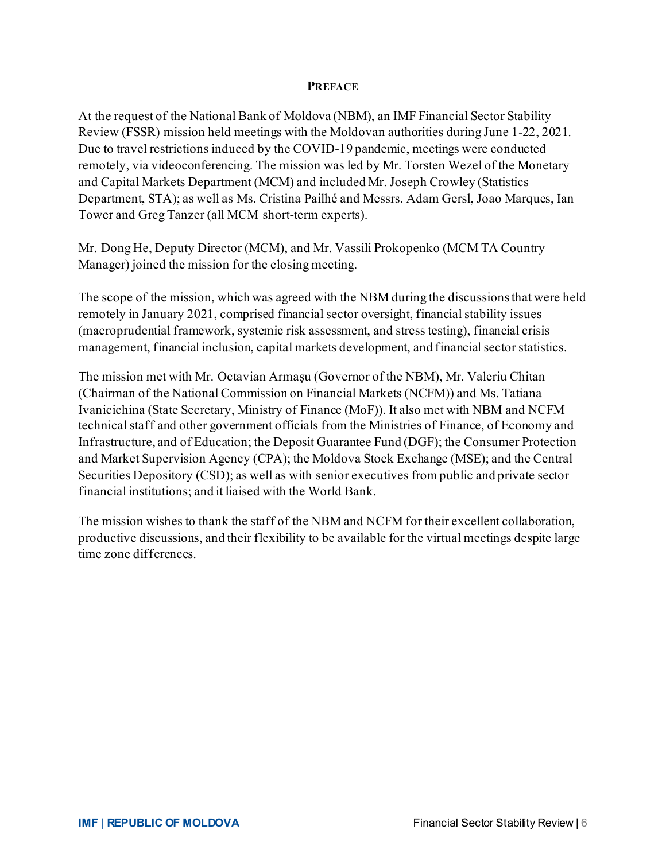#### **PREFACE**

At the request of the National Bank of Moldova (NBM), an IMF Financial Sector Stability Review (FSSR) mission held meetings with the Moldovan authorities during June 1-22, 2021. Due to travel restrictions induced by the COVID-19 pandemic, meetings were conducted remotely, via videoconferencing. The mission was led by Mr. Torsten Wezel of the Monetary and Capital Markets Department (MCM) and included Mr. Joseph Crowley (Statistics Department, STA); as well as Ms. Cristina Pailhé and Messrs. Adam Gersl, Joao Marques, Ian Tower and Greg Tanzer (all MCM short-term experts).

Mr. Dong He, Deputy Director (MCM), and Mr. Vassili Prokopenko (MCM TA Country Manager) joined the mission for the closing meeting.

The scope of the mission, which was agreed with the NBM during the discussions that were held remotely in January 2021, comprised financial sector oversight, financial stability issues (macroprudential framework, systemic risk assessment, and stress testing), financial crisis management, financial inclusion, capital markets development, and financial sector statistics.

The mission met with Mr. Octavian Armaşu (Governor of the NBM), Mr. Valeriu Chitan (Chairman of the National Commission on Financial Markets (NCFM)) and Ms. Tatiana Ivanicichina (State Secretary, Ministry of Finance (MoF)). It also met with NBM and NCFM technical staff and other government officials from the Ministries of Finance, of Economy and Infrastructure, and of Education; the Deposit Guarantee Fund (DGF); the Consumer Protection and Market Supervision Agency (CPA); the Moldova Stock Exchange (MSE); and the Central Securities Depository (CSD); as well as with senior executives from public and private sector financial institutions; and it liaised with the World Bank.

The mission wishes to thank the staff of the NBM and NCFM for their excellent collaboration, productive discussions, and their flexibility to be available for the virtual meetings despite large time zone differences.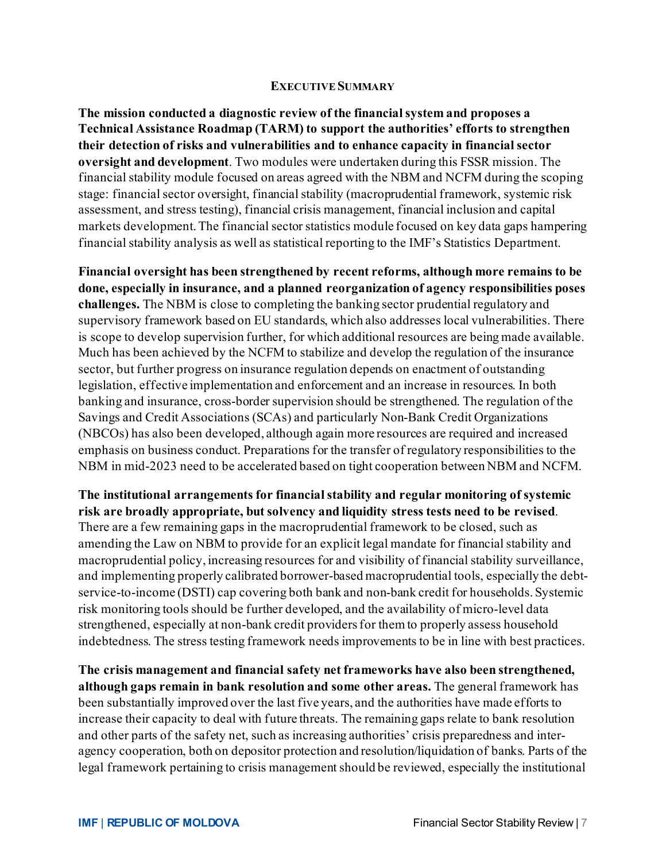#### **EXECUTIVE SUMMARY**

**The mission conducted a diagnostic review of the financial system and proposes a Technical Assistance Roadmap (TARM) to support the authorities' efforts to strengthen their detection of risks and vulnerabilities and to enhance capacity in financial sector oversight and development**. Two modules were undertaken during this FSSR mission. The financial stability module focused on areas agreed with the NBM and NCFM during the scoping stage: financial sector oversight, financial stability (macroprudential framework, systemic risk assessment, and stress testing), financial crisis management, financial inclusion and capital markets development. The financial sector statistics module focused on key data gaps hampering financial stability analysis as well as statistical reporting to the IMF's Statistics Department.

**Financial oversight has been strengthened by recent reforms, although more remains to be done, especially in insurance, and a planned reorganization of agency responsibilities poses challenges.** The NBM is close to completing the banking sector prudential regulatory and supervisory framework based on EU standards, which also addresses local vulnerabilities. There is scope to develop supervision further, for which additional resources are being made available. Much has been achieved by the NCFM to stabilize and develop the regulation of the insurance sector, but further progress on insurance regulation depends on enactment of outstanding legislation, effective implementation and enforcement and an increase in resources. In both banking and insurance, cross-border supervision should be strengthened. The regulation of the Savings and Credit Associations (SCAs) and particularly Non-Bank Credit Organizations (NBCOs) has also been developed, although again more resources are required and increased emphasis on business conduct. Preparations for the transfer of regulatory responsibilities to the NBM in mid-2023 need to be accelerated based on tight cooperation between NBM and NCFM.

#### **The institutional arrangements for financial stability and regular monitoring of systemic risk are broadly appropriate, but solvency and liquidity stress tests need to be revised**. There are a few remaining gaps in the macroprudential framework to be closed, such as amending the Law on NBM to provide for an explicit legal mandate for financial stability and macroprudential policy, increasing resources for and visibility of financial stability surveillance, and implementing properly calibrated borrower-based macroprudential tools, especially the debtservice-to-income (DSTI) cap covering both bank and non-bank credit for households. Systemic risk monitoring tools should be further developed, and the availability of micro-level data strengthened, especially at non-bank credit providers for them to properly assess household indebtedness. The stress testing framework needs improvements to be in line with best practices.

**The crisis management and financial safety net frameworks have also been strengthened, although gaps remain in bank resolution and some other areas.** The general framework has been substantially improved over the last five years, and the authorities have made efforts to increase their capacity to deal with future threats. The remaining gaps relate to bank resolution and other parts of the safety net, such as increasing authorities' crisis preparedness and interagency cooperation, both on depositor protection and resolution/liquidation of banks. Parts of the legal framework pertaining to crisis management should be reviewed, especially the institutional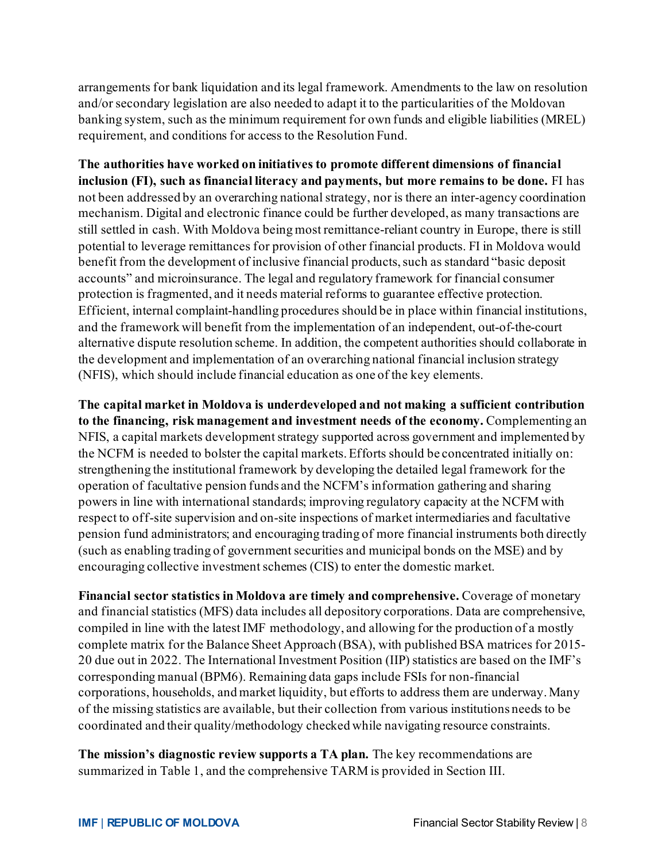arrangements for bank liquidation and its legal framework. Amendments to the law on resolution and/or secondary legislation are also needed to adapt it to the particularities of the Moldovan banking system, such as the minimum requirement for own funds and eligible liabilities (MREL) requirement, and conditions for access to the Resolution Fund.

**The authorities have worked on initiatives to promote different dimensions of financial inclusion (FI), such as financial literacy and payments, but more remains to be done.** FI has not been addressed by an overarching national strategy, nor is there an inter-agency coordination mechanism. Digital and electronic finance could be further developed, as many transactions are still settled in cash. With Moldova being most remittance-reliant country in Europe, there is still potential to leverage remittances for provision of other financial products. FI in Moldova would benefit from the development of inclusive financial products, such as standard "basic deposit accounts" and microinsurance. The legal and regulatory framework for financial consumer protection is fragmented, and it needs material reforms to guarantee effective protection. Efficient, internal complaint-handling procedures should be in place within financial institutions, and the framework will benefit from the implementation of an independent, out-of-the-court alternative dispute resolution scheme. In addition, the competent authorities should collaborate in the development and implementation of an overarching national financial inclusion strategy (NFIS), which should include financial education as one of the key elements.

**The capital market in Moldova is underdeveloped and not making a sufficient contribution to the financing, risk management and investment needs of the economy.** Complementing an NFIS, a capital markets development strategy supported across government and implemented by the NCFM is needed to bolster the capital markets. Efforts should be concentrated initially on: strengthening the institutional framework by developing the detailed legal framework for the operation of facultative pension funds and the NCFM's information gathering and sharing powers in line with international standards; improving regulatory capacity at the NCFM with respect to off-site supervision and on-site inspections of market intermediaries and facultative pension fund administrators; and encouraging trading of more financial instruments both directly (such as enabling trading of government securities and municipal bonds on the MSE) and by encouraging collective investment schemes (CIS) to enter the domestic market.

**Financial sector statistics in Moldova are timely and comprehensive.** Coverage of monetary and financial statistics (MFS) data includes all depository corporations. Data are comprehensive, compiled in line with the latest IMF methodology, and allowing for the production of a mostly complete matrix for the Balance Sheet Approach (BSA), with published BSA matrices for 2015- 20 due out in 2022. The International Investment Position (IIP) statistics are based on the IMF's corresponding manual (BPM6). Remaining data gaps include FSIs for non-financial corporations, households, and market liquidity, but efforts to address them are underway. Many of the missing statistics are available, but their collection from various institutions needs to be coordinated and their quality/methodology checked while navigating resource constraints.

**The mission's diagnostic review supports a TA plan.** The key recommendations are summarized in Table 1, and the comprehensive TARM is provided in Section III.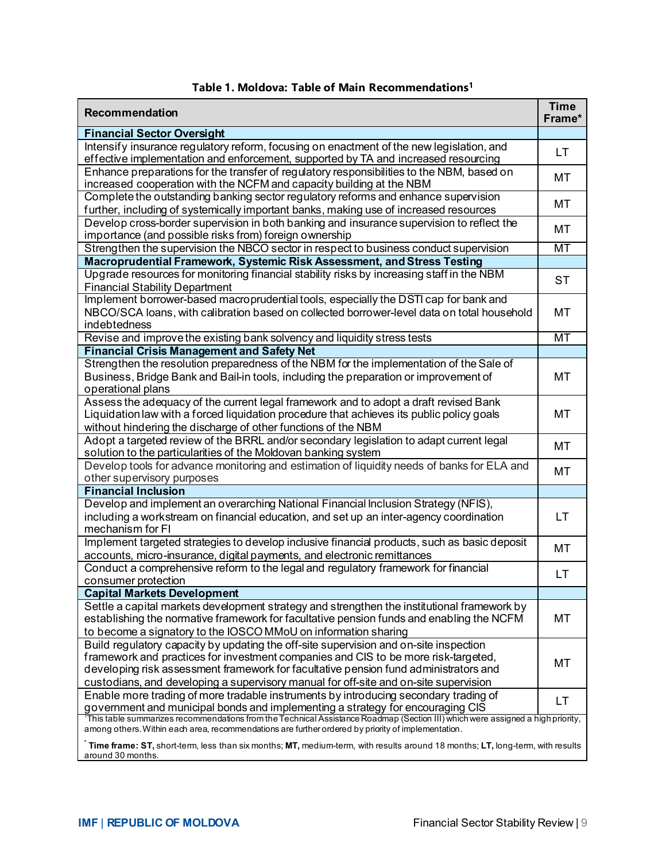| Recommendation                                                                                                                                                               | <b>Time</b><br>Frame* |
|------------------------------------------------------------------------------------------------------------------------------------------------------------------------------|-----------------------|
| <b>Financial Sector Oversight</b>                                                                                                                                            |                       |
| Intensify insurance regulatory reform, focusing on enactment of the new legislation, and                                                                                     | LT                    |
| effective implementation and enforcement, supported by TA and increased resourcing                                                                                           |                       |
| Enhance preparations for the transfer of regulatory responsibilities to the NBM, based on                                                                                    | MT                    |
| increased cooperation with the NCFM and capacity building at the NBM                                                                                                         |                       |
| Complete the outstanding banking sector regulatory reforms and enhance supervision                                                                                           | MT                    |
| further, including of systemically important banks, making use of increased resources                                                                                        |                       |
| Develop cross-border supervision in both banking and insurance supervision to reflect the                                                                                    | МT                    |
| importance (and possible risks from) foreign ownership                                                                                                                       |                       |
| Strengthen the supervision the NBCO sector in respect to business conduct supervision                                                                                        | MT                    |
| Macroprudential Framework, Systemic Risk Assessment, and Stress Testing<br>Upgrade resources for monitoring financial stability risks by increasing staff in the NBM         |                       |
| <b>Financial Stability Department</b>                                                                                                                                        | ST                    |
| Implement borrower-based macroprudential tools, especially the DSTI cap for bank and                                                                                         |                       |
| NBCO/SCA loans, with calibration based on collected borrower-level data on total household                                                                                   | MT                    |
| indebtedness                                                                                                                                                                 |                       |
| Revise and improve the existing bank solvency and liquidity stress tests                                                                                                     | <b>MT</b>             |
| <b>Financial Crisis Management and Safety Net</b>                                                                                                                            |                       |
| Strengthen the resolution preparedness of the NBM for the implementation of the Sale of                                                                                      |                       |
| Business, Bridge Bank and Bail-in tools, including the preparation or improvement of                                                                                         | MT                    |
| operational plans                                                                                                                                                            |                       |
| Assess the adequacy of the current legal framework and to adopt a draft revised Bank                                                                                         |                       |
| Liquidation law with a forced liquidation procedure that achieves its public policy goals                                                                                    | MT                    |
| without hindering the discharge of other functions of the NBM                                                                                                                |                       |
| Adopt a targeted review of the BRRL and/or secondary legislation to adapt current legal                                                                                      | MT                    |
| solution to the particularities of the Moldovan banking system                                                                                                               |                       |
| Develop tools for advance monitoring and estimation of liquidity needs of banks for ELA and<br>other supervisory purposes                                                    | MT                    |
| <b>Financial Inclusion</b>                                                                                                                                                   |                       |
| Develop and implement an overarching National Financial Inclusion Strategy (NFIS),                                                                                           |                       |
| including a workstream on financial education, and set up an inter-agency coordination                                                                                       | LT                    |
| mechanism for FI                                                                                                                                                             |                       |
| Implement targeted strategies to develop inclusive financial products, such as basic deposit                                                                                 |                       |
| accounts, micro-insurance, digital payments, and electronic remittances                                                                                                      | МT                    |
| Conduct a comprehensive reform to the legal and regulatory framework for financial                                                                                           |                       |
| consumer protection                                                                                                                                                          | LT                    |
| <b>Capital Markets Development</b>                                                                                                                                           |                       |
| Settle a capital markets development strategy and strengthen the institutional framework by                                                                                  |                       |
| establishing the normative framework for facultative pension funds and enabling the NCFM                                                                                     | MT                    |
| to become a signatory to the IOSCO MMoU on information sharing                                                                                                               |                       |
| Build regulatory capacity by updating the off-site supervision and on-site inspection                                                                                        |                       |
| framework and practices for investment companies and CIS to be more risk-targeted,                                                                                           | MT                    |
| developing risk assessment framework for facultative pension fund administrators and                                                                                         |                       |
| custodians, and developing a supervisory manual for off-site and on-site supervision<br>Enable more trading of more tradable instruments by introducing secondary trading of |                       |
| government and municipal bonds and implementing a strategy for encouraging CIS                                                                                               | LT                    |
| This table summarizes recommendations from the Technical Assistance Roadmap (Section III) which were assigned a high priority,                                               |                       |
| among others. Within each area, recommendations are further ordered by priority of implementation.                                                                           |                       |
| Time frame: ST, short-term, less than six months; MT, medium-term, with results around 18 months; LT, long-term, with results                                                |                       |

#### **Table 1. Moldova: Table of Main Recommendations1**

around 30 months.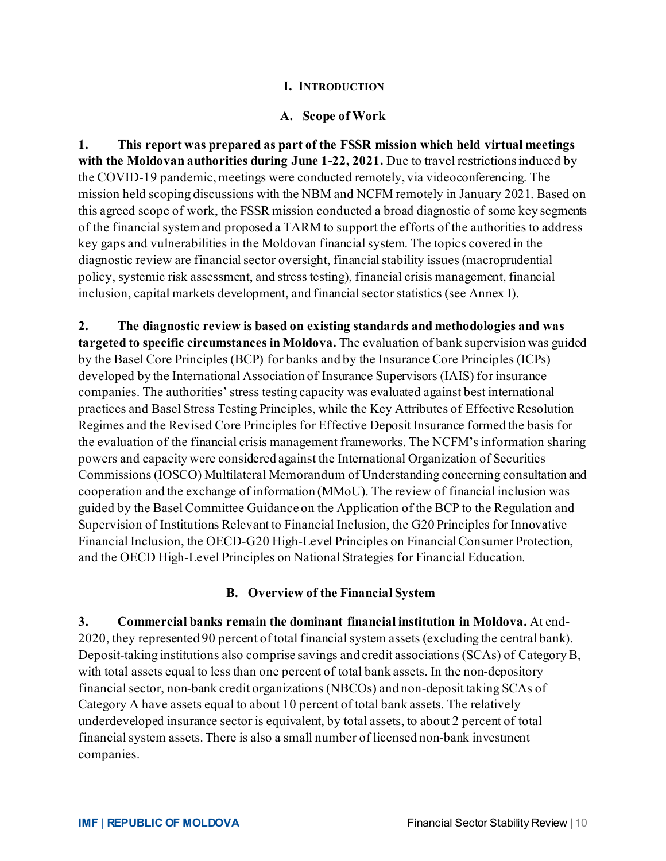#### **I. INTRODUCTION**

#### **A. Scope of Work**

**1. This report was prepared as part of the FSSR mission which held virtual meetings with the Moldovan authorities during June 1-22, 2021.** Due to travel restrictions induced by the COVID-19 pandemic, meetings were conducted remotely, via videoconferencing. The mission held scoping discussions with the NBM and NCFM remotely in January 2021. Based on this agreed scope of work, the FSSR mission conducted a broad diagnostic of some key segments of the financial system and proposed a TARM to support the efforts of the authorities to address key gaps and vulnerabilities in the Moldovan financial system. The topics covered in the diagnostic review are financial sector oversight, financial stability issues (macroprudential policy, systemic risk assessment, and stress testing), financial crisis management, financial inclusion, capital markets development, and financial sector statistics (see Annex I).

**2. The diagnostic review is based on existing standards and methodologies and was targeted to specific circumstances in Moldova.** The evaluation of bank supervision was guided by the Basel Core Principles (BCP) for banks and by the Insurance Core Principles (ICPs) developed by the International Association of Insurance Supervisors (IAIS) for insurance companies. The authorities' stress testing capacity was evaluated against best international practices and Basel Stress Testing Principles, while the Key Attributes of Effective Resolution Regimes and the Revised Core Principles for Effective Deposit Insurance formed the basis for the evaluation of the financial crisis management frameworks. The NCFM's information sharing powers and capacity were considered against the International Organization of Securities Commissions (IOSCO) Multilateral Memorandum of Understanding concerning consultation and cooperation and the exchange of information (MMoU). The review of financial inclusion was guided by the Basel Committee Guidance on the Application of the BCP to the Regulation and Supervision of Institutions Relevant to Financial Inclusion, the G20 Principles for Innovative Financial Inclusion, the OECD-G20 High-Level Principles on Financial Consumer Protection, and the OECD High-Level Principles on National Strategies for Financial Education.

#### **B. Overview of the Financial System**

**3. Commercial banks remain the dominant financial institution in Moldova.** At end-2020, they represented 90 percent of total financial system assets (excluding the central bank). Deposit-taking institutions also comprise savings and credit associations (SCAs) of Category B, with total assets equal to less than one percent of total bank assets. In the non-depository financial sector, non-bank credit organizations (NBCOs) and non-deposit taking SCAs of Category A have assets equal to about 10 percent of total bank assets. The relatively underdeveloped insurance sector is equivalent, by total assets, to about 2 percent of total financial system assets. There is also a small number of licensed non-bank investment companies.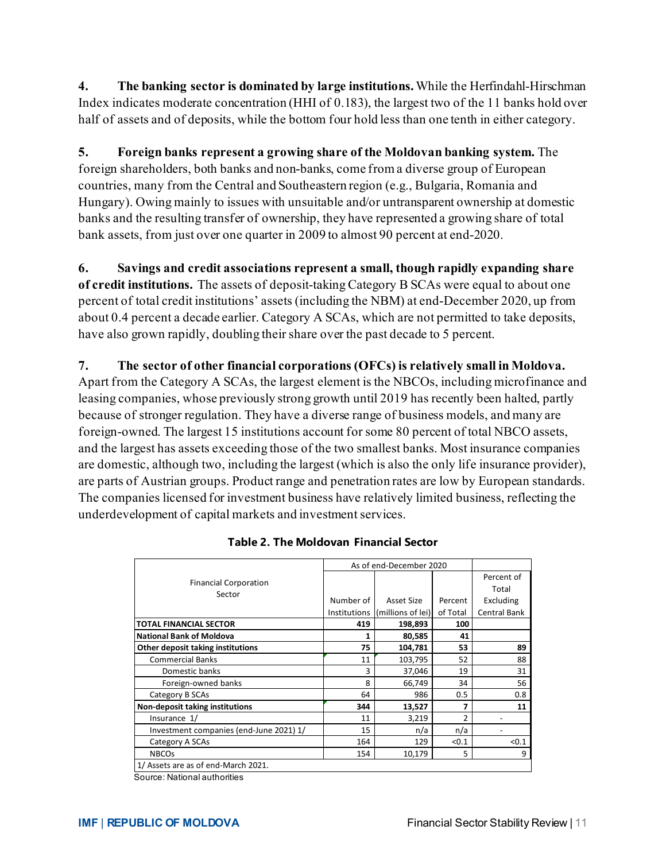**4. The banking sector is dominated by large institutions.**While the Herfindahl-Hirschman Index indicates moderate concentration (HHI of 0.183), the largest two of the 11 banks hold over half of assets and of deposits, while the bottom four hold less than one tenth in either category.

**5. Foreign banks represent a growing share of the Moldovan banking system.** The foreign shareholders, both banks and non-banks, come from a diverse group of European countries, many from the Central and Southeastern region (e.g., Bulgaria, Romania and Hungary). Owing mainly to issues with unsuitable and/or untransparent ownership at domestic banks and the resulting transfer of ownership, they have represented a growing share of total bank assets, from just over one quarter in 2009 to almost 90 percent at end-2020.

**6. Savings and credit associations represent a small, though rapidly expanding share of credit institutions.** The assets of deposit-taking Category B SCAs were equal to about one percent of total credit institutions' assets (including the NBM) at end-December 2020, up from about 0.4 percent a decade earlier. Category A SCAs, which are not permitted to take deposits, have also grown rapidly, doubling their share over the past decade to 5 percent.

#### **7. The sector of other financial corporations (OFCs) is relatively small in Moldova.**

Apart from the Category A SCAs, the largest element is the NBCOs, including microfinance and leasing companies, whose previously strong growth until 2019 has recently been halted, partly because of stronger regulation. They have a diverse range of business models, and many are foreign-owned. The largest 15 institutions account for some 80 percent of total NBCO assets, and the largest has assets exceeding those of the two smallest banks. Most insurance companies are domestic, although two, including the largest (which is also the only life insurance provider), are parts of Austrian groups. Product range and penetration rates are low by European standards. The companies licensed for investment business have relatively limited business, reflecting the underdevelopment of capital markets and investment services.

|                                         | As of end-December 2020 |                   |          |                     |
|-----------------------------------------|-------------------------|-------------------|----------|---------------------|
| <b>Financial Corporation</b>            |                         |                   |          | Percent of          |
| Sector                                  |                         |                   |          | Total               |
|                                         | Number of               | Asset Size        | Percent  | Excluding           |
|                                         | Institutions            | (millions of lei) | of Total | <b>Central Bank</b> |
| <b>TOTAL FINANCIAL SECTOR</b>           | 419                     | 198,893           | 100      |                     |
| <b>National Bank of Moldova</b>         | 1                       | 80,585            | 41       |                     |
| Other deposit taking institutions       | 75                      | 104,781           | 53       | 89                  |
| <b>Commercial Banks</b>                 | 11                      | 103,795           | 52       | 88                  |
| Domestic banks                          | 3                       | 37,046            | 19       | 31                  |
| Foreign-owned banks                     | 8                       | 66,749            | 34       | 56                  |
| Category B SCAs                         | 64                      | 986               | 0.5      | 0.8                 |
| <b>Non-deposit taking institutions</b>  | 344                     | 13,527            | 7        | 11                  |
| Insurance 1/                            | 11                      | 3,219             | 2        |                     |
| Investment companies (end-June 2021) 1/ | 15                      | n/a               | n/a      |                     |
| Category A SCAs                         | 164                     | 129               | < 0.1    | < 0.1               |
| <b>NBCOs</b>                            | 154                     | 10,179            | 5        | 9                   |
| 1/ Assets are as of end-March 2021.     |                         |                   |          |                     |

#### **Table 2. The Moldovan Financial Sector**

Source: National authorities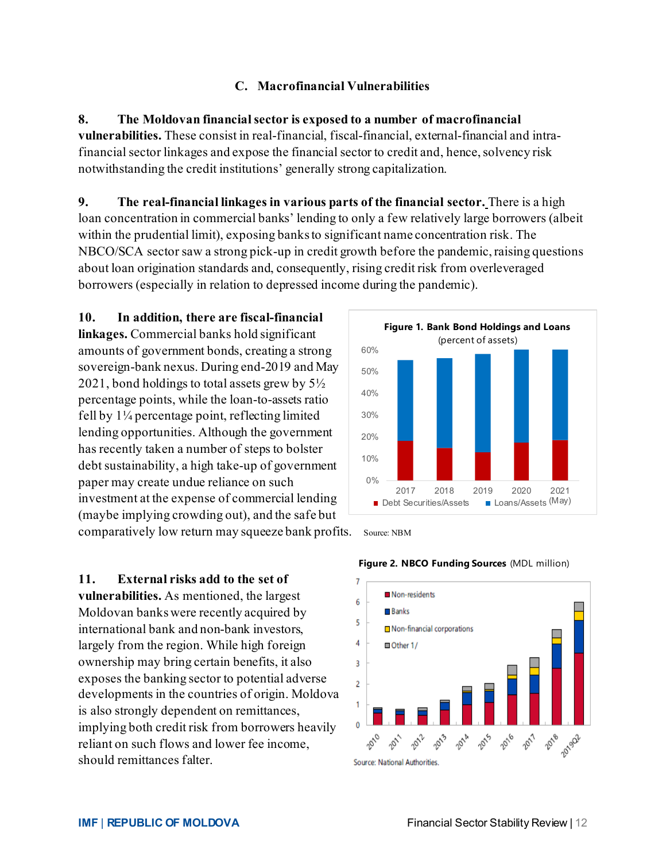#### **C. Macrofinancial Vulnerabilities**

**8. The Moldovan financial sector is exposed to a number of macrofinancial vulnerabilities.** These consist in real-financial, fiscal-financial, external-financial and intrafinancial sector linkages and expose the financial sector to credit and, hence, solvency risk notwithstanding the credit institutions' generally strong capitalization.

**9. The real-financial linkages in various parts of the financial sector.** There is a high loan concentration in commercial banks' lending to only a few relatively large borrowers (albeit within the prudential limit), exposing banks to significant name concentration risk. The NBCO/SCA sector saw a strong pick-up in credit growth before the pandemic, raising questions about loan origination standards and, consequently, rising credit risk from overleveraged borrowers (especially in relation to depressed income during the pandemic).

**10. In addition, there are fiscal-financial linkages.** Commercial banks hold significant amounts of government bonds, creating a strong sovereign-bank nexus. During end-2019 and May 2021, bond holdings to total assets grew by 5½ percentage points, while the loan-to-assets ratio fell by 1¼ percentage point, reflecting limited lending opportunities. Although the government has recently taken a number of steps to bolster debt sustainability, a high take-up of government paper may create undue reliance on such investment at the expense of commercial lending (maybe implying crowding out), and the safe but comparatively low return may squeeze bank profits. Source: NBM

**11. External risks add to the set of vulnerabilities.** As mentioned, the largest Moldovan banks were recently acquired by international bank and non-bank investors, largely from the region. While high foreign ownership may bring certain benefits, it also exposes the banking sector to potential adverse developments in the countries of origin. Moldova is also strongly dependent on remittances, implying both credit risk from borrowers heavily reliant on such flows and lower fee income, should remittances falter.





#### **Figure 2. NBCO Funding Sources** (MDL million)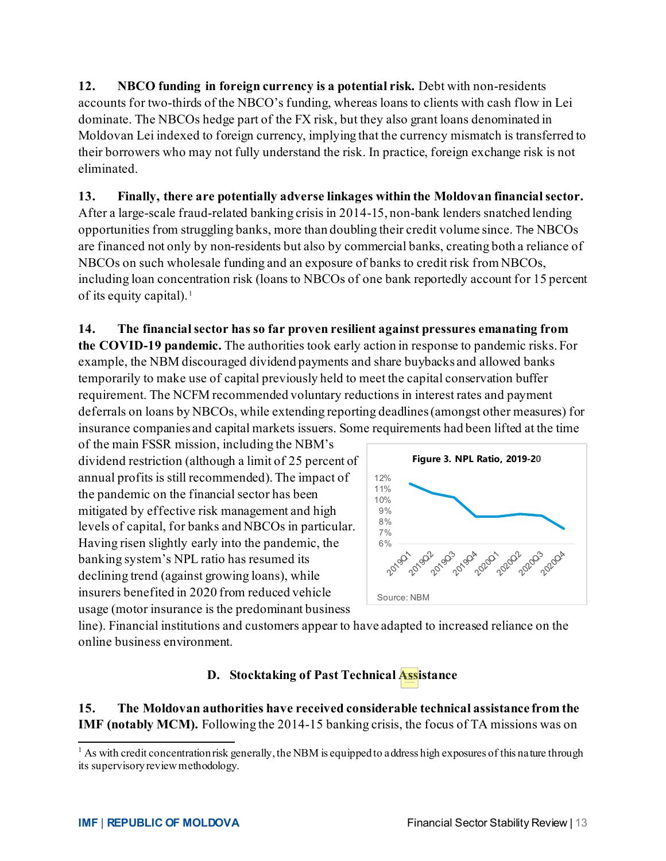**12. NBCO funding in foreign currency is a potential risk.** Debt with non-residents accounts for two-thirds of the NBCO's funding, whereas loans to clients with cash flow in Lei dominate. The NBCOs hedge part of the FX risk, but they also grant loans denominated in Moldovan Lei indexed to foreign currency, implying that the currency mismatch is transferred to their borrowers who may not fully understand the risk. In practice, foreign exchange risk is not eliminated.

**13. Finally, there are potentially adverse linkages within the Moldovan financial sector.** After a large-scale fraud-related banking crisis in 2014-15, non-bank lenders snatched lending opportunities from struggling banks, more than doubling their credit volume since. The NBCOs are financed not only by non-residents but also by commercial banks, creating both a reliance of NBCOs on such wholesale funding and an exposure of banks to credit risk from NBCOs, including loan concentration risk (loans to NBCOs of one bank reportedly account for 15 percent of its equity capital).<sup>[1](#page-13-0)</sup>

**14. The financialsector has so far proven resilient against pressures emanating from the COVID-19 pandemic.** The authorities took early action in response to pandemic risks. For example, the NBM discouraged dividend payments and share buybacks and allowed banks temporarily to make use of capital previously held to meet the capital conservation buffer requirement. The NCFM recommended voluntary reductions in interest rates and payment deferrals on loans by NBCOs, while extending reporting deadlines (amongst other measures) for insurance companies and capital markets issuers. Some requirements had been lifted at the time

of the main FSSR mission, including the NBM's dividend restriction (although a limit of 25 percent of annual profits is still recommended). The impact of the pandemic on the financial sector has been mitigated by effective risk management and high levels of capital, for banks and NBCOs in particular. Having risen slightly early into the pandemic, the banking system's NPL ratio has resumed its declining trend (against growing loans), while insurers benefited in 2020 from reduced vehicle usage (motor insurance is the predominant business



line). Financial institutions and customers appear to have adapted to increased reliance on the online business environment.

# **D. Stocktaking of Past Technical Assistance**

**15. The Moldovan authorities have received considerable technical assistance from the IMF (notably MCM).** Following the 2014-15 banking crisis, the focus of TA missions was on

<span id="page-13-0"></span> $<sup>1</sup>$  As with credit concentration risk generally, the NBM is equipped to address high exposures of this nature through</sup> its supervisory review methodology.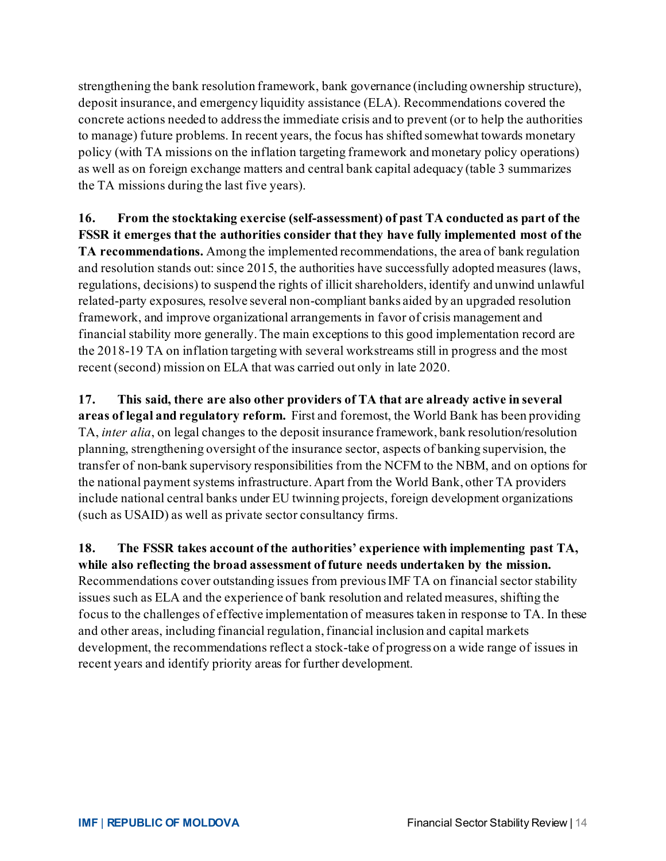strengthening the bank resolution framework, bank governance (including ownership structure), deposit insurance, and emergency liquidity assistance (ELA). Recommendations covered the concrete actions needed to address the immediate crisis and to prevent (or to help the authorities to manage) future problems. In recent years, the focus has shifted somewhat towards monetary policy (with TA missions on the inflation targeting framework and monetary policy operations) as well as on foreign exchange matters and central bank capital adequacy (table 3 summarizes the TA missions during the last five years).

**16. From the stocktaking exercise (self-assessment) of past TA conducted as part of the FSSR it emerges that the authorities consider that they have fully implemented most of the TA recommendations.** Among the implemented recommendations, the area of bank regulation and resolution stands out: since 2015, the authorities have successfully adopted measures (laws, regulations, decisions) to suspend the rights of illicit shareholders, identify and unwind unlawful related-party exposures, resolve several non-compliant banks aided by an upgraded resolution framework, and improve organizational arrangements in favor of crisis management and financial stability more generally. The main exceptions to this good implementation record are the 2018-19 TA on inflation targeting with several workstreams still in progress and the most recent (second) mission on ELA that was carried out only in late 2020.

**17. This said, there are also other providers of TA that are already active in several areas of legal and regulatory reform.** First and foremost, the World Bank has been providing TA, *inter alia*, on legal changes to the deposit insurance framework, bank resolution/resolution planning, strengthening oversight of the insurance sector, aspects of banking supervision, the transfer of non-bank supervisory responsibilities from the NCFM to the NBM, and on options for the national payment systems infrastructure. Apart from the World Bank, other TA providers include national central banks under EU twinning projects, foreign development organizations (such as USAID) as well as private sector consultancy firms.

**18. The FSSR takes account of the authorities' experience with implementing past TA, while also reflecting the broad assessment of future needs undertaken by the mission.**  Recommendations cover outstanding issues from previous IMF TA on financial sector stability issues such as ELA and the experience of bank resolution and related measures, shifting the focus to the challenges of effective implementation of measures taken in response to TA. In these and other areas, including financial regulation, financial inclusion and capital markets development, the recommendations reflect a stock-take of progress on a wide range of issues in recent years and identify priority areas for further development.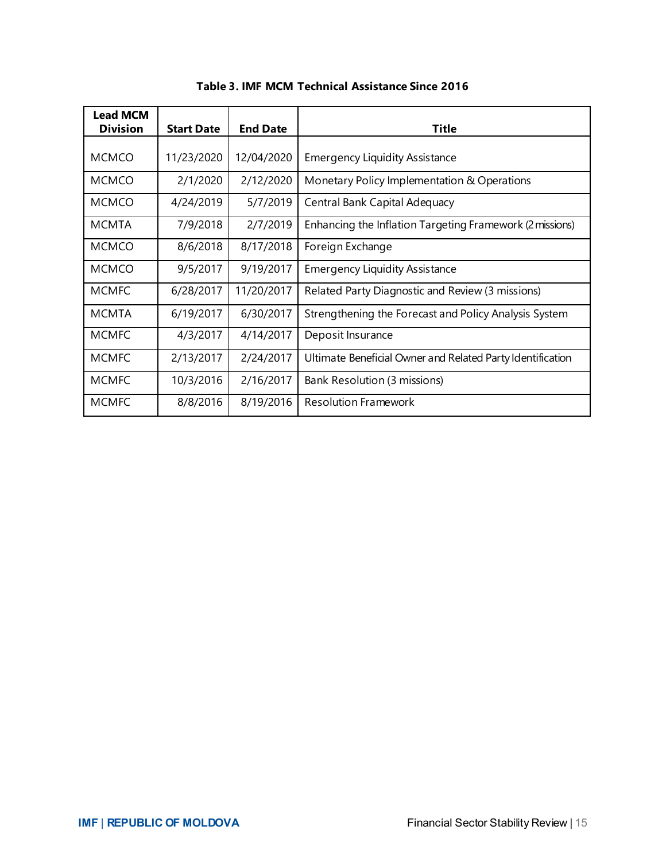| <b>Lead MCM</b> |                   |                 |                                                            |
|-----------------|-------------------|-----------------|------------------------------------------------------------|
| <b>Division</b> | <b>Start Date</b> | <b>End Date</b> | <b>Title</b>                                               |
|                 |                   |                 |                                                            |
| <b>MCMCO</b>    | 11/23/2020        | 12/04/2020      | <b>Emergency Liquidity Assistance</b>                      |
| <b>MCMCO</b>    | 2/1/2020          | 2/12/2020       | Monetary Policy Implementation & Operations                |
| <b>MCMCO</b>    | 4/24/2019         | 5/7/2019        | Central Bank Capital Adequacy                              |
| <b>MCMTA</b>    | 7/9/2018          | 2/7/2019        | Enhancing the Inflation Targeting Framework (2 missions)   |
| <b>MCMCO</b>    | 8/6/2018          | 8/17/2018       | Foreign Exchange                                           |
| <b>MCMCO</b>    | 9/5/2017          | 9/19/2017       | <b>Emergency Liquidity Assistance</b>                      |
| <b>MCMFC</b>    | 6/28/2017         | 11/20/2017      | Related Party Diagnostic and Review (3 missions)           |
| <b>MCMTA</b>    | 6/19/2017         | 6/30/2017       | Strengthening the Forecast and Policy Analysis System      |
| <b>MCMFC</b>    | 4/3/2017          | 4/14/2017       | Deposit Insurance                                          |
| <b>MCMFC</b>    | 2/13/2017         | 2/24/2017       | Ultimate Beneficial Owner and Related Party Identification |
| <b>MCMFC</b>    | 10/3/2016         | 2/16/2017       | Bank Resolution (3 missions)                               |
| <b>MCMFC</b>    | 8/8/2016          | 8/19/2016       | <b>Resolution Framework</b>                                |

**Table 3. IMF MCM Technical Assistance Since 2016**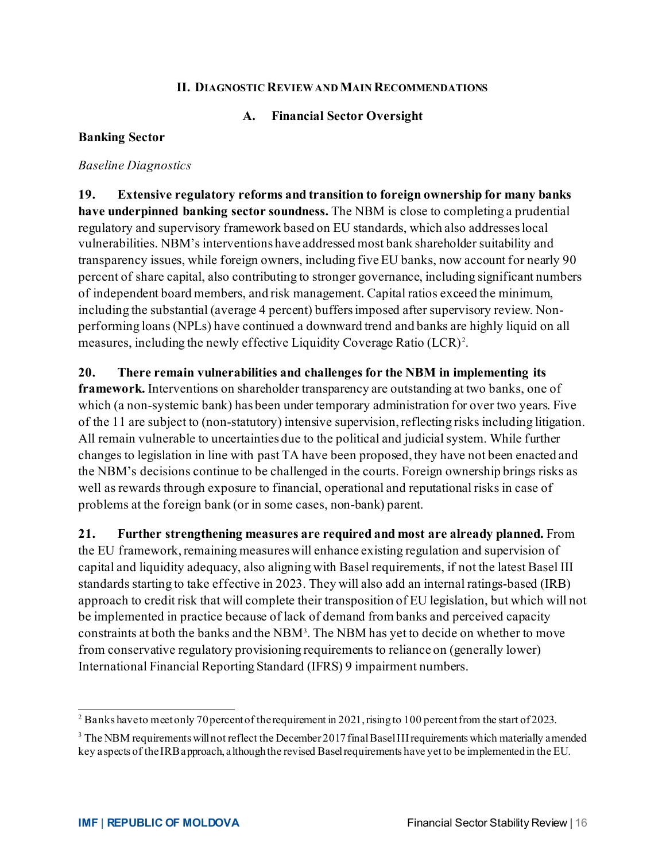#### **II. DIAGNOSTIC REVIEW AND MAIN RECOMMENDATIONS**

#### **A. Financial Sector Oversight**

#### **Banking Sector**

#### *Baseline Diagnostics*

**19. Extensive regulatory reforms and transition to foreign ownership for many banks have underpinned banking sector soundness.** The NBM is close to completing a prudential regulatory and supervisory framework based on EU standards, which also addresses local vulnerabilities. NBM's interventions have addressed most bank shareholder suitability and transparency issues, while foreign owners, including five EU banks, now account for nearly 90 percent of share capital, also contributing to stronger governance, including significant numbers of independent board members, and risk management. Capital ratios exceed the minimum, including the substantial (average 4 percent) buffers imposed after supervisory review. Nonperforming loans (NPLs) have continued a downward trend and banks are highly liquid on all measures, including the newly effective Liquidity Coverage Ratio (LCR)<sup>[2](#page-16-0)</sup>.

**20. There remain vulnerabilities and challenges for the NBM in implementing its framework.** Interventions on shareholder transparency are outstanding at two banks, one of which (a non-systemic bank) has been under temporary administration for over two years. Five of the 11 are subject to (non-statutory) intensive supervision, reflecting risks including litigation. All remain vulnerable to uncertainties due to the political and judicial system. While further changes to legislation in line with past TA have been proposed, they have not been enacted and the NBM's decisions continue to be challenged in the courts. Foreign ownership brings risks as well as rewards through exposure to financial, operational and reputational risks in case of problems at the foreign bank (or in some cases, non-bank) parent.

**21. Further strengthening measures are required and most are already planned.** From the EU framework, remaining measures will enhance existing regulation and supervision of capital and liquidity adequacy, also aligning with Basel requirements, if not the latest Basel III standards starting to take effective in 2023. They will also add an internal ratings-based (IRB) approach to credit risk that will complete their transposition of EU legislation, but which will not be implemented in practice because of lack of demand from banks and perceived capacity constraints at both the banks and the NBM<sup>[3](#page-16-1)</sup>. The NBM has yet to decide on whether to move from conservative regulatory provisioning requirements to reliance on (generally lower) International Financial Reporting Standard (IFRS) 9 impairment numbers.

<span id="page-16-0"></span><sup>&</sup>lt;sup>2</sup> Banks have to meet only 70 percent of the requirement in 2021, rising to 100 percent from the start of 2023.

<span id="page-16-1"></span><sup>&</sup>lt;sup>3</sup> The NBM requirements will not reflect the December 2017 final Basel III requirements which materially amended key aspects of the IRB approach, although the revised Basel requirements have yet to be implemented in the EU.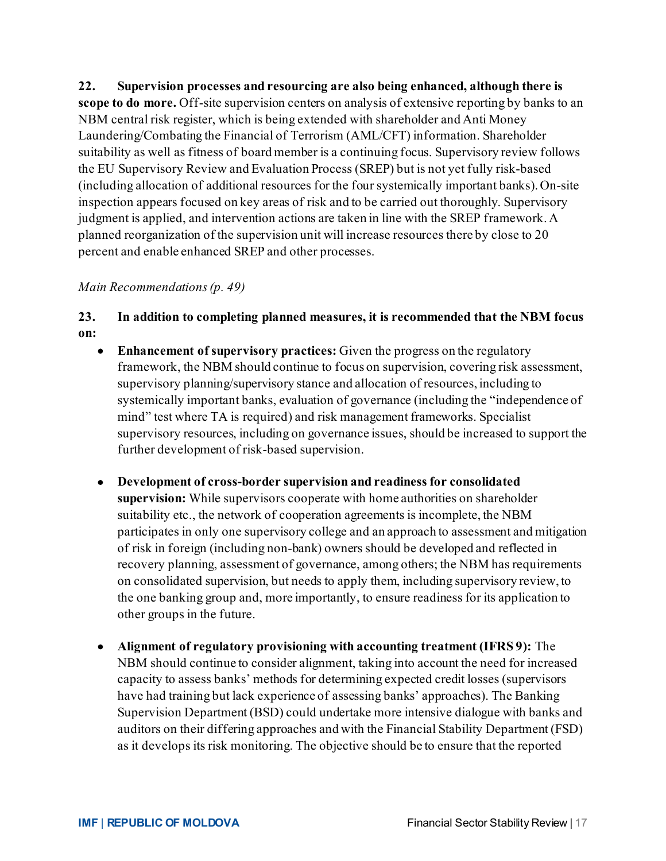**22. Supervision processes and resourcing are also being enhanced, although there is scope to do more.** Off-site supervision centers on analysis of extensive reporting by banks to an NBM central risk register, which is being extended with shareholder and Anti Money Laundering/Combating the Financial of Terrorism (AML/CFT) information. Shareholder suitability as well as fitness of board member is a continuing focus. Supervisory review follows the EU Supervisory Review and Evaluation Process (SREP) but is not yet fully risk-based (including allocation of additional resources for the four systemically important banks). On-site inspection appears focused on key areas of risk and to be carried out thoroughly. Supervisory judgment is applied, and intervention actions are taken in line with the SREP framework. A planned reorganization of the supervision unit will increase resources there by close to 20 percent and enable enhanced SREP and other processes.

#### *Main Recommendations(p. 49)*

#### **23. In addition to completing planned measures, it is recommended that the NBM focus on:**

- **Enhancement of supervisory practices:** Given the progress on the regulatory framework, the NBM should continue to focus on supervision, covering risk assessment, supervisory planning/supervisory stance and allocation of resources, including to systemically important banks, evaluation of governance (including the "independence of mind" test where TA is required) and risk management frameworks. Specialist supervisory resources, including on governance issues, should be increased to support the further development of risk-based supervision.
- **Development of cross-border supervision and readiness for consolidated supervision:** While supervisors cooperate with home authorities on shareholder suitability etc., the network of cooperation agreements is incomplete, the NBM participates in only one supervisory college and an approach to assessment and mitigation of risk in foreign (including non-bank) owners should be developed and reflected in recovery planning, assessment of governance, among others; the NBM has requirements on consolidated supervision, but needs to apply them, including supervisory review, to the one banking group and, more importantly, to ensure readiness for its application to other groups in the future.
- **Alignment of regulatory provisioning with accounting treatment (IFRS 9):** The NBM should continue to consider alignment, taking into account the need for increased capacity to assess banks' methods for determining expected credit losses (supervisors have had training but lack experience of assessing banks' approaches). The Banking Supervision Department (BSD) could undertake more intensive dialogue with banks and auditors on their differing approaches and with the Financial Stability Department (FSD) as it develops its risk monitoring. The objective should be to ensure that the reported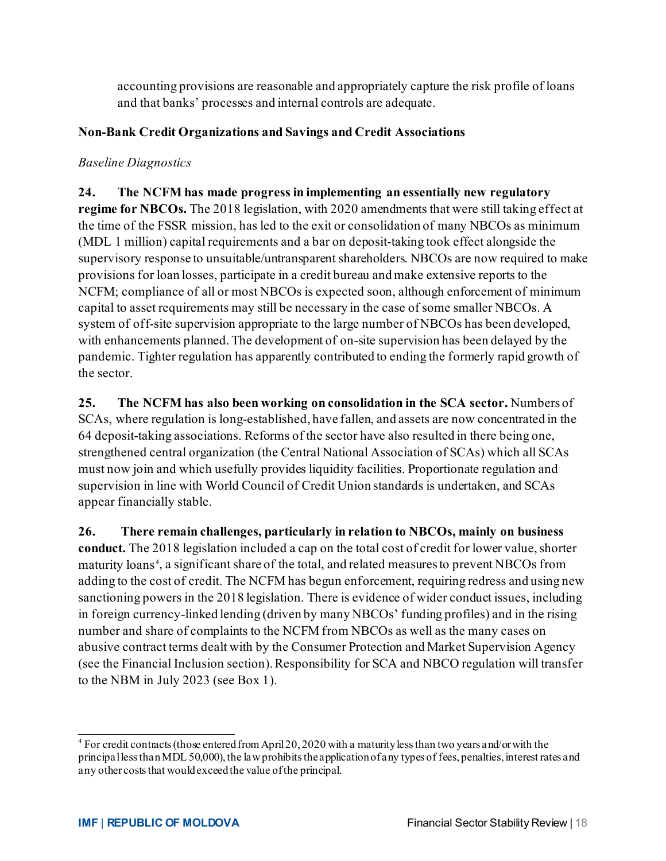accounting provisions are reasonable and appropriately capture the risk profile of loans and that banks' processes and internal controls are adequate.

#### **Non-Bank Credit Organizations and Savings and Credit Associations**

#### *Baseline Diagnostics*

**24. The NCFM has made progress in implementing an essentially new regulatory regime for NBCOs.** The 2018 legislation, with 2020 amendments that were still taking effect at the time of the FSSR mission, has led to the exit or consolidation of many NBCOs as minimum (MDL 1 million) capital requirements and a bar on deposit-taking took effect alongside the supervisory response to unsuitable/untransparent shareholders. NBCOs are now required to make provisions for loan losses, participate in a credit bureau and make extensive reports to the NCFM; compliance of all or most NBCOs is expected soon, although enforcement of minimum capital to asset requirements may still be necessary in the case of some smaller NBCOs. A system of off-site supervision appropriate to the large number of NBCOs has been developed, with enhancements planned. The development of on-site supervision has been delayed by the pandemic. Tighter regulation has apparently contributed to ending the formerly rapid growth of the sector.

**25. The NCFM has also been working on consolidation in the SCA sector.** Numbers of SCAs, where regulation is long-established, have fallen, and assets are now concentrated in the 64 deposit-taking associations. Reforms of the sector have also resulted in there being one, strengthened central organization (the Central National Association of SCAs) which all SCAs must now join and which usefully provides liquidity facilities. Proportionate regulation and supervision in line with World Council of Credit Union standards is undertaken, and SCAs appear financially stable.

**26. There remain challenges, particularly in relation to NBCOs, mainly on business conduct.** The 2018 legislation included a cap on the total cost of credit for lower value, shorter maturity loans [4](#page-18-0) , a significant share of the total, and related measuresto prevent NBCOs from adding to the cost of credit. The NCFM has begun enforcement, requiring redress and using new sanctioning powers in the 2018 legislation. There is evidence of wider conduct issues, including in foreign currency-linked lending (driven by many NBCOs' funding profiles) and in the rising number and share of complaints to the NCFM from NBCOs as well as the many cases on abusive contract terms dealt with by the Consumer Protection and Market Supervision Agency (see the Financial Inclusion section). Responsibility for SCA and NBCO regulation will transfer to the NBM in July 2023 (see Box 1).

<span id="page-18-0"></span><sup>4</sup> For credit contracts (those entered from April 20, 2020 with a maturity less than two years and/or with the principal less than MDL 50,000), the law prohibits the application of any types of fees, penalties, interest rates and any other costs that would exceed the value of the principal.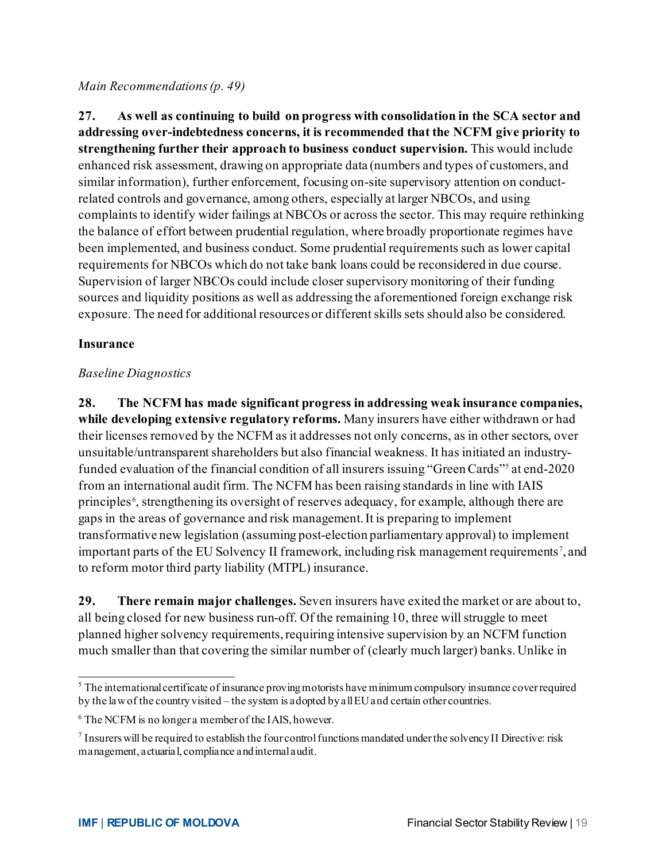#### *Main Recommendations(p. 49)*

**27. As well as continuing to build on progress with consolidation in the SCA sector and addressing over-indebtedness concerns, it is recommended that the NCFM give priority to strengthening further their approach to business conduct supervision.** This would include enhanced risk assessment, drawing on appropriate data (numbers and types of customers, and similar information), further enforcement, focusing on-site supervisory attention on conductrelated controls and governance, among others, especially at larger NBCOs, and using complaints to identify wider failings at NBCOs or across the sector. This may require rethinking the balance of effort between prudential regulation, where broadly proportionate regimes have been implemented, and business conduct. Some prudential requirements such as lower capital requirements for NBCOs which do not take bank loans could be reconsidered in due course. Supervision of larger NBCOs could include closer supervisory monitoring of their funding sources and liquidity positions as well as addressing the aforementioned foreign exchange risk exposure. The need for additional resources or different skills sets should also be considered.

#### **Insurance**

#### *Baseline Diagnostics*

**28. The NCFM has made significant progress in addressing weak insurance companies, while developing extensive regulatory reforms.** Many insurers have either withdrawn or had their licenses removed by the NCFM as it addresses not only concerns, as in other sectors, over unsuitable/untransparent shareholders but also financial weakness. It has initiated an industryfunded evaluation of the financial condition of all insurers issuing "Green Cards"[5](#page-19-0) at end-2020 from an international audit firm. The NCFM has been raising standards in line with IAIS principles<sup>[6](#page-19-1)</sup>, strengthening its oversight of reserves adequacy, for example, although there are gaps in the areas of governance and risk management. It is preparing to implement transformative new legislation (assuming post-election parliamentary approval) to implement important parts of the EU Solvency II framework, including risk management requirements<sup>[7](#page-19-2)</sup>, and to reform motor third party liability (MTPL) insurance.

**29. There remain major challenges.** Seven insurers have exited the market or are about to, all being closed for new business run-off. Of the remaining 10, three will struggle to meet planned higher solvency requirements, requiring intensive supervision by an NCFM function much smaller than that covering the similar number of (clearly much larger) banks. Unlike in

<span id="page-19-0"></span><sup>&</sup>lt;sup>5</sup> The international certificate of insurance proving motorists have minimum compulsory insurance cover required by the law of the country visited – the system is adopted by all EU and certain other countries.

<span id="page-19-1"></span><sup>&</sup>lt;sup>6</sup> The NCFM is no longer a member of the IAIS, however.

<span id="page-19-2"></span><sup>7</sup> Insurers will be required to establish the four control functions mandated under the solvency II Directive: risk management, actuarial, compliance and internal audit.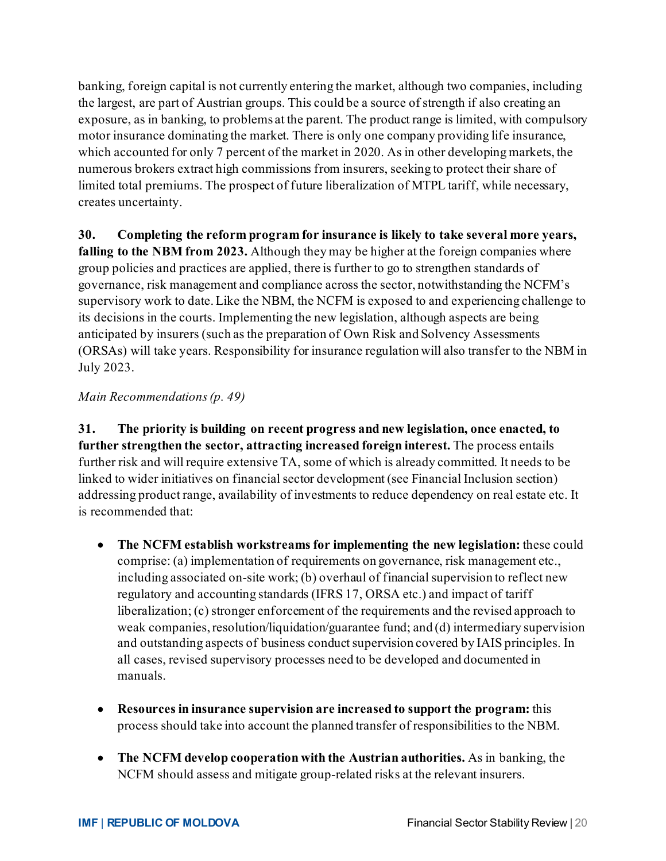banking, foreign capital is not currently entering the market, although two companies, including the largest, are part of Austrian groups. This could be a source of strength if also creating an exposure, as in banking, to problems at the parent. The product range is limited, with compulsory motor insurance dominating the market. There is only one company providing life insurance, which accounted for only 7 percent of the market in 2020. As in other developing markets, the numerous brokers extract high commissions from insurers, seeking to protect their share of limited total premiums. The prospect of future liberalization of MTPL tariff, while necessary, creates uncertainty.

**30. Completing the reform program for insurance is likely to take several more years, falling to the NBM from 2023.** Although they may be higher at the foreign companies where group policies and practices are applied, there is further to go to strengthen standards of governance, risk management and compliance across the sector, notwithstanding the NCFM's supervisory work to date. Like the NBM, the NCFM is exposed to and experiencing challenge to its decisions in the courts. Implementing the new legislation, although aspects are being anticipated by insurers (such as the preparation of Own Risk and Solvency Assessments (ORSAs) will take years. Responsibility for insurance regulation will also transfer to the NBM in July 2023.

#### *Main Recommendations(p. 49)*

**31. The priority is building on recent progress and new legislation, once enacted, to further strengthen the sector, attracting increased foreign interest.** The process entails further risk and will require extensive TA, some of which is already committed. It needs to be linked to wider initiatives on financial sector development (see Financial Inclusion section) addressing product range, availability of investments to reduce dependency on real estate etc. It is recommended that:

- **The NCFM establish workstreams for implementing the new legislation:** these could comprise: (a) implementation of requirements on governance, risk management etc., including associated on-site work; (b) overhaul of financial supervision to reflect new regulatory and accounting standards (IFRS 17, ORSA etc.) and impact of tariff liberalization; (c) stronger enforcement of the requirements and the revised approach to weak companies, resolution/liquidation/guarantee fund; and (d) intermediary supervision and outstanding aspects of business conduct supervision covered by IAIS principles. In all cases, revised supervisory processes need to be developed and documented in manuals.
- **Resources in insurance supervision are increased to support the program:** this process should take into account the planned transfer of responsibilities to the NBM.
- **The NCFM develop cooperation with the Austrian authorities.** As in banking, the NCFM should assess and mitigate group-related risks at the relevant insurers.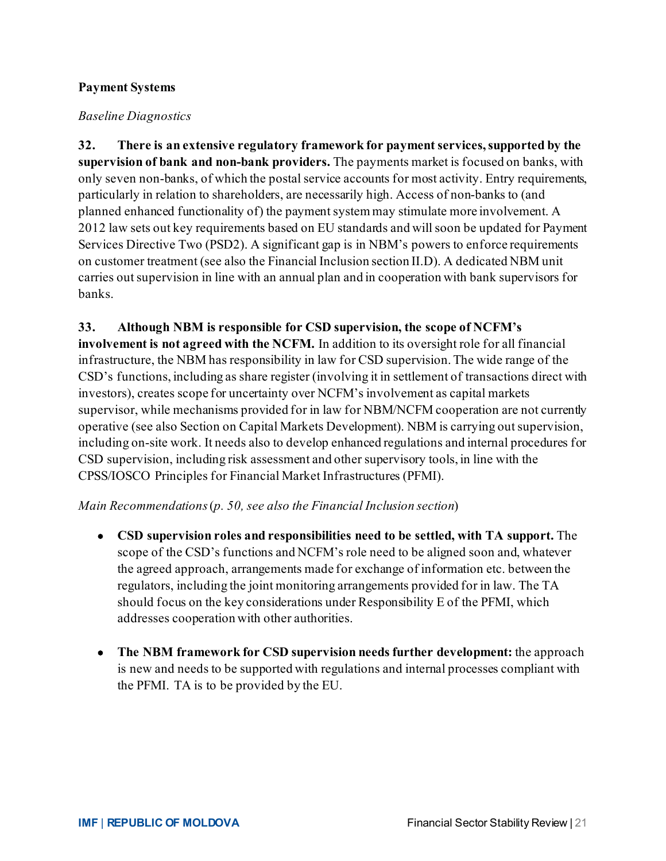#### **Payment Systems**

#### *Baseline Diagnostics*

**32. There is an extensive regulatory framework for payment services, supported by the supervision of bank and non-bank providers.** The payments market is focused on banks, with only seven non-banks, of which the postal service accounts for most activity. Entry requirements, particularly in relation to shareholders, are necessarily high. Access of non-banks to (and planned enhanced functionality of) the payment system may stimulate more involvement. A 2012 law sets out key requirements based on EU standards and will soon be updated for Payment Services Directive Two (PSD2). A significant gap is in NBM's powers to enforce requirements on customer treatment (see also the Financial Inclusion section II.D). A dedicated NBM unit carries out supervision in line with an annual plan and in cooperation with bank supervisors for banks.

#### **33. Although NBM is responsible for CSD supervision, the scope of NCFM's**

**involvement is not agreed with the NCFM.** In addition to its oversight role for all financial infrastructure, the NBM has responsibility in law for CSD supervision. The wide range of the CSD's functions, including as share register (involving it in settlement of transactions direct with investors), creates scope for uncertainty over NCFM's involvement as capital markets supervisor, while mechanisms provided for in law for NBM/NCFM cooperation are not currently operative (see also Section on Capital Markets Development). NBM is carrying out supervision, including on-site work. It needs also to develop enhanced regulations and internal procedures for CSD supervision, including risk assessment and other supervisory tools, in line with the CPSS/IOSCO Principles for Financial Market Infrastructures (PFMI).

#### *Main Recommendations* (*p. 50, see also the Financial Inclusion section*)

- **CSD supervision roles and responsibilities need to be settled, with TA support.** The scope of the CSD's functions and NCFM's role need to be aligned soon and, whatever the agreed approach, arrangements made for exchange of information etc. between the regulators, including the joint monitoring arrangements provided for in law. The TA should focus on the key considerations under Responsibility E of the PFMI, which addresses cooperation with other authorities.
- **The NBM framework for CSD supervision needs further development:** the approach is new and needs to be supported with regulations and internal processes compliant with the PFMI. TA is to be provided by the EU.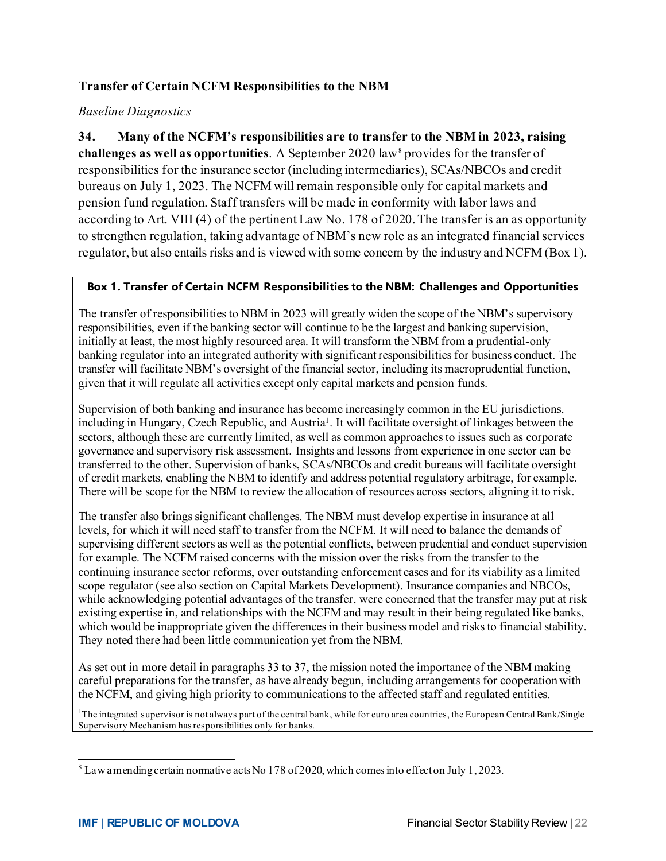#### **Transfer of Certain NCFM Responsibilities to the NBM**

#### *Baseline Diagnostics*

**34. Many of the NCFM's responsibilities are to transfer to the NBM in 2023, raising challenges as well as opportunities**. A September 2020 law<sup>[8](#page-22-0)</sup> provides for the transfer of responsibilities for the insurance sector (including intermediaries), SCAs/NBCOs and credit bureaus on July 1, 2023. The NCFM will remain responsible only for capital markets and pension fund regulation. Staff transfers will be made in conformity with labor laws and according to Art. VIII (4) of the pertinent Law No. 178 of 2020. The transfer is an as opportunity to strengthen regulation, taking advantage of NBM's new role as an integrated financial services regulator, but also entails risks and is viewed with some concern by the industry and NCFM (Box 1).

#### **Box 1. Transfer of Certain NCFM Responsibilities to the NBM: Challenges and Opportunities**

The transfer of responsibilities to NBM in 2023 will greatly widen the scope of the NBM's supervisory responsibilities, even if the banking sector will continue to be the largest and banking supervision, initially at least, the most highly resourced area. It will transform the NBM from a prudential-only banking regulator into an integrated authority with significant responsibilities for business conduct. The transfer will facilitate NBM's oversight of the financial sector, including its macroprudential function, given that it will regulate all activities except only capital markets and pension funds.

Supervision of both banking and insurance has become increasingly common in the EU jurisdictions, including in Hungary, Czech Republic, and Austria<sup>1</sup>. It will facilitate oversight of linkages between the sectors, although these are currently limited, as well as common approaches to issues such as corporate governance and supervisory risk assessment. Insights and lessons from experience in one sector can be transferred to the other. Supervision of banks, SCAs/NBCOs and credit bureaus will facilitate oversight of credit markets, enabling the NBM to identify and address potential regulatory arbitrage, for example. There will be scope for the NBM to review the allocation of resources across sectors, aligning it to risk.

The transfer also brings significant challenges. The NBM must develop expertise in insurance at all levels, for which it will need staff to transfer from the NCFM. It will need to balance the demands of supervising different sectors as well as the potential conflicts, between prudential and conduct supervision for example. The NCFM raised concerns with the mission over the risks from the transfer to the continuing insurance sector reforms, over outstanding enforcement cases and for its viability as a limited scope regulator (see also section on Capital Markets Development). Insurance companies and NBCOs, while acknowledging potential advantages of the transfer, were concerned that the transfer may put at risk existing expertise in, and relationships with the NCFM and may result in their being regulated like banks, which would be inappropriate given the differences in their business model and risks to financial stability. They noted there had been little communication yet from the NBM.

As set out in more detail in paragraphs 33 to 37, the mission noted the importance of the NBM making careful preparations for the transfer, as have already begun, including arrangements for cooperation with the NCFM, and giving high priority to communications to the affected staff and regulated entities.

<sup>1</sup>The integrated supervisor is not always part of the central bank, while for euro area countries, the European Central Bank/Single Supervisory Mechanism has responsibilities only for banks.

<span id="page-22-0"></span> $8$  Law amending certain normative acts No 178 of 2020, which comes into effect on July 1, 2023.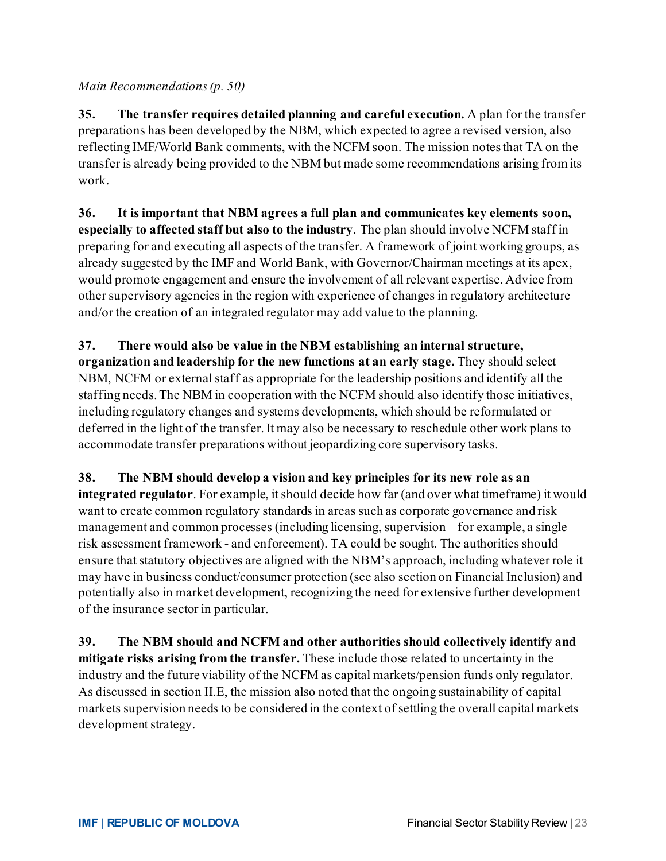#### *Main Recommendations (p. 50)*

**35. The transfer requires detailed planning and careful execution.** A plan for the transfer preparations has been developed by the NBM, which expected to agree a revised version, also reflecting IMF/World Bank comments, with the NCFM soon. The mission notes that TA on the transfer is already being provided to the NBM but made some recommendations arising from its work.

**36. It is important that NBM agrees a full plan and communicates key elements soon, especially to affected staff but also to the industry**. The plan should involve NCFM staff in preparing for and executing all aspects of the transfer. A framework of joint working groups, as already suggested by the IMF and World Bank, with Governor/Chairman meetings at its apex, would promote engagement and ensure the involvement of all relevant expertise. Advice from other supervisory agencies in the region with experience of changes in regulatory architecture and/or the creation of an integrated regulator may add value to the planning.

# **37. There would also be value in the NBM establishing an internal structure,**

**organization and leadership for the new functions at an early stage.** They should select NBM, NCFM or external staff as appropriate for the leadership positions and identify all the staffing needs. The NBM in cooperation with the NCFM should also identify those initiatives, including regulatory changes and systems developments, which should be reformulated or deferred in the light of the transfer. It may also be necessary to reschedule other work plans to accommodate transfer preparations without jeopardizing core supervisory tasks.

#### **38. The NBM should develop a vision and key principles for its new role as an**

**integrated regulator**. For example, it should decide how far (and over what timeframe) it would want to create common regulatory standards in areas such as corporate governance and risk management and common processes (including licensing, supervision – for example, a single risk assessment framework - and enforcement). TA could be sought. The authorities should ensure that statutory objectives are aligned with the NBM's approach, including whatever role it may have in business conduct/consumer protection (see also section on Financial Inclusion) and potentially also in market development, recognizing the need for extensive further development of the insurance sector in particular.

**39. The NBM should and NCFM and other authorities should collectively identify and mitigate risks arising from the transfer.** These include those related to uncertainty in the industry and the future viability of the NCFM as capital markets/pension funds only regulator. As discussed in section II.E, the mission also noted that the ongoing sustainability of capital markets supervision needs to be considered in the context of settling the overall capital markets development strategy.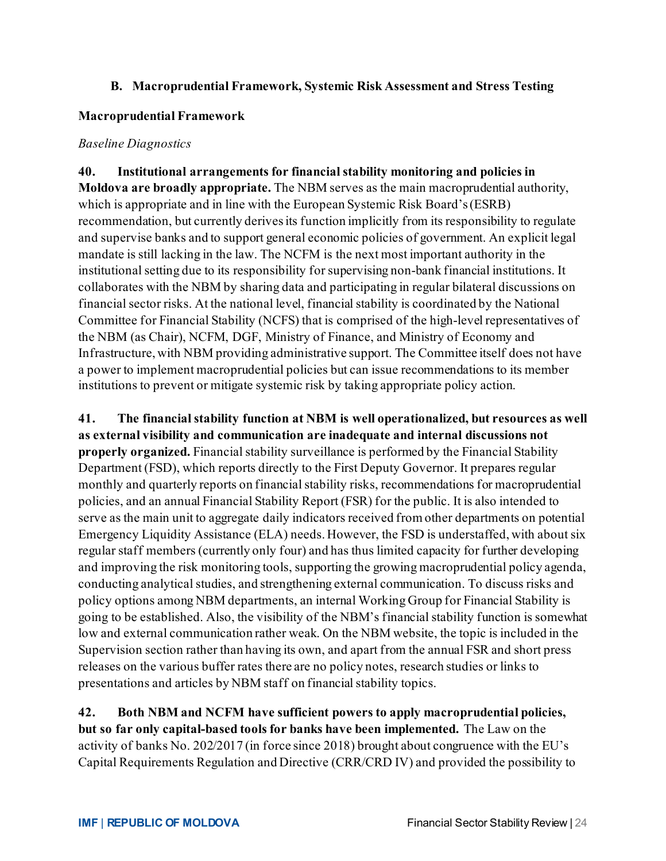#### **B. Macroprudential Framework, Systemic Risk Assessment and Stress Testing**

#### **Macroprudential Framework**

#### *Baseline Diagnostics*

**40. Institutional arrangements for financial stability monitoring and policies in Moldova are broadly appropriate.** The NBM serves as the main macroprudential authority, which is appropriate and in line with the European Systemic Risk Board's(ESRB) recommendation, but currently derives its function implicitly from its responsibility to regulate and supervise banks and to support general economic policies of government. An explicit legal mandate is still lacking in the law. The NCFM is the next most important authority in the institutional setting due to its responsibility for supervising non-bank financial institutions. It collaborates with the NBM by sharing data and participating in regular bilateral discussions on financial sector risks. At the national level, financial stability is coordinated by the National Committee for Financial Stability (NCFS) that is comprised of the high-level representatives of the NBM (as Chair), NCFM, DGF, Ministry of Finance, and Ministry of Economy and Infrastructure, with NBM providing administrative support. The Committee itself does not have a power to implement macroprudential policies but can issue recommendations to its member institutions to prevent or mitigate systemic risk by taking appropriate policy action.

**41. The financial stability function at NBM is well operationalized, but resources as well as external visibility and communication are inadequate and internal discussions not properly organized.** Financial stability surveillance is performed by the Financial Stability Department (FSD), which reports directly to the First Deputy Governor. It prepares regular monthly and quarterly reports on financial stability risks, recommendations for macroprudential policies, and an annual Financial Stability Report (FSR) for the public. It is also intended to serve as the main unit to aggregate daily indicators received from other departments on potential Emergency Liquidity Assistance (ELA) needs. However, the FSD is understaffed, with about six regular staff members (currently only four) and has thus limited capacity for further developing and improving the risk monitoring tools, supporting the growing macroprudential policy agenda, conducting analytical studies, and strengthening external communication. To discuss risks and policy options among NBM departments, an internal Working Group for Financial Stability is going to be established. Also, the visibility of the NBM's financial stability function is somewhat low and external communication rather weak. On the NBM website, the topic is included in the Supervision section rather than having its own, and apart from the annual FSR and short press releases on the various buffer rates there are no policy notes, research studies or links to presentations and articles by NBM staff on financial stability topics.

**42. Both NBM and NCFM have sufficient powers to apply macroprudential policies, but so far only capital-based tools for banks have been implemented.** The Law on the activity of banks No. 202/2017 (in force since 2018) brought about congruence with the EU's Capital Requirements Regulation and Directive (CRR/CRD IV) and provided the possibility to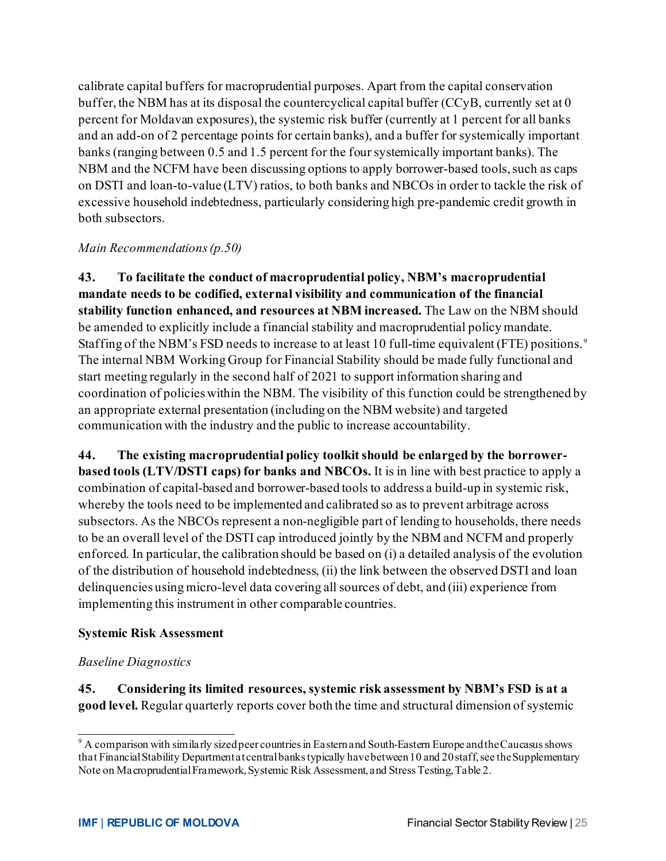calibrate capital buffers for macroprudential purposes. Apart from the capital conservation buffer, the NBM has at its disposal the countercyclical capital buffer (CCyB, currently set at 0 percent for Moldavan exposures), the systemic risk buffer (currently at 1 percent for all banks and an add-on of 2 percentage points for certain banks), and a buffer for systemically important banks (ranging between 0.5 and 1.5 percent for the four systemically important banks). The NBM and the NCFM have been discussing options to apply borrower-based tools, such as caps on DSTI and loan-to-value (LTV) ratios, to both banks and NBCOs in order to tackle the risk of excessive household indebtedness, particularly considering high pre-pandemic credit growth in both subsectors.

#### *Main Recommendations(p.50)*

**43. To facilitate the conduct of macroprudential policy, NBM's macroprudential mandate needs to be codified, external visibility and communication of the financial stability function enhanced, and resources at NBM increased.** The Law on the NBM should be amended to explicitly include a financial stability and macroprudential policy mandate. Staffing of the NBM's FSD needs to increase to at least 10 full-time equivalent (FTE) positions. [9](#page-25-0) The internal NBM Working Group for Financial Stability should be made fully functional and start meeting regularly in the second half of 2021 to support information sharing and coordination of policies within the NBM. The visibility of this function could be strengthened by an appropriate external presentation (including on the NBM website) and targeted communication with the industry and the public to increase accountability.

**44. The existing macroprudential policy toolkit should be enlarged by the borrowerbased tools (LTV/DSTI caps) for banks and NBCOs.** It is in line with best practice to apply a combination of capital-based and borrower-based tools to address a build-up in systemic risk, whereby the tools need to be implemented and calibrated so as to prevent arbitrage across subsectors. As the NBCOs represent a non-negligible part of lending to households, there needs to be an overall level of the DSTI cap introduced jointly by the NBM and NCFM and properly enforced. In particular, the calibration should be based on (i) a detailed analysis of the evolution of the distribution of household indebtedness, (ii) the link between the observed DSTI and loan delinquencies using micro-level data covering all sources of debt, and (iii) experience from implementing this instrument in other comparable countries.

#### **Systemic Risk Assessment**

#### *Baseline Diagnostics*

**45. Considering its limited resources, systemic risk assessment by NBM's FSD is at a good level.** Regular quarterly reports cover both the time and structural dimension of systemic

<span id="page-25-0"></span><sup>9</sup> A comparison with similarly sized peer countries in Eastern and South-Eastern Europe and the Caucasus shows that Financial Stability Department at central banks typically have between 10 and 20 staff, see the Supplementary Note on Macroprudential Framework, Systemic Risk Assessment, and Stress Testing, Table 2.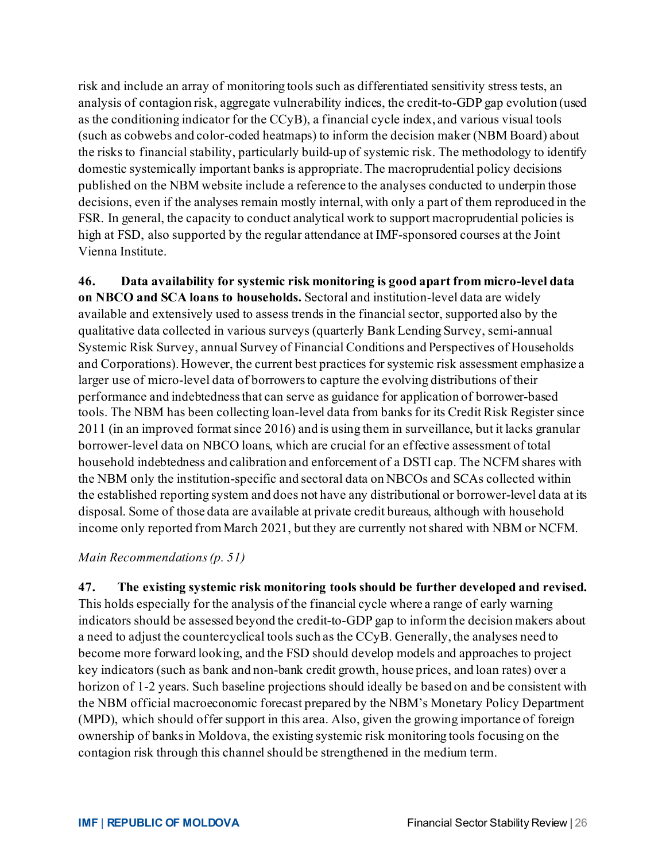risk and include an array of monitoring tools such as differentiated sensitivity stress tests, an analysis of contagion risk, aggregate vulnerability indices, the credit-to-GDP gap evolution (used as the conditioning indicator for the CCyB), a financial cycle index, and various visual tools (such as cobwebs and color-coded heatmaps) to inform the decision maker (NBM Board) about the risks to financial stability, particularly build-up of systemic risk. The methodology to identify domestic systemically important banks is appropriate. The macroprudential policy decisions published on the NBM website include a reference to the analyses conducted to underpin those decisions, even if the analyses remain mostly internal, with only a part of them reproduced in the FSR. In general, the capacity to conduct analytical work to support macroprudential policies is high at FSD, also supported by the regular attendance at IMF-sponsored courses at the Joint Vienna Institute.

**46. Data availability for systemic risk monitoring is good apart from micro-level data on NBCO and SCA loans to households.** Sectoral and institution-level data are widely available and extensively used to assess trends in the financial sector, supported also by the qualitative data collected in various surveys (quarterly Bank Lending Survey, semi-annual Systemic Risk Survey, annual Survey of Financial Conditions and Perspectives of Households and Corporations). However, the current best practices for systemic risk assessment emphasize a larger use of micro-level data of borrowers to capture the evolving distributions of their performance and indebtedness that can serve as guidance for application of borrower-based tools. The NBM has been collecting loan-level data from banks for its Credit Risk Register since 2011 (in an improved format since 2016) and is using them in surveillance, but it lacks granular borrower-level data on NBCO loans, which are crucial for an effective assessment of total household indebtedness and calibration and enforcement of a DSTI cap. The NCFM shares with the NBM only the institution-specific and sectoral data on NBCOs and SCAs collected within the established reporting system and does not have any distributional or borrower-level data at its disposal. Some of those data are available at private credit bureaus, although with household income only reported from March 2021, but they are currently not shared with NBM or NCFM.

#### *Main Recommendations(p. 51)*

**47. The existing systemic risk monitoring tools should be further developed and revised.**  This holds especially for the analysis of the financial cycle where a range of early warning indicators should be assessed beyond the credit-to-GDP gap to inform the decision makers about a need to adjust the countercyclical tools such as the CCyB. Generally, the analyses need to become more forward looking, and the FSD should develop models and approaches to project key indicators (such as bank and non-bank credit growth, house prices, and loan rates) over a horizon of 1-2 years. Such baseline projections should ideally be based on and be consistent with the NBM official macroeconomic forecast prepared by the NBM's Monetary Policy Department (MPD), which should offer support in this area. Also, given the growing importance of foreign ownership of banks in Moldova, the existing systemic risk monitoring tools focusing on the contagion risk through this channel should be strengthened in the medium term.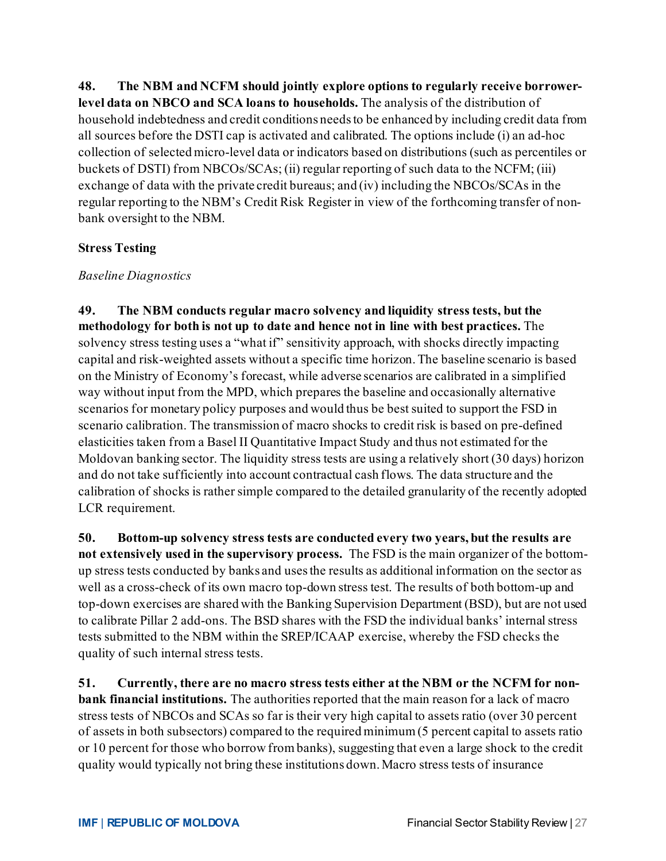**48. The NBM and NCFM should jointly explore options to regularly receive borrowerlevel data on NBCO and SCA loans to households.** The analysis of the distribution of household indebtedness and credit conditions needs to be enhanced by including credit data from all sources before the DSTI cap is activated and calibrated. The options include (i) an ad-hoc collection of selected micro-level data or indicators based on distributions (such as percentiles or buckets of DSTI) from NBCOs/SCAs; (ii) regular reporting of such data to the NCFM; (iii) exchange of data with the private credit bureaus; and (iv) including the NBCOs/SCAs in the regular reporting to the NBM's Credit Risk Register in view of the forthcoming transfer of nonbank oversight to the NBM.

#### **Stress Testing**

#### *Baseline Diagnostics*

**49. The NBM conducts regular macro solvency and liquidity stress tests, but the methodology for both is not up to date and hence not in line with best practices.** The solvency stress testing uses a "what if" sensitivity approach, with shocks directly impacting capital and risk-weighted assets without a specific time horizon. The baseline scenario is based on the Ministry of Economy's forecast, while adverse scenarios are calibrated in a simplified way without input from the MPD, which prepares the baseline and occasionally alternative scenarios for monetary policy purposes and would thus be best suited to support the FSD in scenario calibration. The transmission of macro shocks to credit risk is based on pre-defined elasticities taken from a Basel II Quantitative Impact Study and thus not estimated for the Moldovan banking sector. The liquidity stress tests are using a relatively short (30 days) horizon and do not take sufficiently into account contractual cash flows. The data structure and the calibration of shocks is rather simple compared to the detailed granularity of the recently adopted LCR requirement.

**50. Bottom-up solvency stress tests are conducted every two years, but the results are not extensively used in the supervisory process.** The FSD is the main organizer of the bottomup stress tests conducted by banks and uses the results as additional information on the sector as well as a cross-check of its own macro top-down stress test. The results of both bottom-up and top-down exercises are shared with the Banking Supervision Department (BSD), but are not used to calibrate Pillar 2 add-ons. The BSD shares with the FSD the individual banks' internal stress tests submitted to the NBM within the SREP/ICAAP exercise, whereby the FSD checks the quality of such internal stress tests.

**51. Currently, there are no macro stress tests either at the NBM or the NCFM for nonbank financial institutions.** The authorities reported that the main reason for a lack of macro stress tests of NBCOs and SCAs so far is their very high capital to assets ratio (over 30 percent of assets in both subsectors) compared to the required minimum (5 percent capital to assets ratio or 10 percent for those who borrow from banks), suggesting that even a large shock to the credit quality would typically not bring these institutions down. Macro stress tests of insurance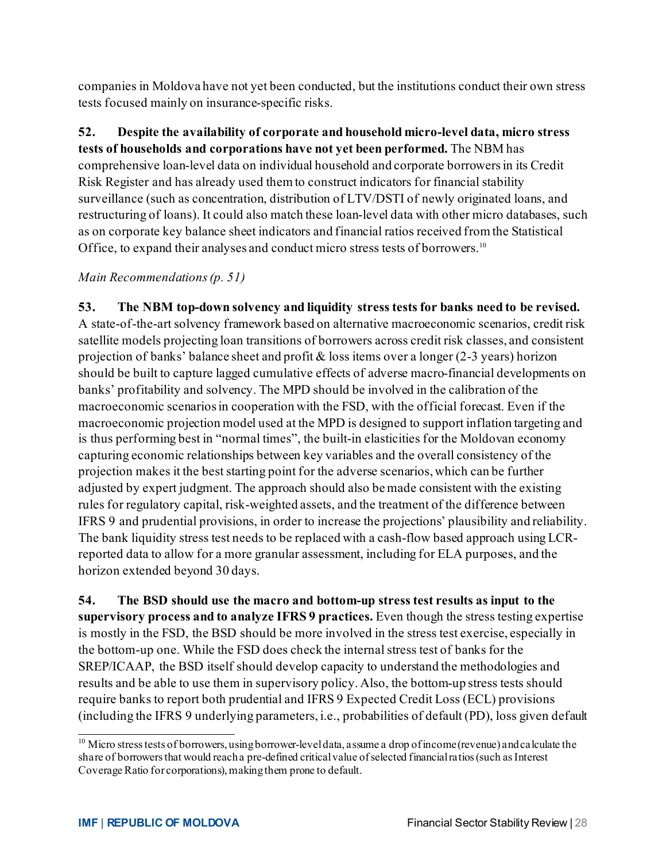companies in Moldova have not yet been conducted, but the institutions conduct their own stress tests focused mainly on insurance-specific risks.

**52. Despite the availability of corporate and household micro-level data, micro stress tests of households and corporations have not yet been performed.** The NBM has comprehensive loan-level data on individual household and corporate borrowers in its Credit Risk Register and has already used them to construct indicators for financial stability surveillance (such as concentration, distribution of LTV/DSTI of newly originated loans, and restructuring of loans). It could also match these loan-level data with other micro databases, such as on corporate key balance sheet indicators and financial ratios received from the Statistical Office, to expand their analyses and conduct micro stress tests of borrowers.<sup>[10](#page-28-0)</sup>

#### *Main Recommendations(p. 51)*

**53. The NBM top-down solvency and liquidity stress tests for banks need to be revised.**  A state-of-the-art solvency framework based on alternative macroeconomic scenarios, credit risk satellite models projecting loan transitions of borrowers across credit risk classes, and consistent projection of banks' balance sheet and profit  $\&$  loss items over a longer (2-3 years) horizon should be built to capture lagged cumulative effects of adverse macro-financial developments on banks' profitability and solvency. The MPD should be involved in the calibration of the macroeconomic scenariosin cooperation with the FSD, with the official forecast. Even if the macroeconomic projection model used at the MPD is designed to support inflation targeting and is thus performing best in "normal times", the built-in elasticities for the Moldovan economy capturing economic relationships between key variables and the overall consistency of the projection makes it the best starting point for the adverse scenarios, which can be further adjusted by expert judgment. The approach should also be made consistent with the existing rules for regulatory capital, risk-weighted assets, and the treatment of the difference between IFRS 9 and prudential provisions, in order to increase the projections' plausibility and reliability. The bank liquidity stress test needs to be replaced with a cash-flow based approach using LCRreported data to allow for a more granular assessment, including for ELA purposes, and the horizon extended beyond 30 days.

**54. The BSD should use the macro and bottom-up stress test results as input to the supervisory process and to analyze IFRS 9 practices.** Even though the stress testing expertise is mostly in the FSD, the BSD should be more involved in the stress test exercise, especially in the bottom-up one. While the FSD does check the internal stress test of banks for the SREP/ICAAP, the BSD itself should develop capacity to understand the methodologies and results and be able to use them in supervisory policy. Also, the bottom-up stress tests should require banks to report both prudential and IFRS 9 Expected Credit Loss (ECL) provisions (including the IFRS 9 underlying parameters, i.e., probabilities of default (PD), loss given default

<span id="page-28-0"></span> $10$  Micro stress tests of borrowers, using borrower-level data, assume a drop of income (revenue) and calculate the share of borrowers that would reach a pre-defined critical value of selected financial ratios (such as Interest Coverage Ratio for corporations), making them prone to default.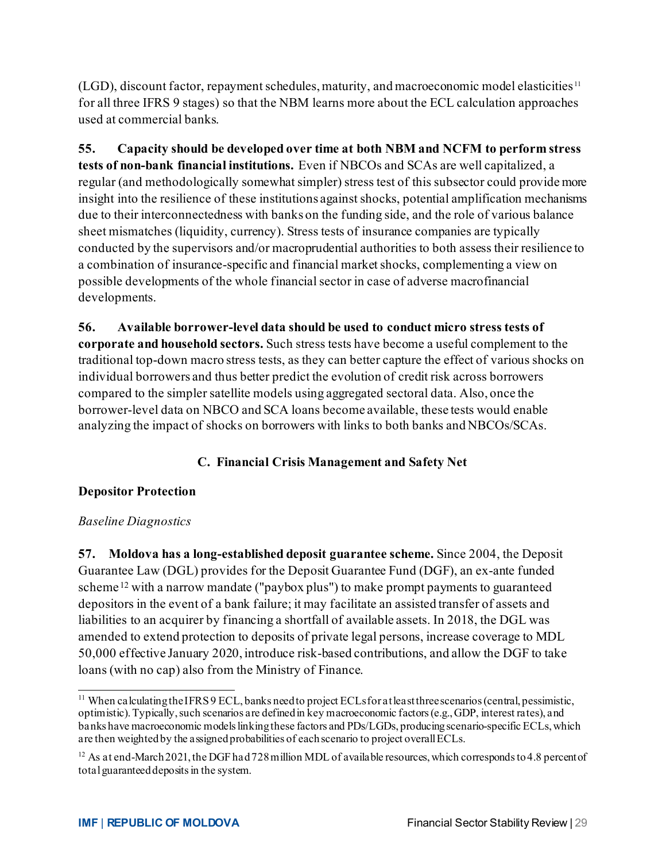(LGD), discount factor, repayment schedules, maturity, and macroeconomic model elasticities [11](#page-29-0) for all three IFRS 9 stages) so that the NBM learns more about the ECL calculation approaches used at commercial banks.

**55. Capacity should be developed over time at both NBM and NCFM to perform stress tests of non-bank financial institutions.** Even if NBCOs and SCAs are well capitalized, a regular (and methodologically somewhat simpler) stress test of this subsector could provide more insight into the resilience of these institutions against shocks, potential amplification mechanisms due to their interconnectedness with banks on the funding side, and the role of various balance sheet mismatches (liquidity, currency). Stress tests of insurance companies are typically conducted by the supervisors and/or macroprudential authorities to both assess their resilience to a combination of insurance-specific and financial market shocks, complementing a view on possible developments of the whole financial sector in case of adverse macrofinancial developments.

**56. Available borrower-level data should be used to conduct micro stress tests of corporate and household sectors.** Such stress tests have become a useful complement to the traditional top-down macro stress tests, as they can better capture the effect of various shocks on individual borrowers and thus better predict the evolution of credit risk across borrowers compared to the simpler satellite models using aggregated sectoral data. Also, once the borrower-level data on NBCO and SCA loans become available, these tests would enable analyzing the impact of shocks on borrowers with links to both banks and NBCOs/SCAs.

# **C. Financial Crisis Management and Safety Net**

#### **Depositor Protection**

#### *Baseline Diagnostics*

**57. Moldova has a long-established deposit guarantee scheme.** Since 2004, the Deposit Guarantee Law (DGL) provides for the Deposit Guarantee Fund (DGF), an ex-ante funded scheme <sup>[12](#page-29-1)</sup> with a narrow mandate ("paybox plus") to make prompt payments to guaranteed depositors in the event of a bank failure; it may facilitate an assisted transfer of assets and liabilities to an acquirer by financing a shortfall of available assets. In 2018, the DGL was amended to extend protection to deposits of private legal persons, increase coverage to MDL 50,000 effective January 2020, introduce risk-based contributions, and allow the DGF to take loans (with no cap) also from the Ministry of Finance.

<span id="page-29-0"></span><sup>&</sup>lt;sup>11</sup> When calculating the IFRS 9 ECL, banks need to project ECLs for at least three scenarios (central, pessimistic, optimistic). Typically, such scenarios are defined in key macroeconomic factors (e.g., GDP, interest rates), and banks have macroeconomic models linking these factors and PDs/LGDs, producing scenario-specific ECLs, which are then weighted by the assigned probabilities of each scenario to project overall ECLs.

<span id="page-29-1"></span><sup>&</sup>lt;sup>12</sup> As at end-March 2021, the DGF had 728 million MDL of available resources, which corresponds to 4.8 percent of total guaranteed deposits in the system.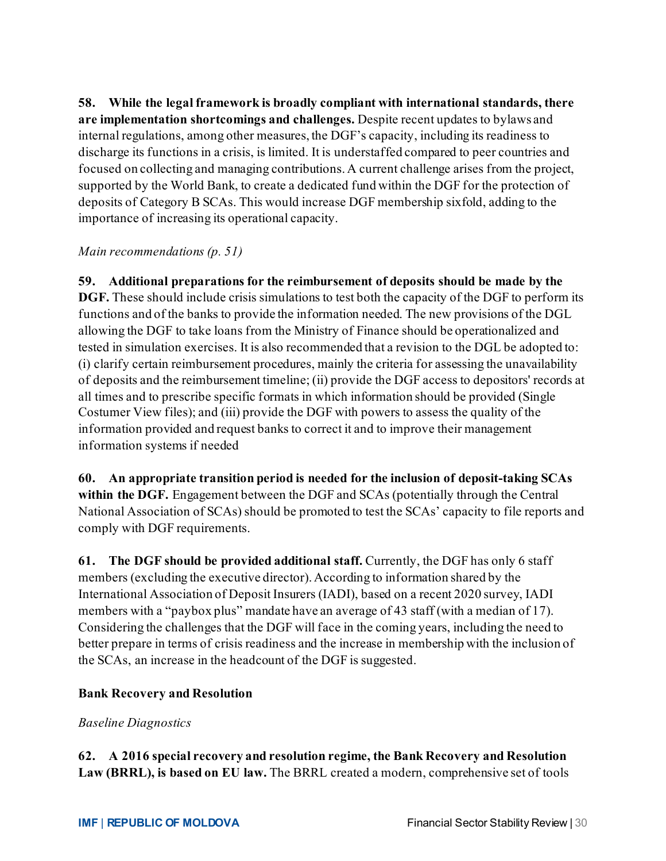**58. While the legal framework is broadly compliant with international standards, there are implementation shortcomings and challenges.** Despite recent updates to bylaws and internal regulations, among other measures, the DGF's capacity, including its readiness to discharge its functions in a crisis, is limited. It is understaffed compared to peer countries and focused on collecting and managing contributions. A current challenge arises from the project, supported by the World Bank, to create a dedicated fund within the DGF for the protection of deposits of Category B SCAs. This would increase DGF membership sixfold, adding to the importance of increasing its operational capacity.

#### *Main recommendations (p. 51)*

**59. Additional preparations for the reimbursement of deposits should be made by the DGF.** These should include crisis simulations to test both the capacity of the DGF to perform its functions and of the banks to provide the information needed. The new provisions of the DGL allowing the DGF to take loans from the Ministry of Finance should be operationalized and tested in simulation exercises. It is also recommended that a revision to the DGL be adopted to: (i) clarify certain reimbursement procedures, mainly the criteria for assessing the unavailability of deposits and the reimbursement timeline; (ii) provide the DGF access to depositors' records at all times and to prescribe specific formats in which information should be provided (Single Costumer View files); and (iii) provide the DGF with powers to assess the quality of the information provided and request banks to correct it and to improve their management information systems if needed

**60. An appropriate transition period is needed for the inclusion of deposit-taking SCAs within the DGF.** Engagement between the DGF and SCAs (potentially through the Central National Association of SCAs) should be promoted to test the SCAs' capacity to file reports and comply with DGF requirements.

**61. The DGF should be provided additional staff.** Currently, the DGF has only 6 staff members (excluding the executive director). According to information shared by the International Association of Deposit Insurers (IADI), based on a recent 2020 survey, IADI members with a "paybox plus" mandate have an average of 43 staff (with a median of 17). Considering the challenges that the DGF will face in the coming years, including the need to better prepare in terms of crisis readiness and the increase in membership with the inclusion of the SCAs, an increase in the headcount of the DGF is suggested.

#### **Bank Recovery and Resolution**

#### *Baseline Diagnostics*

**62. A 2016 special recovery and resolution regime, the Bank Recovery and Resolution Law (BRRL), is based on EU law.** The BRRL created a modern, comprehensive set of tools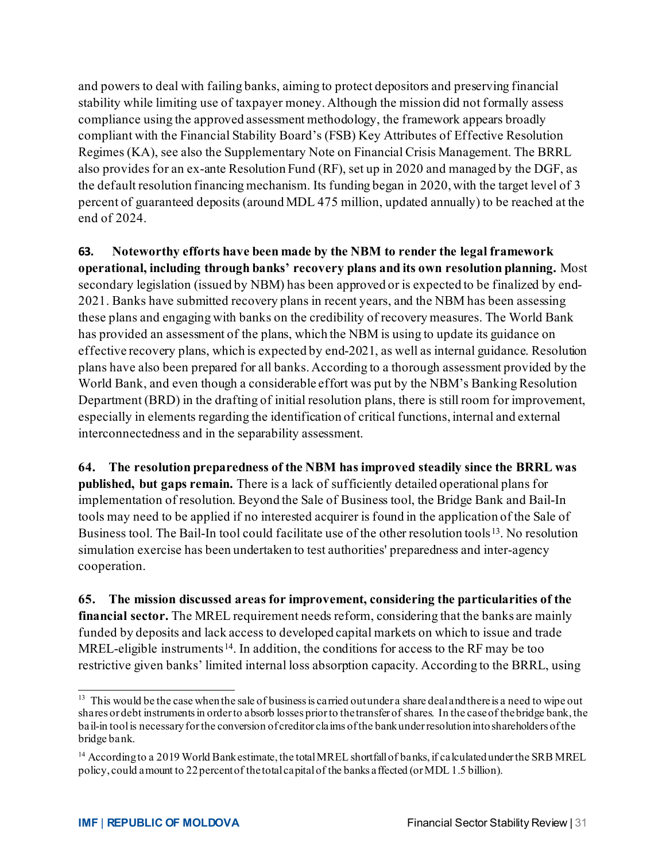and powers to deal with failing banks, aiming to protect depositors and preserving financial stability while limiting use of taxpayer money. Although the mission did not formally assess compliance using the approved assessment methodology, the framework appears broadly compliant with the Financial Stability Board's (FSB) Key Attributes of Effective Resolution Regimes (KA), see also the Supplementary Note on Financial Crisis Management. The BRRL also provides for an ex-ante Resolution Fund (RF), set up in 2020 and managed by the DGF, as the default resolution financing mechanism. Its funding began in 2020, with the target level of 3 percent of guaranteed deposits (around MDL 475 million, updated annually) to be reached at the end of 2024.

**63. Noteworthy efforts have been made by the NBM to render the legal framework operational, including through banks' recovery plans and its own resolution planning.** Most secondary legislation (issued by NBM) has been approved or is expected to be finalized by end-2021. Banks have submitted recovery plans in recent years, and the NBM has been assessing these plans and engaging with banks on the credibility of recovery measures. The World Bank has provided an assessment of the plans, which the NBM is using to update its guidance on effective recovery plans, which is expected by end-2021, as well as internal guidance. Resolution plans have also been prepared for all banks. According to a thorough assessment provided by the World Bank, and even though a considerable effort was put by the NBM's Banking Resolution Department (BRD) in the drafting of initial resolution plans, there is still room for improvement, especially in elements regarding the identification of critical functions, internal and external interconnectedness and in the separability assessment.

**64. The resolution preparedness of the NBM has improved steadily since the BRRL was published, but gaps remain.** There is a lack of sufficiently detailed operational plans for implementation of resolution. Beyond the Sale of Business tool, the Bridge Bank and Bail-In tools may need to be applied if no interested acquirer is found in the application of the Sale of Business tool. The Bail-In tool could facilitate use of the other resolution tools<sup>[13](#page-31-0)</sup>. No resolution simulation exercise has been undertaken to test authorities' preparedness and inter-agency cooperation.

**65. The mission discussed areas for improvement, considering the particularities of the financial sector.** The MREL requirement needs reform, considering that the banks are mainly funded by deposits and lack access to developed capital markets on which to issue and trade MREL-eligible instruments<sup>[14](#page-31-1)</sup>. In addition, the conditions for access to the RF may be too restrictive given banks' limited internal loss absorption capacity. According to the BRRL, using

<span id="page-31-0"></span><sup>&</sup>lt;sup>13</sup> This would be the case when the sale of business is carried outunder a share deal and there is a need to wipe out shares or debt instruments in order to absorb losses prior to the transfer of shares. In the case of the bridge bank, the bail-in tool is necessary for the conversion of creditor claims of the bank under resolution into shareholders of the bridge bank.

<span id="page-31-1"></span><sup>&</sup>lt;sup>14</sup> According to a 2019 World Bank estimate, the total MREL shortfall of banks, if calculated under the SRB MREL policy, could amount to 22 percent of the total capital of the banks affected (or MDL 1.5 billion).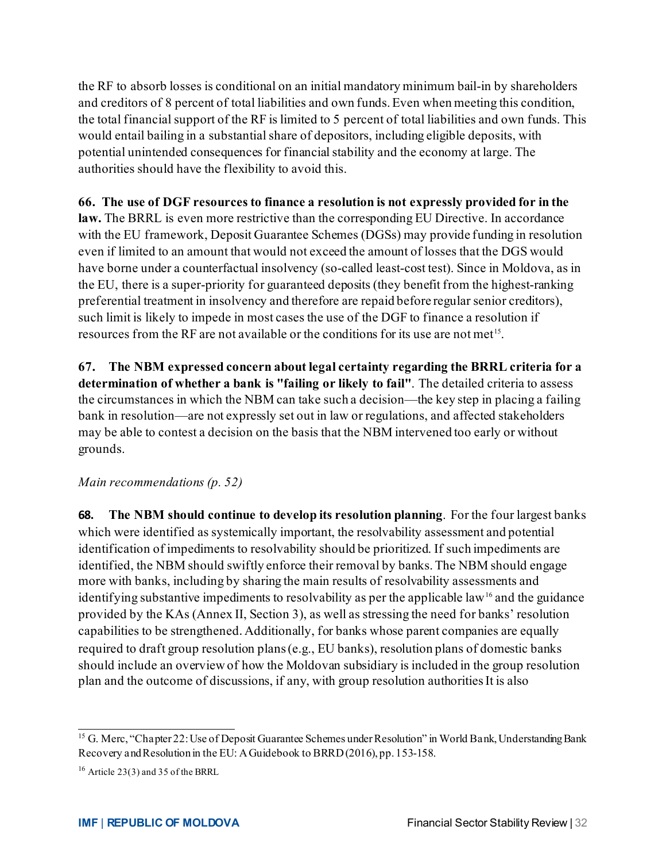the RF to absorb losses is conditional on an initial mandatory minimum bail-in by shareholders and creditors of 8 percent of total liabilities and own funds. Even when meeting this condition, the total financial support of the RF is limited to 5 percent of total liabilities and own funds. This would entail bailing in a substantial share of depositors, including eligible deposits, with potential unintended consequences for financial stability and the economy at large. The authorities should have the flexibility to avoid this.

#### **66. The use of DGF resources to finance a resolution is not expressly provided for in the**

**law.** The BRRL is even more restrictive than the corresponding EU Directive. In accordance with the EU framework, Deposit Guarantee Schemes (DGSs) may provide funding in resolution even if limited to an amount that would not exceed the amount of losses that the DGS would have borne under a counterfactual insolvency (so-called least-cost test). Since in Moldova, as in the EU, there is a super-priority for guaranteed deposits (they benefit from the highest-ranking preferential treatment in insolvency and therefore are repaid before regular senior creditors), such limit is likely to impede in most cases the use of the DGF to finance a resolution if resources from the RF are not available or the conditions for its use are not met[15.](#page-32-0)

**67. The NBM expressed concern about legal certainty regarding the BRRL criteria for a determination of whether a bank is "failing or likely to fail"**. The detailed criteria to assess the circumstances in which the NBM can take such a decision—the key step in placing a failing bank in resolution—are not expressly set out in law or regulations, and affected stakeholders may be able to contest a decision on the basis that the NBM intervened too early or without grounds.

#### *Main recommendations (p. 52)*

**68. The NBM should continue to develop its resolution planning**. For the four largest banks which were identified as systemically important, the resolvability assessment and potential identification of impediments to resolvability should be prioritized. If such impediments are identified, the NBM should swiftly enforce their removal by banks.The NBM should engage more with banks, including by sharing the main results of resolvability assessments and identifying substantive impediments to resolvability as per the applicable law<sup>[16](#page-32-1)</sup> and the guidance provided by the KAs (Annex II, Section 3), as well as stressing the need for banks' resolution capabilities to be strengthened. Additionally, for banks whose parent companies are equally required to draft group resolution plans (e.g., EU banks), resolution plans of domestic banks should include an overview of how the Moldovan subsidiary is included in the group resolution plan and the outcome of discussions, if any, with group resolution authorities It is also

<span id="page-32-0"></span><sup>&</sup>lt;sup>15</sup> G. Merc, "Chapter 22: Use of Deposit Guarantee Schemes under Resolution" in World Bank, Understanding Bank Recovery and Resolution in the EU: A Guidebook to BRRD (2016), pp. 153-158.

<span id="page-32-1"></span> $16$  Article 23(3) and 35 of the BRRL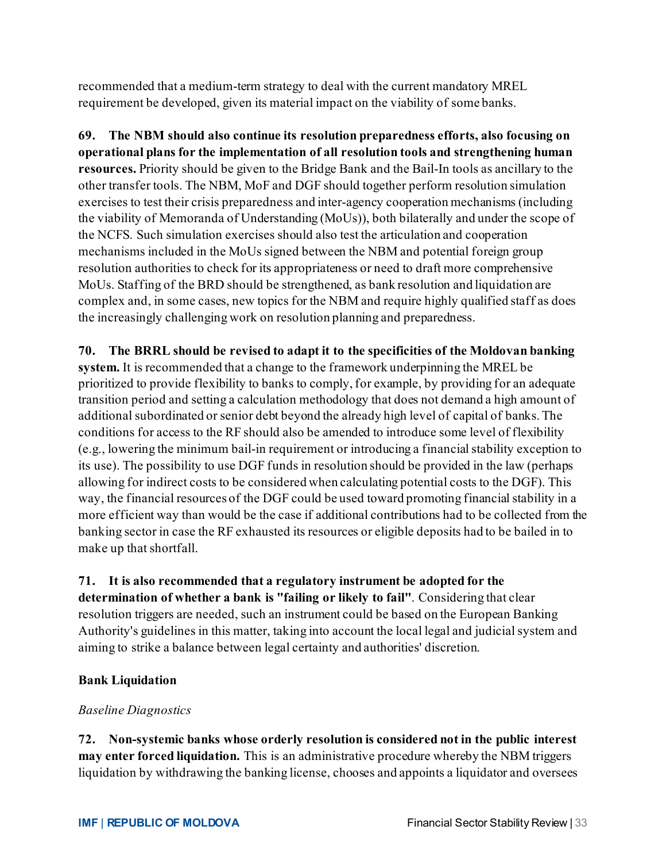recommended that a medium-term strategy to deal with the current mandatory MREL requirement be developed, given its material impact on the viability of some banks.

**69. The NBM should also continue its resolution preparedness efforts, also focusing on operational plans for the implementation of all resolution tools and strengthening human resources.** Priority should be given to the Bridge Bank and the Bail-In tools as ancillary to the other transfer tools. The NBM, MoF and DGF should together perform resolution simulation exercises to test their crisis preparedness and inter-agency cooperation mechanisms (including the viability of Memoranda of Understanding (MoUs)), both bilaterally and under the scope of the NCFS. Such simulation exercises should also test the articulation and cooperation mechanisms included in the MoUs signed between the NBM and potential foreign group resolution authorities to check for its appropriateness or need to draft more comprehensive MoUs. Staffing of the BRD should be strengthened, as bank resolution and liquidation are complex and, in some cases, new topics for the NBM and require highly qualified staff as does the increasingly challenging work on resolution planning and preparedness.

# **70. The BRRL should be revised to adapt it to the specificities of the Moldovan banking**

**system.** It is recommended that a change to the framework underpinning the MREL be prioritized to provide flexibility to banks to comply, for example, by providing for an adequate transition period and setting a calculation methodology that does not demand a high amount of additional subordinated or senior debt beyond the already high level of capital of banks. The conditions for access to the RF should also be amended to introduce some level of flexibility (e.g., lowering the minimum bail-in requirement or introducing a financial stability exception to its use). The possibility to use DGF funds in resolution should be provided in the law (perhaps allowing for indirect costs to be considered when calculating potential costs to the DGF). This way, the financial resources of the DGF could be used toward promoting financial stability in a more efficient way than would be the case if additional contributions had to be collected from the banking sector in case the RF exhausted its resources or eligible deposits had to be bailed in to make up that shortfall.

# **71. It is also recommended that a regulatory instrument be adopted for the**

**determination of whether a bank is "failing or likely to fail"**. Considering that clear resolution triggers are needed, such an instrument could be based on the European Banking Authority's guidelines in this matter, taking into account the local legal and judicial system and aiming to strike a balance between legal certainty and authorities' discretion.

#### **Bank Liquidation**

#### *Baseline Diagnostics*

**72. Non-systemic banks whose orderly resolution is considered not in the public interest may enter forced liquidation.** This is an administrative procedure whereby the NBM triggers liquidation by withdrawing the banking license, chooses and appoints a liquidator and oversees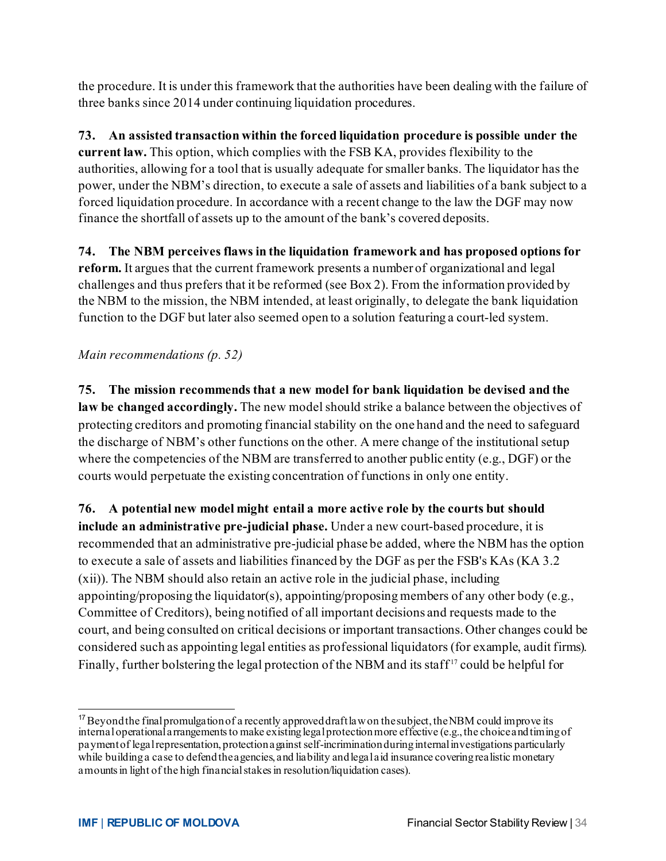the procedure. It is under this framework that the authorities have been dealing with the failure of three banks since 2014 under continuing liquidation procedures.

**73. An assisted transaction within the forced liquidation procedure is possible under the current law.** This option, which complies with the FSB KA, provides flexibility to the authorities, allowing for a tool that is usually adequate for smaller banks. The liquidator has the power, under the NBM's direction, to execute a sale of assets and liabilities of a bank subject to a forced liquidation procedure. In accordance with a recent change to the law the DGF may now finance the shortfall of assets up to the amount of the bank's covered deposits.

**74. The NBM perceives flaws in the liquidation framework and has proposed options for reform.** It argues that the current framework presents a number of organizational and legal challenges and thus prefers that it be reformed (see Box 2). From the information provided by the NBM to the mission, the NBM intended, at least originally, to delegate the bank liquidation function to the DGF but later also seemed open to a solution featuring a court-led system.

#### *Main recommendations (p. 52)*

**75. The mission recommends that a new model for bank liquidation be devised and the law be changed accordingly.** The new model should strike a balance between the objectives of protecting creditors and promoting financial stability on the one hand and the need to safeguard the discharge of NBM's other functions on the other. A mere change of the institutional setup where the competencies of the NBM are transferred to another public entity (e.g., DGF) or the courts would perpetuate the existing concentration of functions in only one entity.

**76. A potential new model might entail a more active role by the courts but should include an administrative pre-judicial phase.** Under a new court-based procedure, it is recommended that an administrative pre-judicial phase be added, where the NBM has the option to execute a sale of assets and liabilities financed by the DGF as per the FSB's KAs (KA 3.2 (xii)). The NBM should also retain an active role in the judicial phase, including appointing/proposing the liquidator(s), appointing/proposing members of any other body (e.g., Committee of Creditors), being notified of all important decisions and requests made to the court, and being consulted on critical decisions or important transactions. Other changes could be considered such as appointing legal entities as professional liquidators (for example, audit firms). Finally, further bolstering the legal protection of the NBM and its staff<sup>[17](#page-34-0)</sup> could be helpful for

<span id="page-34-0"></span> $17$ Beyond the final promulgation of a recently approved draft law on the subject, the NBM could improve its internal operational arrangements to make existing legal protection more effective (e.g., the choice and timing of payment of legal representation, protection against self-incrimination during internal investigations particularly while building a case to defend the agencies, and liability and legal aid insurance covering realistic monetary amounts in light of the high financial stakes in resolution/liquidation cases).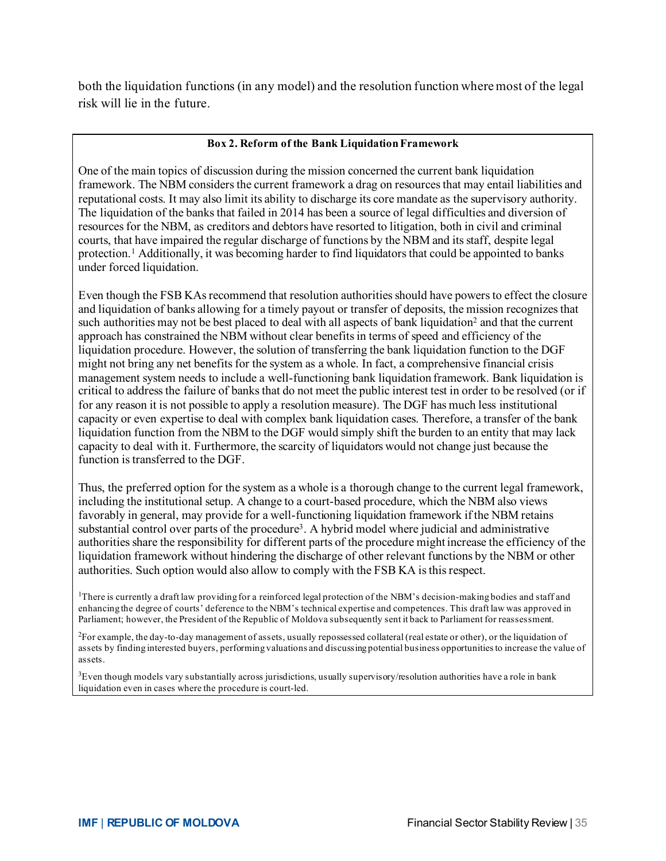both the liquidation functions (in any model) and the resolution function where most of the legal risk will lie in the future.

#### **Box 2. Reform of the Bank Liquidation Framework**

One of the main topics of discussion during the mission concerned the current bank liquidation framework. The NBM considers the current framework a drag on resources that may entail liabilities and reputational costs. It may also limit its ability to discharge its core mandate as the supervisory authority. The liquidation of the banks that failed in 2014 has been a source of legal difficulties and diversion of resources for the NBM, as creditors and debtors have resorted to litigation, both in civil and criminal courts, that have impaired the regular discharge of functions by the NBM and its staff, despite legal protection.1 Additionally, it was becoming harder to find liquidators that could be appointed to banks under forced liquidation.

Even though the FSB KAsrecommend that resolution authorities should have powers to effect the closure and liquidation of banks allowing for a timely payout or transfer of deposits, the mission recognizes that such authorities may not be best placed to deal with all aspects of bank liquidation<sup>2</sup> and that the current approach has constrained the NBM without clear benefits in terms of speed and efficiency of the liquidation procedure. However, the solution of transferring the bank liquidation function to the DGF might not bring any net benefits for the system as a whole. In fact, a comprehensive financial crisis management system needs to include a well-functioning bank liquidation framework. Bank liquidation is critical to address the failure of banks that do not meet the public interest test in order to be resolved (or if for any reason it is not possible to apply a resolution measure). The DGF has much less institutional capacity or even expertise to deal with complex bank liquidation cases. Therefore, a transfer of the bank liquidation function from the NBM to the DGF would simply shift the burden to an entity that may lack capacity to deal with it. Furthermore, the scarcity of liquidators would not change just because the function is transferred to the DGF.

Thus, the preferred option for the system as a whole is a thorough change to the current legal framework, including the institutional setup. A change to a court-based procedure, which the NBM also views favorably in general, may provide for a well-functioning liquidation framework if the NBM retains substantial control over parts of the procedure3. A hybrid model where judicial and administrative authorities share the responsibility for different parts of the procedure might increase the efficiency of the liquidation framework without hindering the discharge of other relevant functions by the NBM or other authorities. Such option would also allow to comply with the FSB KA is this respect.

<sup>1</sup>There is currently a draft law providing for a reinforced legal protection of the NBM's decision-making bodies and staff and enhancing the degree of courts' deference to the NBM's technical expertise and competences. This draft law was approved in Parliament; however, the President of the Republic of Moldova subsequently sent it back to Parliament for reassessment.

2 For example, the day-to-day management of assets, usually repossessed collateral (real estate or other), or the liquidation of assets by finding interested buyers, performing valuations and discussing potential business opportunities to increase the value of assets.

<sup>3</sup>Even though models vary substantially across jurisdictions, usually supervisory/resolution authorities have a role in bank liquidation even in cases where the procedure is court-led.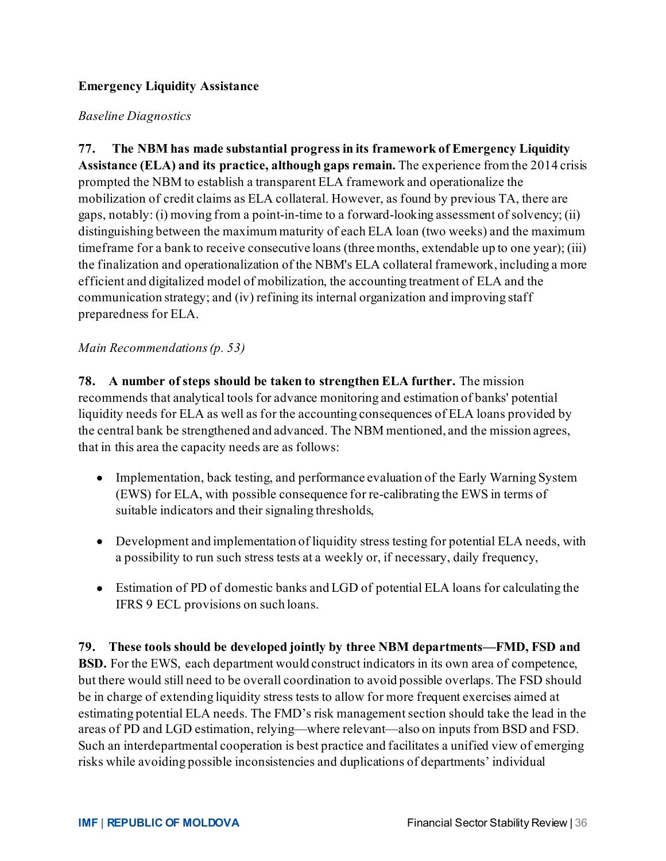#### **Emergency Liquidity Assistance**

#### *Baseline Diagnostics*

**77. The NBM has made substantial progress in its framework of Emergency Liquidity Assistance (ELA) and its practice, although gaps remain.** The experience from the 2014 crisis prompted the NBM to establish a transparent ELA framework and operationalize the mobilization of credit claims as ELA collateral. However, as found by previous TA, there are gaps, notably: (i) moving from a point-in-time to a forward-looking assessment of solvency; (ii) distinguishing between the maximum maturity of each ELA loan (two weeks) and the maximum timeframe for a bank to receive consecutive loans (three months, extendable up to one year); (iii) the finalization and operationalization of the NBM's ELA collateral framework, including a more efficient and digitalized model of mobilization, the accounting treatment of ELA and the communication strategy; and (iv) refining its internal organization and improving staff preparedness for ELA.

#### *Main Recommendations(p. 53)*

**78. A number of steps should be taken to strengthen ELA further.** The mission recommends that analytical tools for advance monitoring and estimation of banks' potential liquidity needs for ELA as well as for the accounting consequences of ELA loans provided by the central bank be strengthened and advanced. The NBM mentioned, and the mission agrees, that in this area the capacity needs are as follows:

- Implementation, back testing, and performance evaluation of the Early Warning System (EWS) for ELA, with possible consequence for re-calibrating the EWS in terms of suitable indicators and their signaling thresholds,
- Development and implementation of liquidity stress testing for potential ELA needs, with a possibility to run such stress tests at a weekly or, if necessary, daily frequency,
- Estimation of PD of domestic banks and LGD of potential ELA loans for calculating the IFRS 9 ECL provisions on such loans.

**79. These tools should be developed jointly by three NBM departments—FMD, FSD and BSD.** For the EWS, each department would construct indicators in its own area of competence, but there would still need to be overall coordination to avoid possible overlaps. The FSD should be in charge of extending liquidity stress tests to allow for more frequent exercises aimed at estimating potential ELA needs. The FMD's risk management section should take the lead in the areas of PD and LGD estimation, relying—where relevant—also on inputs from BSD and FSD. Such an interdepartmental cooperation is best practice and facilitates a unified view of emerging risks while avoiding possible inconsistencies and duplications of departments' individual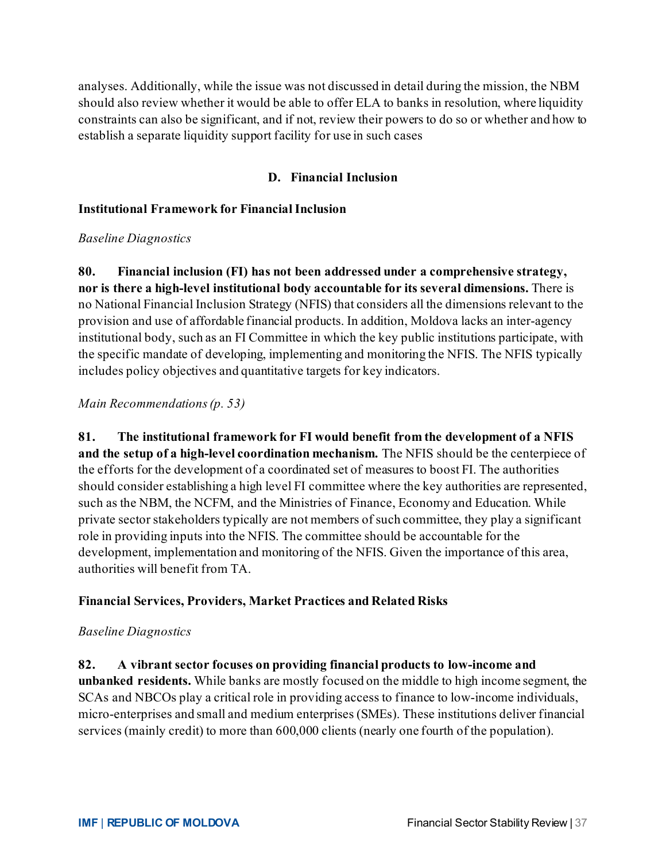analyses. Additionally, while the issue was not discussed in detail during the mission, the NBM should also review whether it would be able to offer ELA to banks in resolution, where liquidity constraints can also be significant, and if not, review their powers to do so or whether and how to establish a separate liquidity support facility for use in such cases

#### **D. Financial Inclusion**

#### **Institutional Framework for Financial Inclusion**

#### *Baseline Diagnostics*

**80. Financial inclusion (FI) has not been addressed under a comprehensive strategy, nor is there a high-level institutional body accountable for its several dimensions.** There is no National Financial Inclusion Strategy (NFIS) that considers all the dimensions relevant to the provision and use of affordable financial products. In addition, Moldova lacks an inter-agency institutional body, such as an FI Committee in which the key public institutions participate, with the specific mandate of developing, implementing and monitoring the NFIS. The NFIS typically includes policy objectives and quantitative targets for key indicators.

#### *Main Recommendations(p. 53)*

**81. The institutional framework for FI would benefit from the development of a NFIS and the setup of a high-level coordination mechanism.** The NFIS should be the centerpiece of the efforts for the development of a coordinated set of measures to boost FI. The authorities should consider establishing a high level FI committee where the key authorities are represented, such as the NBM, the NCFM, and the Ministries of Finance, Economy and Education. While private sector stakeholders typically are not members of such committee, they play a significant role in providing inputs into the NFIS. The committee should be accountable for the development, implementation and monitoring of the NFIS. Given the importance of this area, authorities will benefit from TA.

#### **Financial Services, Providers, Market Practices and Related Risks**

#### *Baseline Diagnostics*

**82. A vibrant sector focuses on providing financial products to low-income and** 

**unbanked residents.** While banks are mostly focused on the middle to high income segment, the SCAs and NBCOs play a critical role in providing access to finance to low-income individuals, micro-enterprises and small and medium enterprises (SMEs). These institutions deliver financial services (mainly credit) to more than 600,000 clients (nearly one fourth of the population).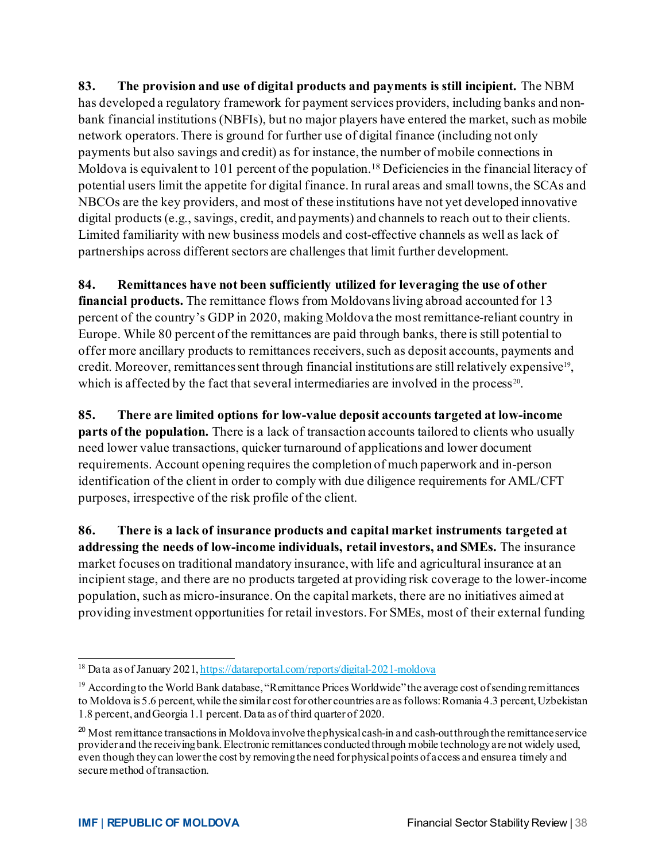**83. The provision and use of digital products and payments is still incipient.** The NBM has developed a regulatory framework for payment services providers, including banks and nonbank financial institutions (NBFIs), but no major players have entered the market, such as mobile network operators. There is ground for further use of digital finance (including not only payments but also savings and credit) as for instance, the number of mobile connections in Moldova is equivalent to 101 percent of the population.<sup>[18](#page-38-0)</sup> Deficiencies in the financial literacy of potential users limit the appetite for digital finance. In rural areas and small towns, the SCAs and NBCOs are the key providers, and most of these institutions have not yet developed innovative digital products (e.g., savings, credit, and payments) and channels to reach out to their clients. Limited familiarity with new business models and cost-effective channels as well as lack of partnerships across different sectors are challenges that limit further development.

#### **84. Remittances have not been sufficiently utilized for leveraging the use of other**

**financial products.** The remittance flows from Moldovans living abroad accounted for 13 percent of the country's GDP in 2020, making Moldova the most remittance-reliant country in Europe. While 80 percent of the remittances are paid through banks, there is still potential to offer more ancillary products to remittances receivers, such as deposit accounts, payments and credit. Moreover, remittances sent through financial institutions are still relatively expensive<sup>19</sup>, which is affected by the fact that several intermediaries are involved in the process<sup>[20](#page-38-2)</sup>.

**85. There are limited options for low-value deposit accounts targeted at low-income parts of the population.** There is a lack of transaction accounts tailored to clients who usually need lower value transactions, quicker turnaround of applications and lower document requirements. Account opening requires the completion of much paperwork and in-person identification of the client in order to comply with due diligence requirements for AML/CFT purposes, irrespective of the risk profile of the client.

**86. There is a lack of insurance products and capital market instruments targeted at addressing the needs of low-income individuals, retail investors, and SMEs.** The insurance market focuses on traditional mandatory insurance, with life and agricultural insurance at an incipient stage, and there are no products targeted at providing risk coverage to the lower-income population, such as micro-insurance. On the capital markets, there are no initiatives aimed at providing investment opportunities for retail investors. For SMEs, most of their external funding

<span id="page-38-0"></span><sup>&</sup>lt;sup>18</sup> Data as of January 202[1, https://datareportal.com/reports/digital-2021-moldova](https://datareportal.com/reports/digital-2021-moldova)

<span id="page-38-1"></span><sup>&</sup>lt;sup>19</sup> According to the World Bank database, "Remittance Prices Worldwide" the average cost of sending remittances to Moldova is 5.6 percent, while the similar cost for other countries are as follows: Romania 4.3 percent, Uzbekistan 1.8 percent, and Georgia 1.1 percent. Data as of third quarter of 2020.

<span id="page-38-2"></span> $^{20}$  Most remittance transactions in Moldova involve the physical cash-in and cash-out through the remittance service provider and the receiving bank. Electronic remittances conducted through mobile technology are not widely used, even though they can lower the cost by removing the need for physical points of access and ensure a timely and secure method of transaction.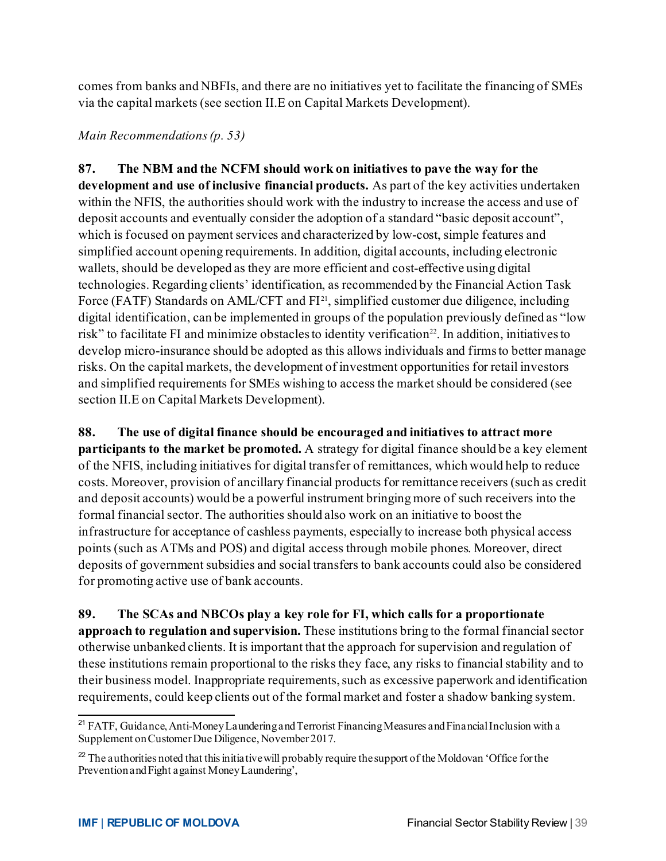comes from banks and NBFIs, and there are no initiatives yet to facilitate the financing of SMEs via the capital markets (see section II.E on Capital Markets Development).

#### *Main Recommendations(p. 53)*

**87. The NBM and the NCFM should work on initiatives to pave the way for the development and use of inclusive financial products.** As part of the key activities undertaken within the NFIS, the authorities should work with the industry to increase the access and use of deposit accounts and eventually consider the adoption of a standard "basic deposit account", which is focused on payment services and characterized by low-cost, simple features and simplified account opening requirements. In addition, digital accounts, including electronic wallets, should be developed as they are more efficient and cost-effective using digital technologies. Regarding clients' identification, as recommended by the Financial Action Task Force (FATF) Standards on AML/CFT and  $FI<sup>21</sup>$ , simplified customer due diligence, including digital identification, can be implemented in groups of the population previously defined as "low risk" to facilitate FI and minimize obstacles to identity verification<sup>22</sup>. In addition, initiatives to develop micro-insurance should be adopted as this allows individuals and firms to better manage risks. On the capital markets, the development of investment opportunities for retail investors and simplified requirements for SMEs wishing to access the market should be considered (see section II.E on Capital Markets Development).

**88. The use of digital finance should be encouraged and initiatives to attract more participants to the market be promoted.** A strategy for digital finance should be a key element of the NFIS, including initiatives for digital transfer of remittances, which would help to reduce costs. Moreover, provision of ancillary financial products for remittance receivers (such as credit and deposit accounts) would be a powerful instrument bringing more of such receivers into the formal financial sector. The authorities should also work on an initiative to boost the infrastructure for acceptance of cashless payments, especially to increase both physical access points (such as ATMs and POS) and digital access through mobile phones. Moreover, direct deposits of government subsidies and social transfers to bank accounts could also be considered for promoting active use of bank accounts.

**89. The SCAs and NBCOs play a key role for FI, which calls for a proportionate approach to regulation and supervision.** These institutions bring to the formal financial sector otherwise unbanked clients. It is important that the approach for supervision and regulation of these institutions remain proportional to the risks they face, any risks to financial stability and to their business model. Inappropriate requirements, such as excessive paperwork and identification requirements, could keep clients out of the formal market and foster a shadow banking system.

<span id="page-39-0"></span><sup>&</sup>lt;sup>21</sup> FATF, Guidance, Anti-Money Laundering and Terrorist Financing Measures and Financial Inclusion with a Supplement on Customer Due Diligence, November 2017.

<span id="page-39-1"></span> $^{22}$  The authorities noted that this initiative will probably require the support of the Moldovan 'Office for the Prevention and Fight against Money Laundering',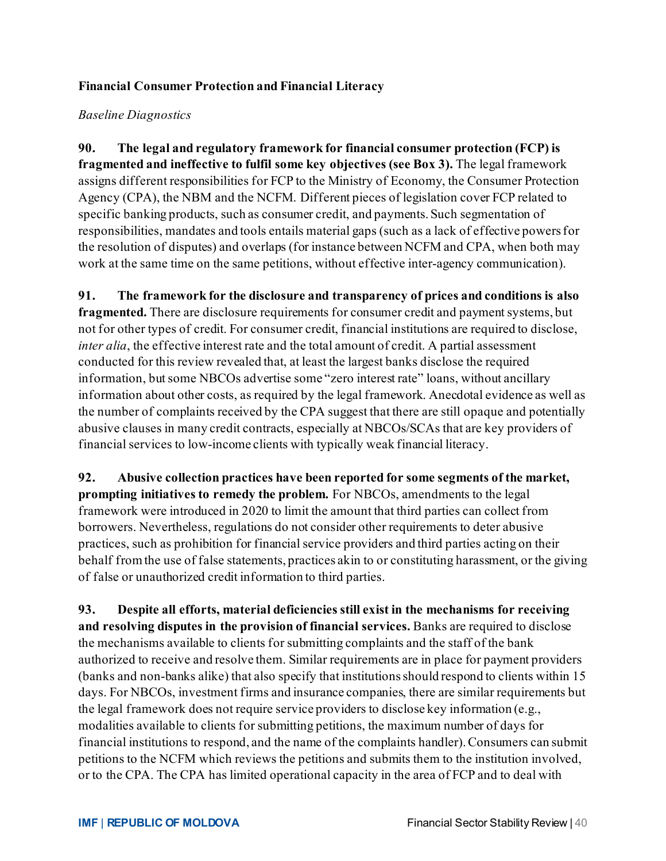#### **Financial Consumer Protection and Financial Literacy**

#### *Baseline Diagnostics*

**90. The legal and regulatory framework for financial consumer protection (FCP) is fragmented and ineffective to fulfil some key objectives (see Box 3).** The legal framework assigns different responsibilities for FCP to the Ministry of Economy, the Consumer Protection Agency (CPA), the NBM and the NCFM. Different pieces of legislation cover FCP related to specific banking products, such as consumer credit, and payments. Such segmentation of responsibilities, mandates and tools entails material gaps (such as a lack of effective powers for the resolution of disputes) and overlaps (for instance between NCFM and CPA, when both may work at the same time on the same petitions, without effective inter-agency communication).

**91. The framework for the disclosure and transparency of prices and conditions is also fragmented.** There are disclosure requirements for consumer credit and payment systems, but not for other types of credit. For consumer credit, financial institutions are required to disclose, *inter alia*, the effective interest rate and the total amount of credit. A partial assessment conducted for this review revealed that, at least the largest banks disclose the required information, but some NBCOs advertise some "zero interest rate" loans, without ancillary information about other costs, as required by the legal framework. Anecdotal evidence as well as the number of complaints received by the CPA suggest that there are still opaque and potentially abusive clauses in many credit contracts, especially at NBCOs/SCAs that are key providers of financial services to low-income clients with typically weak financial literacy.

**92. Abusive collection practices have been reported for some segments of the market, prompting initiatives to remedy the problem.** For NBCOs, amendments to the legal framework were introduced in 2020 to limit the amount that third parties can collect from borrowers. Nevertheless, regulations do not consider other requirements to deter abusive practices, such as prohibition for financial service providers and third parties acting on their behalf from the use of false statements, practices akin to or constituting harassment, or the giving of false or unauthorized credit information to third parties.

**93. Despite all efforts, material deficiencies still exist in the mechanisms for receiving and resolving disputes in the provision of financial services.** Banks are required to disclose the mechanisms available to clients for submitting complaints and the staff of the bank authorized to receive and resolve them. Similar requirements are in place for payment providers (banks and non-banks alike) that also specify that institutions should respond to clients within 15 days. For NBCOs, investment firms and insurance companies, there are similar requirements but the legal framework does not require service providers to disclose key information (e.g., modalities available to clients for submitting petitions, the maximum number of days for financial institutions to respond, and the name of the complaints handler). Consumers can submit petitions to the NCFM which reviews the petitions and submits them to the institution involved, or to the CPA. The CPA has limited operational capacity in the area of FCP and to deal with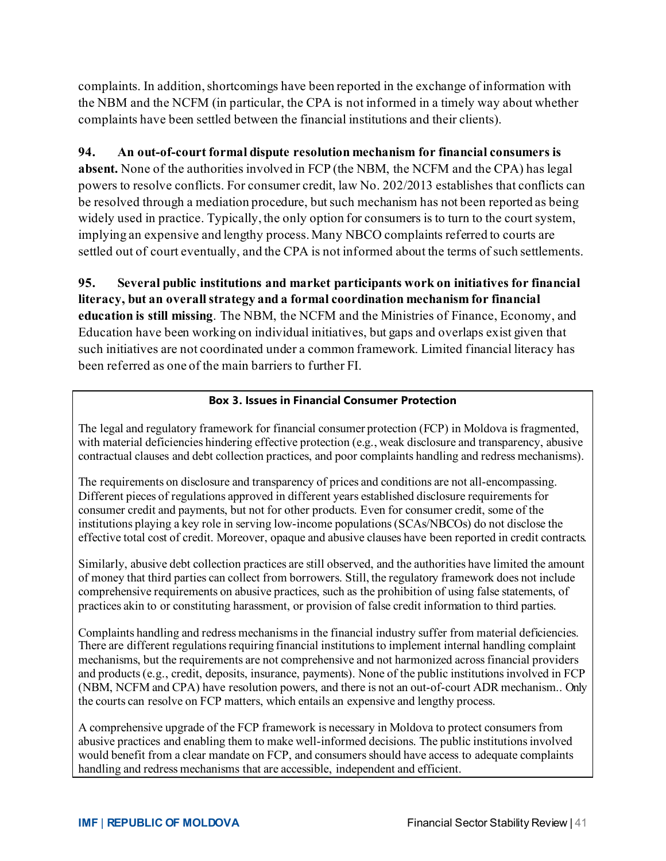complaints. In addition, shortcomings have been reported in the exchange of information with the NBM and the NCFM (in particular, the CPA is not informed in a timely way about whether complaints have been settled between the financial institutions and their clients).

#### **94. An out-of-court formal dispute resolution mechanism for financial consumers is**

**absent.** None of the authorities involved in FCP (the NBM, the NCFM and the CPA) has legal powers to resolve conflicts. For consumer credit, law No. 202/2013 establishes that conflicts can be resolved through a mediation procedure, but such mechanism has not been reported as being widely used in practice. Typically, the only option for consumers is to turn to the court system, implying an expensive and lengthy process. Many NBCO complaints referred to courts are settled out of court eventually, and the CPA is not informed about the terms of such settlements.

**95. Several public institutions and market participants work on initiatives for financial literacy, but an overall strategy and a formal coordination mechanism for financial education is still missing**. The NBM, the NCFM and the Ministries of Finance, Economy, and Education have been working on individual initiatives, but gaps and overlaps exist given that such initiatives are not coordinated under a common framework. Limited financial literacy has been referred as one of the main barriers to further FI.

#### **Box 3. Issues in Financial Consumer Protection**

The legal and regulatory framework for financial consumer protection (FCP) in Moldova is fragmented, with material deficiencies hindering effective protection (e.g., weak disclosure and transparency, abusive contractual clauses and debt collection practices, and poor complaints handling and redress mechanisms).

The requirements on disclosure and transparency of prices and conditions are not all-encompassing. Different pieces of regulations approved in different years established disclosure requirements for consumer credit and payments, but not for other products. Even for consumer credit, some of the institutions playing a key role in serving low-income populations (SCAs/NBCOs) do not disclose the effective total cost of credit. Moreover, opaque and abusive clauses have been reported in credit contracts.

Similarly, abusive debt collection practices are still observed, and the authorities have limited the amount of money that third parties can collect from borrowers. Still, the regulatory framework does not include comprehensive requirements on abusive practices, such as the prohibition of using false statements, of practices akin to or constituting harassment, or provision of false credit information to third parties.

Complaints handling and redress mechanisms in the financial industry suffer from material deficiencies. There are different regulations requiring financial institutions to implement internal handling complaint mechanisms, but the requirements are not comprehensive and not harmonized across financial providers and products (e.g., credit, deposits, insurance, payments). None of the public institutions involved in FCP (NBM, NCFM and CPA) have resolution powers, and there is not an out-of-court ADR mechanism.. Only the courts can resolve on FCP matters, which entails an expensive and lengthy process.

A comprehensive upgrade of the FCP framework is necessary in Moldova to protect consumers from abusive practices and enabling them to make well-informed decisions. The public institutions involved would benefit from a clear mandate on FCP, and consumers should have access to adequate complaints handling and redress mechanisms that are accessible, independent and efficient.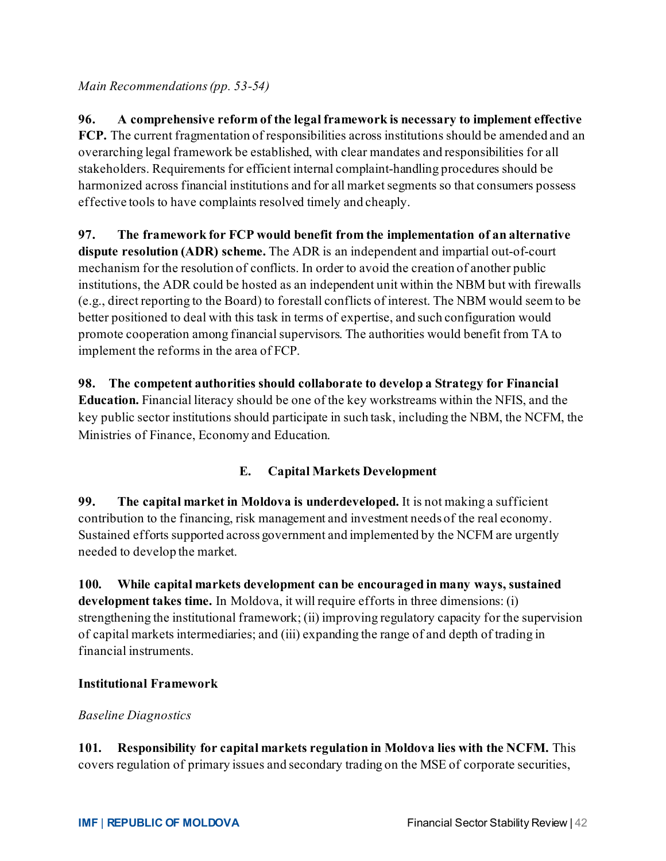*Main Recommendations(pp. 53-54)*

**96. A comprehensive reform of the legal framework is necessary to implement effective FCP.** The current fragmentation of responsibilities across institutions should be amended and an overarching legal framework be established, with clear mandates and responsibilities for all stakeholders. Requirements for efficient internal complaint-handling procedures should be harmonized across financial institutions and for all market segments so that consumers possess effective tools to have complaints resolved timely and cheaply.

**97. The framework for FCP would benefit from the implementation of an alternative dispute resolution (ADR) scheme.** The ADR is an independent and impartial out-of-court mechanism for the resolution of conflicts. In order to avoid the creation of another public institutions, the ADR could be hosted as an independent unit within the NBM but with firewalls (e.g., direct reporting to the Board) to forestall conflicts of interest. The NBM would seem to be better positioned to deal with this task in terms of expertise, and such configuration would promote cooperation among financial supervisors. The authorities would benefit from TA to implement the reforms in the area of FCP.

**98. The competent authorities should collaborate to develop a Strategy for Financial Education.** Financial literacy should be one of the key workstreams within the NFIS, and the key public sector institutions should participate in such task, including the NBM, the NCFM, the Ministries of Finance, Economy and Education.

# **E. Capital Markets Development**

**99. The capital market in Moldova is underdeveloped.** It is not making a sufficient contribution to the financing, risk management and investment needs of the real economy. Sustained efforts supported across government and implemented by the NCFM are urgently needed to develop the market.

**100. While capital markets development can be encouraged in many ways, sustained development takes time.** In Moldova, it will require efforts in three dimensions: (i) strengthening the institutional framework; (ii) improving regulatory capacity for the supervision of capital markets intermediaries; and (iii) expanding the range of and depth of trading in financial instruments.

#### **Institutional Framework**

#### *Baseline Diagnostics*

**101. Responsibility for capital markets regulation in Moldova lies with the NCFM.** This covers regulation of primary issues and secondary trading on the MSE of corporate securities,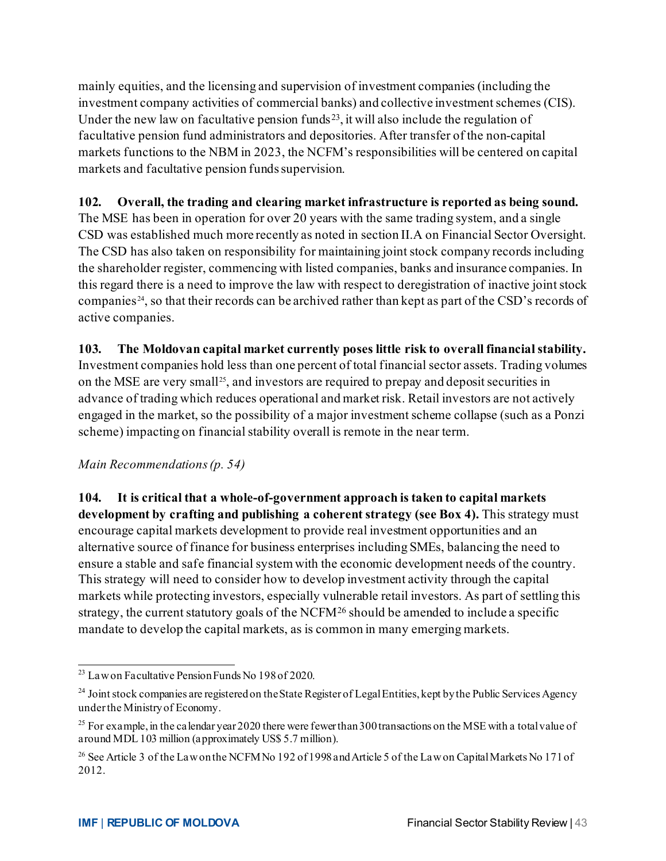mainly equities, and the licensing and supervision of investment companies (including the investment company activities of commercial banks) and collective investment schemes (CIS). Under the new law on facultative pension funds<sup>23</sup>, it will also include the regulation of facultative pension fund administrators and depositories. After transfer of the non-capital markets functions to the NBM in 2023, the NCFM's responsibilities will be centered on capital markets and facultative pension funds supervision.

#### **102. Overall, the trading and clearing market infrastructure is reported as being sound.**

The MSE has been in operation for over 20 years with the same trading system, and a single CSD was established much more recently as noted in section II.A on Financial Sector Oversight. The CSD has also taken on responsibility for maintaining joint stock company records including the shareholder register, commencing with listed companies, banks and insurance companies. In this regard there is a need to improve the law with respect to deregistration of inactive joint stock companies [24,](#page-43-1) so that their records can be archived rather than kept as part of the CSD's records of active companies.

#### **103. The Moldovan capital market currently poses little risk to overall financial stability.**

Investment companies hold less than one percent of total financial sector assets. Trading volumes on the MSE are very small<sup>[25](#page-43-2)</sup>, and investors are required to prepay and deposit securities in advance of trading which reduces operational and market risk. Retail investors are not actively engaged in the market, so the possibility of a major investment scheme collapse (such as a Ponzi scheme) impacting on financial stability overall is remote in the near term.

#### *Main Recommendations(p. 54)*

**104. It is critical that a whole-of-government approach is taken to capital markets development by crafting and publishing a coherent strategy (see Box 4).** This strategy must encourage capital markets development to provide real investment opportunities and an alternative source of finance for business enterprises including SMEs, balancing the need to ensure a stable and safe financial system with the economic development needs of the country. This strategy will need to consider how to develop investment activity through the capital markets while protecting investors, especially vulnerable retail investors. As part of settling this strategy, the current statutory goals of the NCFM<sup>[26](#page-43-3)</sup> should be amended to include a specific mandate to develop the capital markets, as is common in many emerging markets.

<span id="page-43-0"></span> $^{23}$  Law on Facultative Pension Funds No 198 of 2020.

<span id="page-43-1"></span><sup>&</sup>lt;sup>24</sup> Joint stock companies are registered on the State Register of Legal Entities, kept by the Public Services Agency under the Ministry of Economy.

<span id="page-43-2"></span><sup>&</sup>lt;sup>25</sup> For example, in the calendar year 2020 there were fewer than 300 transactions on the MSE with a total value of around MDL 103 million (approximately US\$ 5.7 million).

<span id="page-43-3"></span><sup>&</sup>lt;sup>26</sup> See Article 3 of the Law on the NCFM No 192 of 1998 and Article 5 of the Law on Capital Markets No 171 of 2012.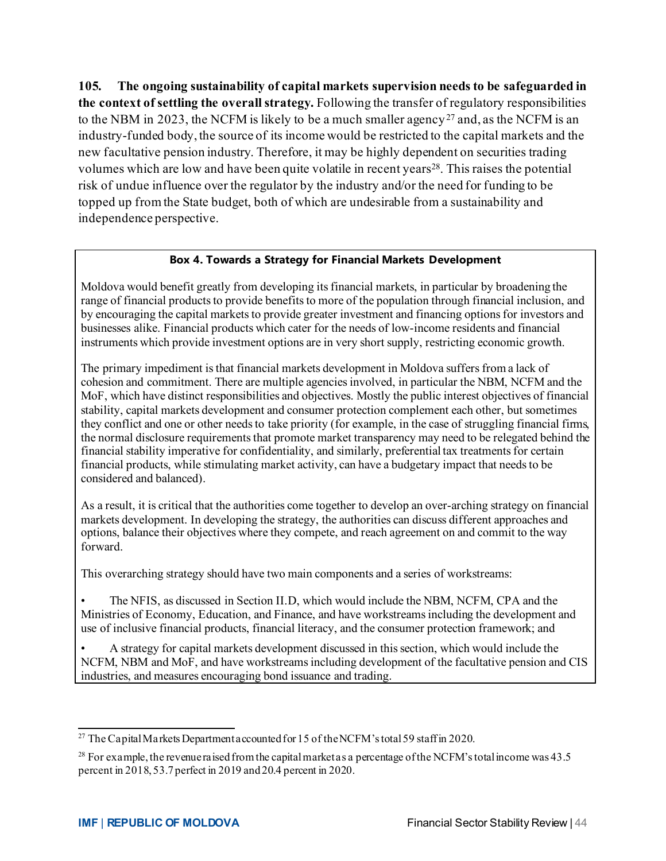**105. The ongoing sustainability of capital markets supervision needs to be safeguarded in the context of settling the overall strategy.** Following the transfer of regulatory responsibilities to the NBM in 2023, the NCFM is likely to be a much smaller agency<sup>[27](#page-44-0)</sup> and, as the NCFM is an industry-funded body, the source of its income would be restricted to the capital markets and the new facultative pension industry. Therefore, it may be highly dependent on securities trading volumes which are low and have been quite volatile in recent years<sup>28</sup>. This raises the potential risk of undue influence over the regulator by the industry and/or the need for funding to be topped up from the State budget, both of which are undesirable from a sustainability and independence perspective.

#### **Box 4. Towards a Strategy for Financial Markets Development**

Moldova would benefit greatly from developing its financial markets, in particular by broadening the range of financial products to provide benefits to more of the population through financial inclusion, and by encouraging the capital markets to provide greater investment and financing options for investors and businesses alike. Financial products which cater for the needs of low-income residents and financial instruments which provide investment options are in very short supply, restricting economic growth.

The primary impediment is that financial markets development in Moldova suffers from a lack of cohesion and commitment. There are multiple agencies involved, in particular the NBM, NCFM and the MoF, which have distinct responsibilities and objectives. Mostly the public interest objectives of financial stability, capital markets development and consumer protection complement each other, but sometimes they conflict and one or other needs to take priority (for example, in the case of struggling financial firms, the normal disclosure requirements that promote market transparency may need to be relegated behind the financial stability imperative for confidentiality, and similarly, preferential tax treatments for certain financial products, while stimulating market activity, can have a budgetary impact that needs to be considered and balanced).

As a result, it is critical that the authorities come together to develop an over-arching strategy on financial markets development. In developing the strategy, the authorities can discuss different approaches and options, balance their objectives where they compete, and reach agreement on and commit to the way forward.

This overarching strategy should have two main components and a series of workstreams:

• The NFIS, as discussed in Section II.D, which would include the NBM, NCFM, CPA and the Ministries of Economy, Education, and Finance, and have workstreams including the development and use of inclusive financial products, financial literacy, and the consumer protection framework; and

• A strategy for capital markets development discussed in this section, which would include the NCFM, NBM and MoF, and have workstreams including development of the facultative pension and CIS industries, and measures encouraging bond issuance and trading.

<span id="page-44-0"></span><sup>&</sup>lt;sup>27</sup> The Capital Markets Department accounted for 15 of the NCFM's total 59 staff in 2020.

<span id="page-44-1"></span><sup>&</sup>lt;sup>28</sup> For example, the revenue raised from the capital market as a percentage of the NCFM's total income was 43.5 percent in 2018, 53.7 perfect in 2019 and 20.4 percent in 2020.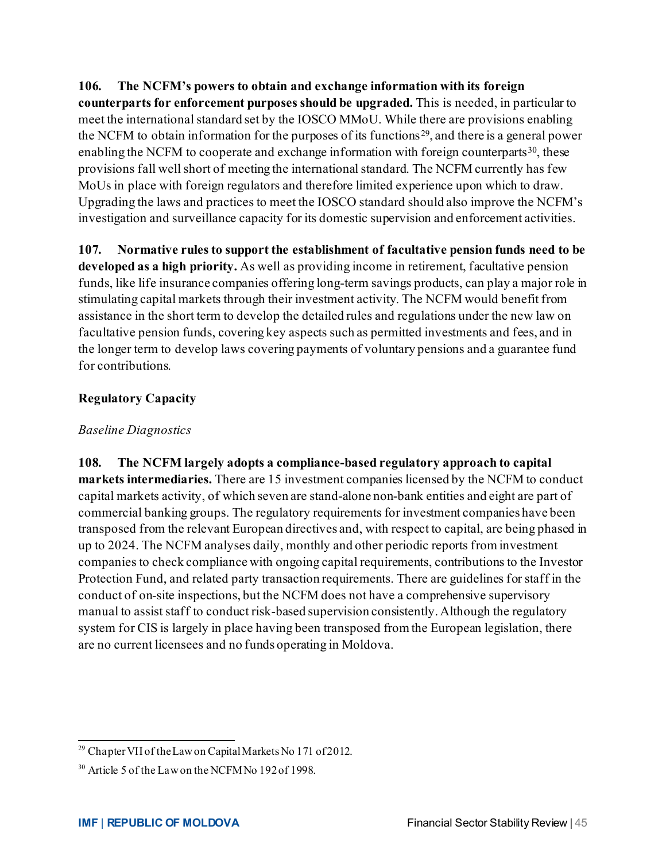**106. The NCFM's powers to obtain and exchange information with its foreign counterparts for enforcement purposes should be upgraded.** This is needed, in particular to meet the international standard set by the IOSCO MMoU. While there are provisions enabling the NCFM to obtain information for the purposes of its functions [29](#page-45-0), and there is a general power enabling the NCFM to cooperate and exchange information with foreign counterparts  $30$ , these provisions fall well short of meeting the international standard. The NCFM currently has few MoUs in place with foreign regulators and therefore limited experience upon which to draw. Upgrading the laws and practices to meet the IOSCO standard should also improve the NCFM's investigation and surveillance capacity for its domestic supervision and enforcement activities.

**107. Normative rules to support the establishment of facultative pension funds need to be developed as a high priority.** As well as providing income in retirement, facultative pension funds, like life insurance companies offering long-term savings products, can play a major role in stimulating capital markets through their investment activity. The NCFM would benefit from assistance in the short term to develop the detailed rules and regulations under the new law on facultative pension funds, covering key aspects such as permitted investments and fees, and in the longer term to develop laws covering payments of voluntary pensions and a guarantee fund for contributions.

#### **Regulatory Capacity**

#### *Baseline Diagnostics*

**108. The NCFM largely adopts a compliance-based regulatory approach to capital markets intermediaries.** There are 15 investment companies licensed by the NCFM to conduct capital markets activity, of which seven are stand-alone non-bank entities and eight are part of commercial banking groups. The regulatory requirements for investment companies have been transposed from the relevant European directives and, with respect to capital, are being phased in up to 2024. The NCFM analyses daily, monthly and other periodic reports from investment companies to check compliance with ongoing capital requirements, contributions to the Investor Protection Fund, and related party transaction requirements. There are guidelines for staff in the conduct of on-site inspections, but the NCFM does not have a comprehensive supervisory manual to assist staff to conduct risk-based supervision consistently. Although the regulatory system for CIS is largely in place having been transposed from the European legislation, there are no current licensees and no funds operating in Moldova.

<span id="page-45-0"></span><sup>&</sup>lt;sup>29</sup> Chapter VII of the Law on Capital Markets No 171 of 2012.

<span id="page-45-1"></span><sup>&</sup>lt;sup>30</sup> Article 5 of the Law on the NCFM No 192 of 1998.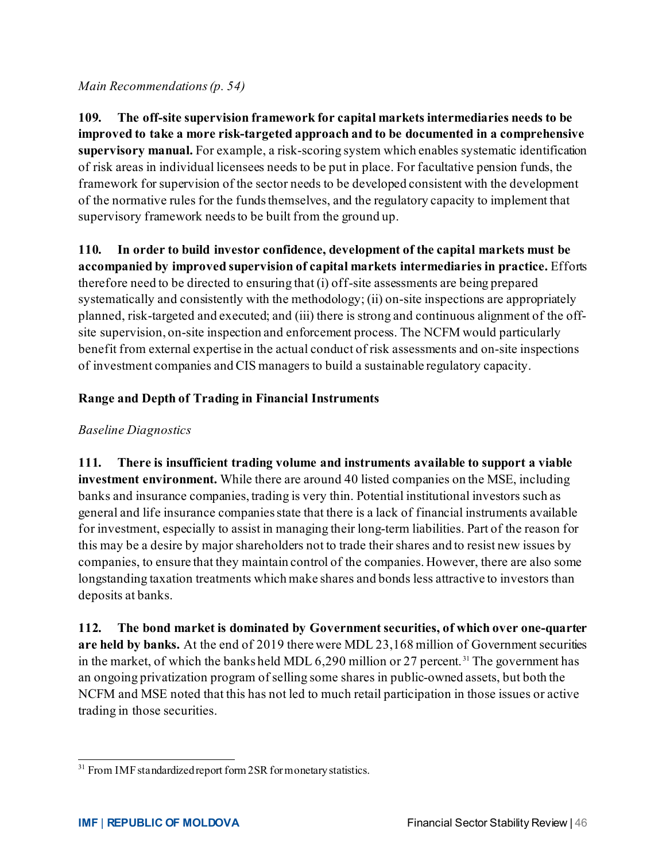*Main Recommendations(p. 54)*

**109. The off-site supervision framework for capital markets intermediaries needs to be improved to take a more risk-targeted approach and to be documented in a comprehensive supervisory manual.** For example, a risk-scoring system which enables systematic identification of risk areas in individual licensees needs to be put in place. For facultative pension funds, the framework for supervision of the sector needs to be developed consistent with the development of the normative rules for the funds themselves, and the regulatory capacity to implement that supervisory framework needs to be built from the ground up.

**110. In order to build investor confidence, development of the capital markets must be accompanied by improved supervision of capital markets intermediaries in practice.** Efforts therefore need to be directed to ensuring that (i) off-site assessments are being prepared systematically and consistently with the methodology; (ii) on-site inspections are appropriately planned, risk-targeted and executed; and (iii) there is strong and continuous alignment of the offsite supervision, on-site inspection and enforcement process. The NCFM would particularly benefit from external expertise in the actual conduct of risk assessments and on-site inspections of investment companies and CIS managers to build a sustainable regulatory capacity.

#### **Range and Depth of Trading in Financial Instruments**

#### *Baseline Diagnostics*

**111. There is insufficient trading volume and instruments available to support a viable investment environment.** While there are around 40 listed companies on the MSE, including banks and insurance companies, trading is very thin. Potential institutional investors such as general and life insurance companies state that there is a lack of financial instruments available for investment, especially to assist in managing their long-term liabilities. Part of the reason for this may be a desire by major shareholders not to trade their shares and to resist new issues by companies, to ensure that they maintain control of the companies. However, there are also some longstanding taxation treatments which make shares and bonds less attractive to investors than deposits at banks.

**112. The bond market is dominated by Government securities, of which over one-quarter are held by banks.** At the end of 2019 there were MDL 23,168 million of Government securities in the market, of which the banks held MDL 6,290 million or 27 percent.<sup>[31](#page-46-0)</sup> The government has an ongoing privatization program of selling some shares in public-owned assets, but both the NCFM and MSE noted that this has not led to much retail participation in those issues or active trading in those securities.

<span id="page-46-0"></span><sup>&</sup>lt;sup>31</sup> From IMF standardized report form 2SR for monetary statistics.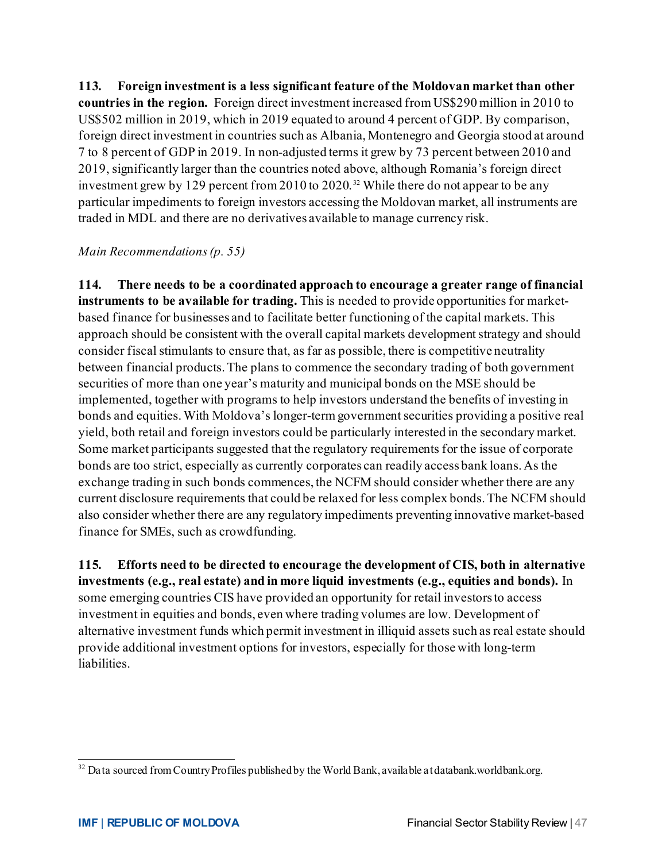**113. Foreign investment is a less significant feature of the Moldovan market than other countries in the region.** Foreign direct investment increased from US\$290 million in 2010 to US\$502 million in 2019, which in 2019 equated to around 4 percent of GDP. By comparison, foreign direct investment in countries such as Albania, Montenegro and Georgia stood at around 7 to 8 percent of GDP in 2019. In non-adjusted terms it grew by 73 percent between 2010 and 2019, significantly larger than the countries noted above, although Romania's foreign direct investment grew by 129 percent from 2010 to 2020. [32](#page-47-0) While there do not appear to be any particular impediments to foreign investors accessing the Moldovan market, all instruments are traded in MDL and there are no derivatives available to manage currency risk.

#### *Main Recommendations(p. 55)*

**114. There needs to be a coordinated approach to encourage a greater range of financial instruments to be available for trading.** This is needed to provide opportunities for marketbased finance for businesses and to facilitate better functioning of the capital markets. This approach should be consistent with the overall capital markets development strategy and should consider fiscal stimulants to ensure that, as far as possible, there is competitive neutrality between financial products. The plans to commence the secondary trading of both government securities of more than one year's maturity and municipal bonds on the MSE should be implemented, together with programs to help investors understand the benefits of investing in bonds and equities. With Moldova's longer-term government securities providing a positive real yield, both retail and foreign investors could be particularly interested in the secondary market. Some market participants suggested that the regulatory requirements for the issue of corporate bonds are too strict, especially as currently corporates can readily access bank loans. As the exchange trading in such bonds commences, the NCFM should consider whether there are any current disclosure requirements that could be relaxed for less complex bonds. The NCFM should also consider whether there are any regulatory impediments preventing innovative market-based finance for SMEs, such as crowdfunding.

**115. Efforts need to be directed to encourage the development of CIS, both in alternative investments (e.g., real estate) and in more liquid investments (e.g., equities and bonds).** In some emerging countries CIS have provided an opportunity for retail investors to access investment in equities and bonds, even where trading volumes are low. Development of alternative investment funds which permit investment in illiquid assets such as real estate should provide additional investment options for investors, especially for those with long-term liabilities.

<span id="page-47-0"></span> $32$  Data sourced from Country Profiles published by the World Bank, available at databank.worldbank.org.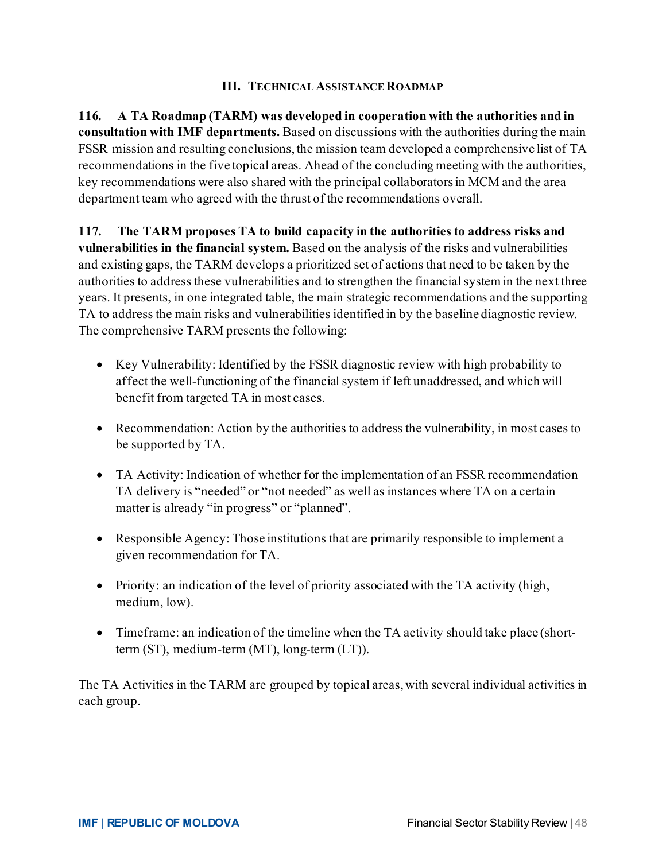#### **III. TECHNICAL ASSISTANCEROADMAP**

**116. A TA Roadmap (TARM) was developed in cooperation with the authorities and in consultation with IMF departments.** Based on discussions with the authorities during the main FSSR mission and resulting conclusions, the mission team developed a comprehensive list of TA recommendations in the five topical areas. Ahead of the concluding meeting with the authorities, key recommendations were also shared with the principal collaborators in MCM and the area department team who agreed with the thrust of the recommendations overall.

**117. The TARM proposes TA to build capacity in the authorities to address risks and vulnerabilities in the financial system.** Based on the analysis of the risks and vulnerabilities and existing gaps, the TARM develops a prioritized set of actions that need to be taken by the authorities to address these vulnerabilities and to strengthen the financial systemin the next three years. It presents, in one integrated table, the main strategic recommendations and the supporting TA to address the main risks and vulnerabilities identified in by the baseline diagnostic review. The comprehensive TARM presents the following:

- Key Vulnerability: Identified by the FSSR diagnostic review with high probability to affect the well-functioning of the financial system if left unaddressed, and which will benefit from targeted TA in most cases.
- Recommendation: Action by the authorities to address the vulnerability, in most cases to be supported by TA.
- TA Activity: Indication of whether for the implementation of an FSSR recommendation TA delivery is "needed" or "not needed" as well as instances where TA on a certain matter is already "in progress" or "planned".
- Responsible Agency: Those institutions that are primarily responsible to implement a given recommendation for TA.
- Priority: an indication of the level of priority associated with the TA activity (high, medium, low).
- Timeframe: an indication of the timeline when the TA activity should take place (shortterm (ST), medium-term (MT), long-term (LT)).

The TA Activities in the TARM are grouped by topical areas, with several individual activities in each group.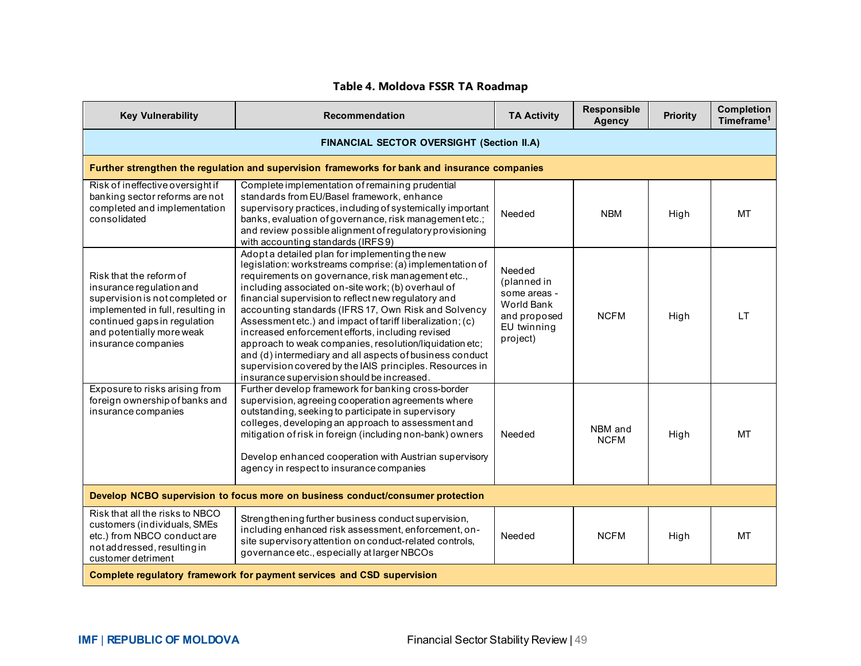#### **Table 4. Moldova FSSR TA Roadmap**

| <b>Key Vulnerability</b>                                                                                                                                                                                        | <b>Recommendation</b>                                                                                                                                                                                                                                                                                                                                                                                                                                                                                                                                                                                                                                                                  | <b>TA Activity</b>                                                                             | Responsible<br><b>Agency</b> | <b>Priority</b> | <b>Completion</b><br>Timeframe <sup>1</sup> |
|-----------------------------------------------------------------------------------------------------------------------------------------------------------------------------------------------------------------|----------------------------------------------------------------------------------------------------------------------------------------------------------------------------------------------------------------------------------------------------------------------------------------------------------------------------------------------------------------------------------------------------------------------------------------------------------------------------------------------------------------------------------------------------------------------------------------------------------------------------------------------------------------------------------------|------------------------------------------------------------------------------------------------|------------------------------|-----------------|---------------------------------------------|
|                                                                                                                                                                                                                 | FINANCIAL SECTOR OVERSIGHT (Section II.A)                                                                                                                                                                                                                                                                                                                                                                                                                                                                                                                                                                                                                                              |                                                                                                |                              |                 |                                             |
|                                                                                                                                                                                                                 | Further strengthen the regulation and supervision frameworks for bank and insurance companies                                                                                                                                                                                                                                                                                                                                                                                                                                                                                                                                                                                          |                                                                                                |                              |                 |                                             |
| Risk of ineffective oversight if<br>banking sector reforms are not<br>completed and implementation<br>consolidated                                                                                              | Complete implementation of remaining prudential<br>standards from EU/Basel framework, enhance<br>supervisory practices, including of systemically important<br>banks, evaluation of governance, risk management etc.;<br>and review possible alignment of regulatory provisioning<br>with accounting standards (IRFS9)                                                                                                                                                                                                                                                                                                                                                                 | Needed                                                                                         | <b>NBM</b>                   | High            | MT                                          |
| Risk that the reform of<br>insurance regulation and<br>supervision is not completed or<br>implemented in full, resulting in<br>continued gaps in regulation<br>and potentially more weak<br>insurance companies | Adopt a detailed plan for implementing the new<br>legislation: workstreams comprise: (a) implementation of<br>requirements on governance, risk management etc.,<br>including associated on-site work; (b) overhaul of<br>financial supervision to reflect new regulatory and<br>accounting standards (IFRS 17, Own Risk and Solvency<br>Assessment etc.) and impact of tariff liberalization; (c)<br>increased enforcement efforts, including revised<br>approach to weak companies, resolution/liquidation etc;<br>and (d) intermediary and all aspects of business conduct<br>supervision covered by the IAIS principles. Resources in<br>insurance supervision should be increased. | Needed<br>(planned in<br>some areas -<br>World Bank<br>and proposed<br>EU twinning<br>project) | <b>NCFM</b>                  | High            | LT.                                         |
| Exposure to risks arising from<br>foreign ownership of banks and<br>insurance companies                                                                                                                         | Further develop framework for banking cross-border<br>supervision, agreeing cooperation agreements where<br>outstanding, seeking to participate in supervisory<br>colleges, developing an approach to assessment and<br>mitigation of risk in foreign (including non-bank) owners<br>Develop enhanced cooperation with Austrian supervisory<br>agency in respect to insurance companies                                                                                                                                                                                                                                                                                                | Needed                                                                                         | NBM and<br><b>NCFM</b>       | High            | MT                                          |
| Develop NCBO supervision to focus more on business conduct/consumer protection                                                                                                                                  |                                                                                                                                                                                                                                                                                                                                                                                                                                                                                                                                                                                                                                                                                        |                                                                                                |                              |                 |                                             |
| Risk that all the risks to NBCO<br>customers (individuals, SMEs<br>etc.) from NBCO conduct are<br>not addressed, resulting in<br>customer detriment                                                             | Strengthening further business conduct supervision,<br>including enhanced risk assessment, enforcement, on-<br>site supervisory attention on conduct-related controls,<br>governance etc., especially at larger NBCOs                                                                                                                                                                                                                                                                                                                                                                                                                                                                  | Needed                                                                                         | <b>NCFM</b>                  | High            | <b>MT</b>                                   |
|                                                                                                                                                                                                                 | Complete regulatory framework for payment services and CSD supervision                                                                                                                                                                                                                                                                                                                                                                                                                                                                                                                                                                                                                 |                                                                                                |                              |                 |                                             |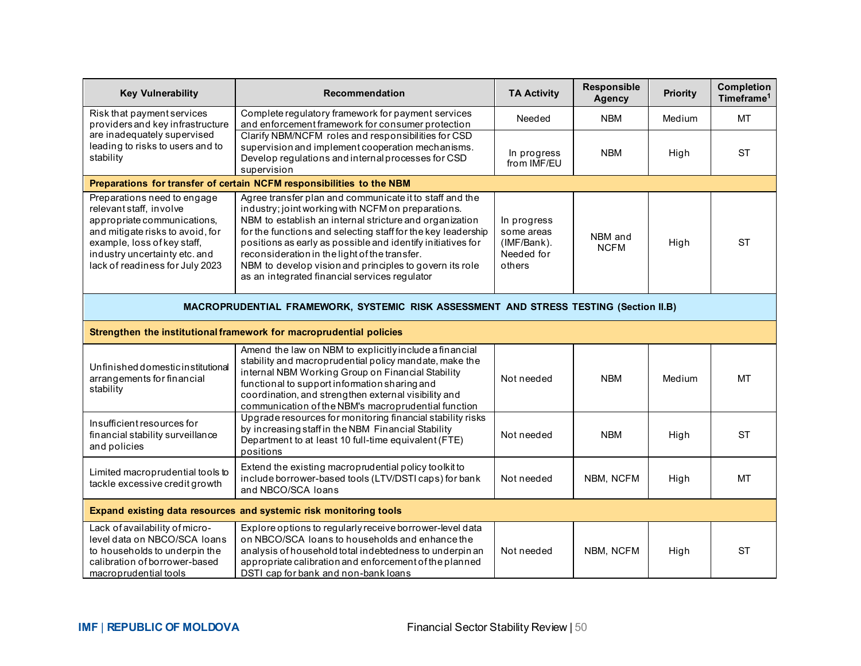| <b>Key Vulnerability</b>                                                                                                                                                                                                     | Recommendation                                                                                                                                                                                                                                                                                                                                                                                                                                                       | <b>TA Activity</b>                                               | Responsible<br><b>Agency</b> | <b>Priority</b> | <b>Completion</b><br>Timeframe <sup>1</sup> |
|------------------------------------------------------------------------------------------------------------------------------------------------------------------------------------------------------------------------------|----------------------------------------------------------------------------------------------------------------------------------------------------------------------------------------------------------------------------------------------------------------------------------------------------------------------------------------------------------------------------------------------------------------------------------------------------------------------|------------------------------------------------------------------|------------------------------|-----------------|---------------------------------------------|
| Risk that payment services<br>providers and key infrastructure                                                                                                                                                               | Complete regulatory framework for payment services<br>and enforcement framework for consumer protection                                                                                                                                                                                                                                                                                                                                                              | Needed                                                           | <b>NBM</b>                   | Medium          | <b>MT</b>                                   |
| are inadequately supervised<br>leading to risks to users and to<br>stability                                                                                                                                                 | Clarify NBM/NCFM roles and responsibilities for CSD<br>supervision and implement cooperation mechanisms.<br>Develop regulations and internal processes for CSD<br>supervision                                                                                                                                                                                                                                                                                        | In progress<br>from IMF/EU                                       | <b>NBM</b>                   | High            | <b>ST</b>                                   |
|                                                                                                                                                                                                                              | Preparations for transfer of certain NCFM responsibilities to the NBM                                                                                                                                                                                                                                                                                                                                                                                                |                                                                  |                              |                 |                                             |
| Preparations need to engage<br>relevant staff, involve<br>appropriate communications,<br>and mitigate risks to avoid, for<br>example, loss of key staff,<br>industry uncertainty etc. and<br>lack of readiness for July 2023 | Agree transfer plan and communicate it to staff and the<br>industry; joint working with NCFM on preparations.<br>NBM to establish an internal stricture and organization<br>for the functions and selecting staff for the key leadership<br>positions as early as possible and identify initiatives for<br>reconsideration in the light of the transfer.<br>NBM to develop vision and principles to govern its role<br>as an integrated financial services regulator | In progress<br>some areas<br>(IMF/Bank).<br>Needed for<br>others | NBM and<br><b>NCFM</b>       | High            | <b>ST</b>                                   |
|                                                                                                                                                                                                                              | MACROPRUDENTIAL FRAMEWORK, SYSTEMIC RISK ASSESSMENT AND STRESS TESTING (Section II.B)                                                                                                                                                                                                                                                                                                                                                                                |                                                                  |                              |                 |                                             |
|                                                                                                                                                                                                                              | Strengthen the institutional framework for macroprudential policies                                                                                                                                                                                                                                                                                                                                                                                                  |                                                                  |                              |                 |                                             |
| Unfinished domestic institutional<br>arrangements for financial<br>stability                                                                                                                                                 | Amend the law on NBM to explicitly include a financial<br>stability and macroprudential policy mandate, make the<br>internal NBM Working Group on Financial Stability<br>functional to support information sharing and<br>coordination, and strengthen external visibility and<br>communication of the NBM's macroprudential function                                                                                                                                | Not needed                                                       | <b>NBM</b>                   | Medium          | МT                                          |
| Insufficient resources for<br>financial stability surveillance<br>and policies                                                                                                                                               | Upgrade resources for monitoring financial stability risks<br>by increasing staff in the NBM Financial Stability<br>Department to at least 10 full-time equivalent (FTE)<br>positions                                                                                                                                                                                                                                                                                | Not needed                                                       | <b>NBM</b>                   | High            | <b>ST</b>                                   |
| Limited macroprudential tools to<br>tackle excessive credit growth                                                                                                                                                           | Extend the existing macroprudential policy toolkit to<br>include borrower-based tools (LTV/DSTI caps) for bank<br>and NBCO/SCA loans                                                                                                                                                                                                                                                                                                                                 | Not needed                                                       | NBM, NCFM                    | High            | MT                                          |
| Expand existing data resources and systemic risk monitoring tools                                                                                                                                                            |                                                                                                                                                                                                                                                                                                                                                                                                                                                                      |                                                                  |                              |                 |                                             |
| Lack of availability of micro-<br>level data on NBCO/SCA loans<br>to households to underpin the<br>calibration of borrower-based<br>macroprudential tools                                                                    | Explore options to regularly receive borrower-level data<br>on NBCO/SCA loans to households and enhance the<br>analysis of household total indebtedness to underpin an<br>appropriate calibration and enforcement of the planned<br>DSTI cap for bank and non-bank loans                                                                                                                                                                                             | Not needed                                                       | NBM, NCFM                    | High            | <b>ST</b>                                   |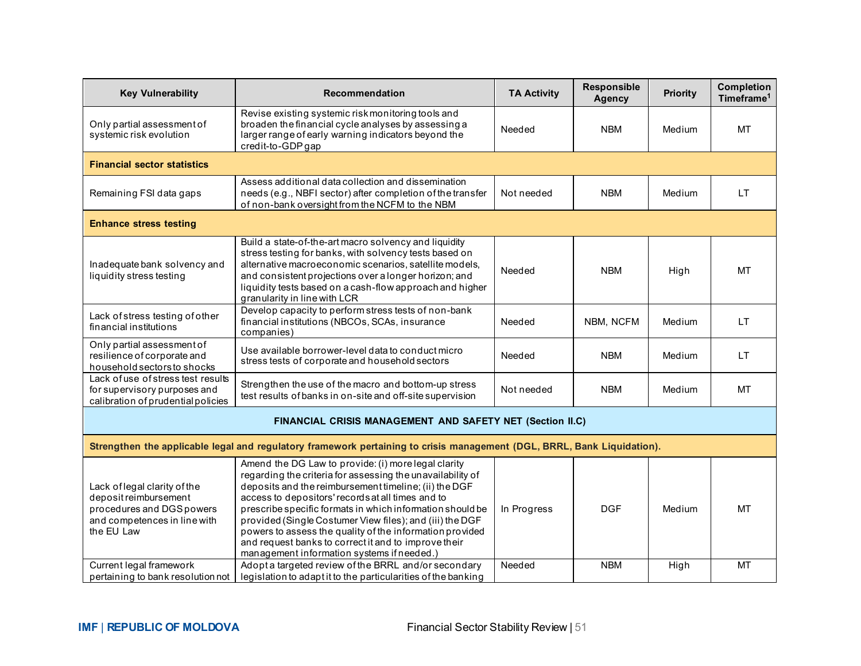| <b>Key Vulnerability</b>                                                                                                         | <b>Recommendation</b>                                                                                                                                                                                                                                                                                                                                                                                                                                                                                                      | <b>TA Activity</b> | <b>Responsible</b><br><b>Agency</b> | <b>Priority</b> | <b>Completion</b><br>Timeframe <sup>1</sup> |
|----------------------------------------------------------------------------------------------------------------------------------|----------------------------------------------------------------------------------------------------------------------------------------------------------------------------------------------------------------------------------------------------------------------------------------------------------------------------------------------------------------------------------------------------------------------------------------------------------------------------------------------------------------------------|--------------------|-------------------------------------|-----------------|---------------------------------------------|
| Only partial assessment of<br>systemic risk evolution                                                                            | Revise existing systemic risk monitoring tools and<br>broaden the financial cycle analyses by assessing a<br>larger range of early warning indicators beyond the<br>credit-to-GDP gap                                                                                                                                                                                                                                                                                                                                      | Needed             | <b>NBM</b>                          | Medium          | MT                                          |
| <b>Financial sector statistics</b>                                                                                               |                                                                                                                                                                                                                                                                                                                                                                                                                                                                                                                            |                    |                                     |                 |                                             |
| Remaining FSI data gaps                                                                                                          | Assess additional data collection and dissemination<br>needs (e.g., NBFI sector) after completion of the transfer<br>of non-bank oversight from the NCFM to the NBM                                                                                                                                                                                                                                                                                                                                                        | Not needed         | <b>NBM</b>                          | Medium          | <b>LT</b>                                   |
| <b>Enhance stress testing</b>                                                                                                    |                                                                                                                                                                                                                                                                                                                                                                                                                                                                                                                            |                    |                                     |                 |                                             |
| Inadequate bank solvency and<br>liquidity stress testing                                                                         | Build a state-of-the-art macro solvency and liquidity<br>stress testing for banks, with solvency tests based on<br>alternative macroeconomic scenarios, satellite models,<br>and consistent projections over a longer horizon; and<br>liquidity tests based on a cash-flow approach and higher<br>granularity in line with LCR                                                                                                                                                                                             | Needed             | <b>NBM</b>                          | High            | МT                                          |
| Lack of stress testing of other<br>financial institutions                                                                        | Develop capacity to perform stress tests of non-bank<br>financial institutions (NBCOs, SCAs, insurance<br>companies)                                                                                                                                                                                                                                                                                                                                                                                                       | Needed             | NBM, NCFM                           | Medium          | <b>LT</b>                                   |
| Only partial assessment of<br>resilience of corporate and<br>household sectors to shocks                                         | Use available borrower-level data to conduct micro<br>stress tests of corporate and household sectors                                                                                                                                                                                                                                                                                                                                                                                                                      | Needed             | <b>NBM</b>                          | Medium          | <b>LT</b>                                   |
| Lack of use of stress test results<br>for supervisory purposes and<br>calibration of prudential policies                         | Strengthen the use of the macro and bottom-up stress<br>test results of banks in on-site and off-site supervision                                                                                                                                                                                                                                                                                                                                                                                                          | Not needed         | <b>NBM</b>                          | Medium          | <b>MT</b>                                   |
|                                                                                                                                  | FINANCIAL CRISIS MANAGEMENT AND SAFETY NET (Section II.C)                                                                                                                                                                                                                                                                                                                                                                                                                                                                  |                    |                                     |                 |                                             |
|                                                                                                                                  | Strengthen the applicable legal and regulatory framework pertaining to crisis management (DGL, BRRL, Bank Liquidation).                                                                                                                                                                                                                                                                                                                                                                                                    |                    |                                     |                 |                                             |
| Lack of legal clarity of the<br>deposit reimbursement<br>procedures and DGS powers<br>and competences in line with<br>the EU Law | Amend the DG Law to provide: (i) more legal clarity<br>regarding the criteria for assessing the unavailability of<br>deposits and the reimbursement timeline; (ii) the DGF<br>access to depositors' records at all times and to<br>prescribe specific formats in which information should be<br>provided (Single Costumer View files); and (iii) the DGF<br>powers to assess the quality of the information provided<br>and request banks to correct it and to improve their<br>management information systems if needed.) | In Progress        | <b>DGF</b>                          | Medium          | <b>MT</b>                                   |
| Current legal framework<br>pertaining to bank resolution not                                                                     | Adopt a targeted review of the BRRL and/or secondary<br>legislation to adapt it to the particularities of the banking                                                                                                                                                                                                                                                                                                                                                                                                      | Needed             | <b>NBM</b>                          | High            | <b>MT</b>                                   |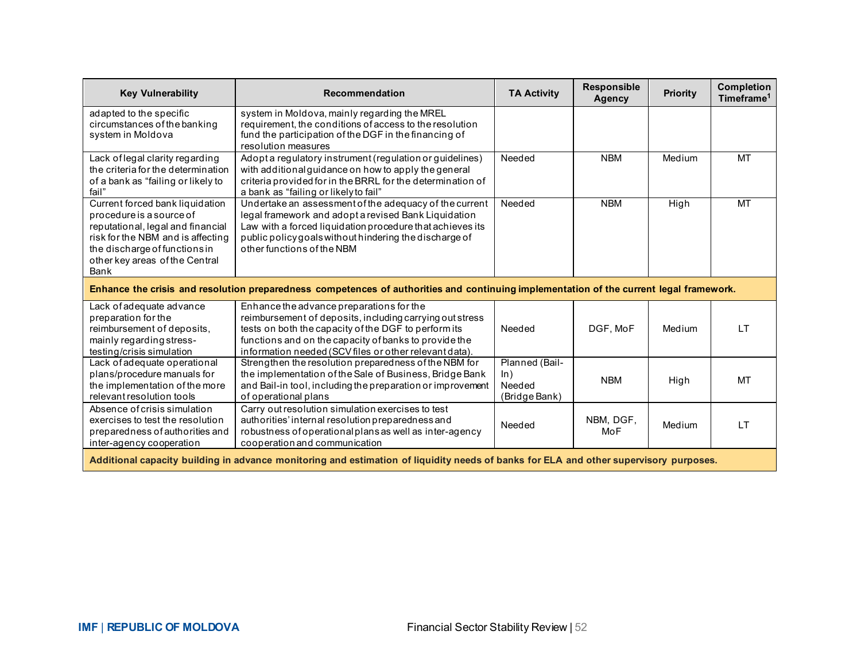| <b>Key Vulnerability</b>                                                                                                                                                                                         | Recommendation                                                                                                                                                                                                                                                                  | <b>TA Activity</b>                               | <b>Responsible</b><br><b>Agency</b> | <b>Priority</b> | <b>Completion</b><br>Timeframe <sup>1</sup> |
|------------------------------------------------------------------------------------------------------------------------------------------------------------------------------------------------------------------|---------------------------------------------------------------------------------------------------------------------------------------------------------------------------------------------------------------------------------------------------------------------------------|--------------------------------------------------|-------------------------------------|-----------------|---------------------------------------------|
| adapted to the specific<br>circumstances of the banking<br>system in Moldova                                                                                                                                     | system in Moldova, mainly regarding the MREL<br>requirement, the conditions of access to the resolution<br>fund the participation of the DGF in the financing of<br>resolution measures                                                                                         |                                                  |                                     |                 |                                             |
| Lack of legal clarity regarding<br>the criteria for the determination<br>of a bank as "failing or likely to<br>fail"                                                                                             | Adopt a regulatory instrument (regulation or guidelines)<br>with additional guidance on how to apply the general<br>criteria provided for in the BRRL for the determination of<br>a bank as "failing or likely to fail"                                                         | Needed                                           | <b>NBM</b>                          | Medium          | MT                                          |
| Current forced bank liquidation<br>procedure is a source of<br>reputational, legal and financial<br>risk for the NBM and is affecting<br>the discharge of functions in<br>other key areas of the Central<br>Bank | Undertake an assessment of the adequacy of the current<br>legal framework and adopt a revised Bank Liquidation<br>Law with a forced liquidation procedure that achieves its<br>public policy goals without hindering the discharge of<br>other functions of the NBM             | Needed                                           | <b>NBM</b>                          | High            | MT                                          |
|                                                                                                                                                                                                                  | Enhance the crisis and resolution preparedness competences of authorities and continuing implementation of the current legal framework.                                                                                                                                         |                                                  |                                     |                 |                                             |
| Lack of adequate advance<br>preparation for the<br>reimbursement of deposits,<br>mainly regarding stress-<br>testing/crisis simulation                                                                           | Enhance the advance preparations for the<br>reimbursement of deposits, including carrying out stress<br>tests on both the capacity of the DGF to perform its<br>functions and on the capacity of banks to provide the<br>information needed (SCV files or other relevant data). | Needed                                           | DGF. MoF                            | Medium          | $\mathsf{I}$ T                              |
| Lack of adequate operational<br>plans/procedure manuals for<br>the implementation of the more<br>relevant resolution tools                                                                                       | Strengthen the resolution preparedness of the NBM for<br>the implementation of the Sale of Business, Bridge Bank<br>and Bail-in tool, including the preparation or improvement<br>of operational plans                                                                          | Planned (Bail-<br>ln)<br>Needed<br>(Bridge Bank) | <b>NBM</b>                          | High            | MT                                          |
| Absence of crisis simulation<br>exercises to test the resolution<br>preparedness of authorities and<br>inter-agency cooperation                                                                                  | Carry out resolution simulation exercises to test<br>authorities' internal resolution preparedness and<br>robustness of operational plans as well as inter-agency<br>cooperation and communication                                                                              | Needed                                           | NBM, DGF,<br>MoF                    | Medium          | LT                                          |
| Additional capacity building in advance monitoring and estimation of liquidity needs of banks for ELA and other supervisory purposes.                                                                            |                                                                                                                                                                                                                                                                                 |                                                  |                                     |                 |                                             |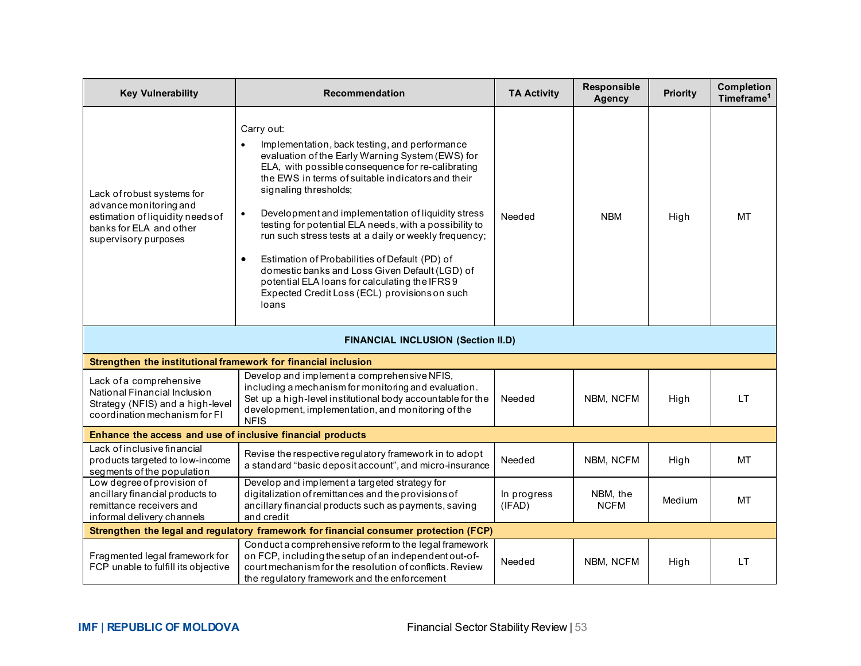| <b>Key Vulnerability</b>                                                                                                                    | Recommendation                                                                                                                                                                                                                                                                                                                                                                                                                                                                                                                                                                                                                                                       | <b>TA Activity</b>    | Responsible<br><b>Agency</b> | <b>Priority</b> | <b>Completion</b><br>Timeframe <sup>1</sup> |
|---------------------------------------------------------------------------------------------------------------------------------------------|----------------------------------------------------------------------------------------------------------------------------------------------------------------------------------------------------------------------------------------------------------------------------------------------------------------------------------------------------------------------------------------------------------------------------------------------------------------------------------------------------------------------------------------------------------------------------------------------------------------------------------------------------------------------|-----------------------|------------------------------|-----------------|---------------------------------------------|
| Lack of robust systems for<br>advance monitoring and<br>estimation of liquidity needs of<br>banks for ELA and other<br>supervisory purposes | Carry out:<br>Implementation, back testing, and performance<br>evaluation of the Early Warning System (EWS) for<br>ELA, with possible consequence for re-calibrating<br>the EWS in terms of suitable indicators and their<br>signaling thresholds;<br>Development and implementation of liquidity stress<br>$\bullet$<br>testing for potential ELA needs, with a possibility to<br>run such stress tests at a daily or weekly frequency;<br>Estimation of Probabilities of Default (PD) of<br>$\bullet$<br>domestic banks and Loss Given Default (LGD) of<br>potential ELA loans for calculating the IFRS9<br>Expected Credit Loss (ECL) provisions on such<br>loans | Needed                | <b>NBM</b>                   | High            | MT                                          |
|                                                                                                                                             | <b>FINANCIAL INCLUSION (Section II.D)</b>                                                                                                                                                                                                                                                                                                                                                                                                                                                                                                                                                                                                                            |                       |                              |                 |                                             |
| Strengthen the institutional framework for financial inclusion                                                                              |                                                                                                                                                                                                                                                                                                                                                                                                                                                                                                                                                                                                                                                                      |                       |                              |                 |                                             |
| Lack of a comprehensive<br>National Financial Inclusion<br>Strategy (NFIS) and a high-level<br>coordination mechanism for FI                | Develop and implement a comprehensive NFIS,<br>including a mechanism for monitoring and evaluation.<br>Set up a high-level institutional body accountable for the<br>development, implementation, and monitoring of the<br><b>NFIS</b>                                                                                                                                                                                                                                                                                                                                                                                                                               | Needed                | NBM, NCFM                    | High            | LT.                                         |
| Enhance the access and use of inclusive financial products                                                                                  |                                                                                                                                                                                                                                                                                                                                                                                                                                                                                                                                                                                                                                                                      |                       |                              |                 |                                             |
| Lack of inclusive financial<br>products targeted to low-income<br>segments of the population                                                | Revise the respective regulatory framework in to adopt<br>a standard "basic deposit account", and micro-insurance                                                                                                                                                                                                                                                                                                                                                                                                                                                                                                                                                    | Needed                | NBM, NCFM                    | High            | MT                                          |
| Low degree of provision of<br>ancillary financial products to<br>remittance receivers and<br>informal delivery channels                     | Develop and implement a targeted strategy for<br>digitalization of remittances and the provisions of<br>ancillary financial products such as payments, saving<br>and credit                                                                                                                                                                                                                                                                                                                                                                                                                                                                                          | In progress<br>(IFAD) | NBM, the<br><b>NCFM</b>      | Medium          | MT                                          |
|                                                                                                                                             | Strengthen the legal and regulatory framework for financial consumer protection (FCP)                                                                                                                                                                                                                                                                                                                                                                                                                                                                                                                                                                                |                       |                              |                 |                                             |
| Fragmented legal framework for<br>FCP unable to fulfill its objective                                                                       | Conduct a comprehensive reform to the legal framework<br>on FCP, including the setup of an independent out-of-<br>court mechanism for the resolution of conflicts. Review<br>the regulatory framework and the enforcement                                                                                                                                                                                                                                                                                                                                                                                                                                            | Needed                | NBM, NCFM                    | High            | LT.                                         |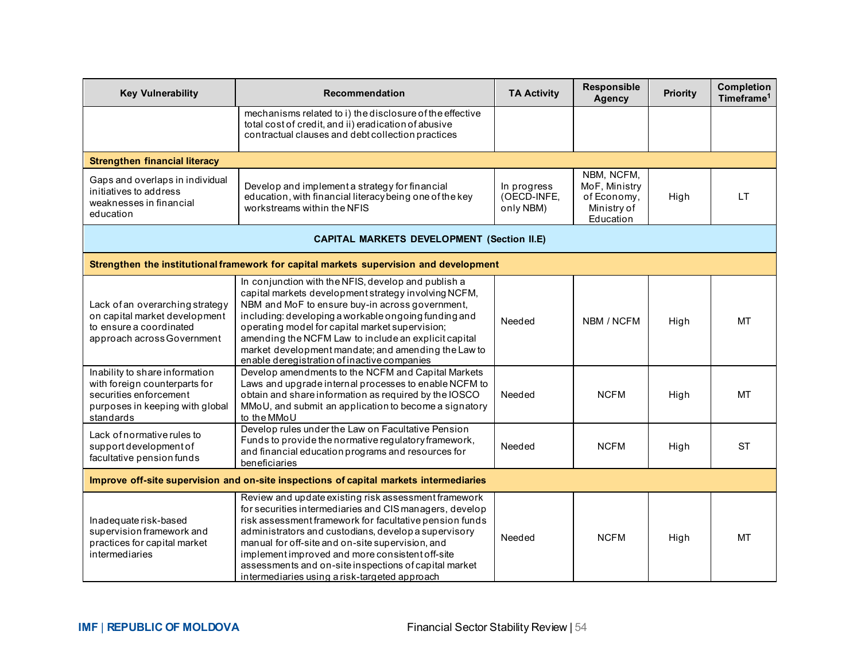| <b>Key Vulnerability</b>                                                                                                                  | Recommendation                                                                                                                                                                                                                                                                                                                                                                                                                                      | <b>TA Activity</b>                      | Responsible<br><b>Agency</b>                                           | <b>Priority</b> | <b>Completion</b><br>Timeframe <sup>1</sup> |
|-------------------------------------------------------------------------------------------------------------------------------------------|-----------------------------------------------------------------------------------------------------------------------------------------------------------------------------------------------------------------------------------------------------------------------------------------------------------------------------------------------------------------------------------------------------------------------------------------------------|-----------------------------------------|------------------------------------------------------------------------|-----------------|---------------------------------------------|
|                                                                                                                                           | mechanisms related to i) the disclosure of the effective<br>total cost of credit, and ii) eradication of abusive<br>contractual clauses and debt collection practices                                                                                                                                                                                                                                                                               |                                         |                                                                        |                 |                                             |
| <b>Strengthen financial literacy</b>                                                                                                      |                                                                                                                                                                                                                                                                                                                                                                                                                                                     |                                         |                                                                        |                 |                                             |
| Gaps and overlaps in individual<br>initiatives to address<br>weaknesses in financial<br>education                                         | Develop and implement a strategy for financial<br>education, with financial literacy being one of the key<br>workstreams within the NFIS                                                                                                                                                                                                                                                                                                            | In progress<br>(OECD-INFE,<br>only NBM) | NBM, NCFM,<br>MoF, Ministry<br>of Economy,<br>Ministry of<br>Education | High            | <b>LT</b>                                   |
|                                                                                                                                           | <b>CAPITAL MARKETS DEVELOPMENT (Section II.E)</b>                                                                                                                                                                                                                                                                                                                                                                                                   |                                         |                                                                        |                 |                                             |
|                                                                                                                                           | Strengthen the institutional framework for capital markets supervision and development                                                                                                                                                                                                                                                                                                                                                              |                                         |                                                                        |                 |                                             |
| Lack of an overarching strategy<br>on capital market development<br>to ensure a coordinated<br>approach across Government                 | In conjunction with the NFIS, develop and publish a<br>capital markets development strategy involving NCFM,<br>NBM and MoF to ensure buy-in across government,<br>including: developing a workable ongoing funding and<br>operating model for capital market supervision;<br>amending the NCFM Law to include an explicit capital<br>market development mandate; and amending the Law to<br>enable deregistration of inactive companies             | Needed                                  | NBM / NCFM                                                             | High            | <b>MT</b>                                   |
| Inability to share information<br>with foreign counterparts for<br>securities enforcement<br>purposes in keeping with global<br>standards | Develop amendments to the NCFM and Capital Markets<br>Laws and upgrade internal processes to enable NCFM to<br>obtain and share information as required by the IOSCO<br>MMoU, and submit an application to become a signatory<br>to the MMoU                                                                                                                                                                                                        | Needed                                  | <b>NCFM</b>                                                            | High            | <b>MT</b>                                   |
| Lack of normative rules to<br>support development of<br>facultative pension funds                                                         | Develop rules under the Law on Facultative Pension<br>Funds to provide the normative regulatory framework,<br>and financial education programs and resources for<br>beneficiaries                                                                                                                                                                                                                                                                   | Needed                                  | <b>NCFM</b>                                                            | High            | <b>ST</b>                                   |
| Improve off-site supervision and on-site inspections of capital markets intermediaries                                                    |                                                                                                                                                                                                                                                                                                                                                                                                                                                     |                                         |                                                                        |                 |                                             |
| Inadequate risk-based<br>supervision framework and<br>practices for capital market<br>intermediaries                                      | Review and update existing risk assessment framework<br>for securities intermediaries and CIS managers, develop<br>risk assessment framework for facultative pension funds<br>administrators and custodians, develop a supervisory<br>manual for off-site and on-site supervision, and<br>implement improved and more consistent off-site<br>assessments and on-site inspections of capital market<br>intermediaries using a risk-targeted approach | Needed                                  | <b>NCFM</b>                                                            | High            | <b>MT</b>                                   |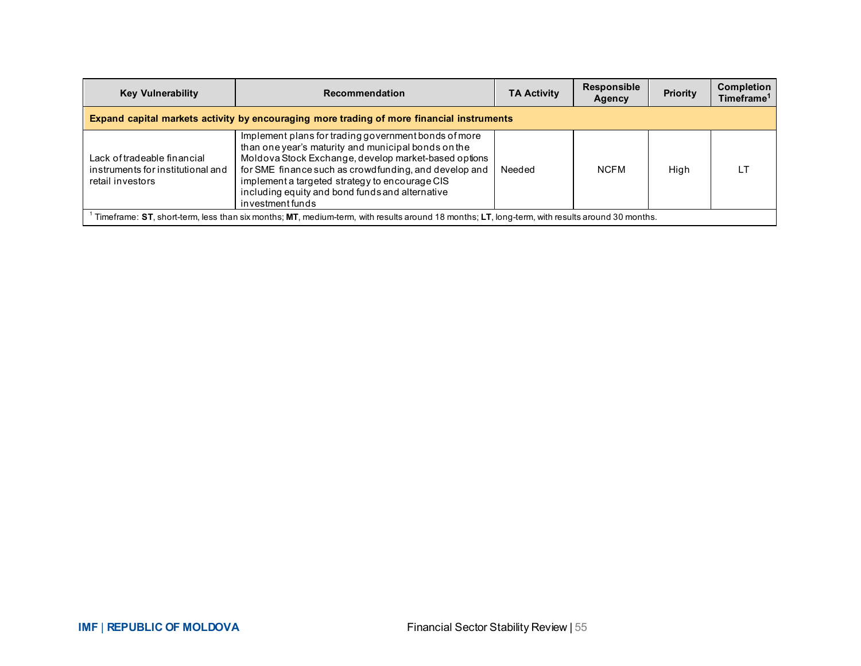| <b>Key Vulnerability</b>                                                                                                                       | Recommendation                                                                                                                                                                                                                                                                                                                                        | <b>TA Activity</b> | <b>Responsible</b><br>Agency | Priority | <b>Completion</b><br>Timeframe <sup>1</sup> |  |  |  |  |  |  |  |
|------------------------------------------------------------------------------------------------------------------------------------------------|-------------------------------------------------------------------------------------------------------------------------------------------------------------------------------------------------------------------------------------------------------------------------------------------------------------------------------------------------------|--------------------|------------------------------|----------|---------------------------------------------|--|--|--|--|--|--|--|
| Expand capital markets activity by encouraging more trading of more financial instruments                                                      |                                                                                                                                                                                                                                                                                                                                                       |                    |                              |          |                                             |  |  |  |  |  |  |  |
| Lack of tradeable financial<br>instruments for institutional and<br>retail investors                                                           | Implement plans for trading government bonds of more<br>than one year's maturity and municipal bonds on the<br>Moldova Stock Exchange, develop market-based options<br>for SME finance such as crowdfunding, and develop and<br>implement a targeted strategy to encourage CIS<br>including equity and bond funds and alternative<br>investment funds | Needed             | <b>NCFM</b>                  | High     |                                             |  |  |  |  |  |  |  |
| Timeframe: ST, short-term, less than six months; MT, medium-term, with results around 18 months; LT, long-term, with results around 30 months. |                                                                                                                                                                                                                                                                                                                                                       |                    |                              |          |                                             |  |  |  |  |  |  |  |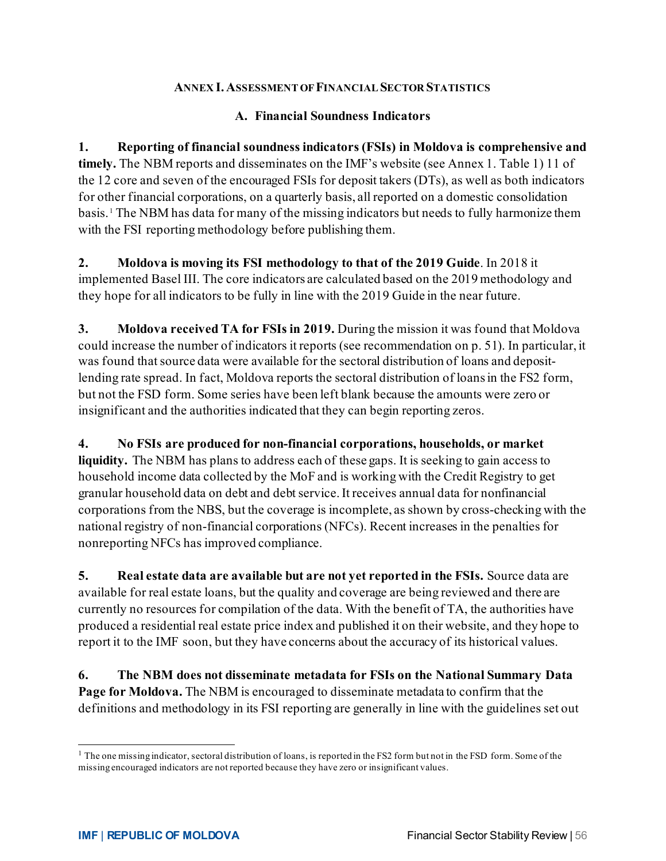#### **ANNEX I. ASSESSMENT OF FINANCIAL SECTOR STATISTICS**

#### **A. Financial Soundness Indicators**

**1. Reporting of financial soundness indicators (FSIs) in Moldova is comprehensive and timely.** The NBM reports and disseminates on the IMF's website (see Annex 1. Table 1) 11 of the 12 core and seven of the encouraged FSIs for deposit takers (DTs), as well as both indicators for other financial corporations, on a quarterly basis, all reported on a domestic consolidation basis. [1](#page-56-0) The NBM has data for many of the missing indicators but needs to fully harmonize them with the FSI reporting methodology before publishing them.

**2. Moldova is moving its FSI methodology to that of the 2019 Guide**. In 2018 it implemented Basel III. The core indicators are calculated based on the 2019 methodology and they hope for all indicators to be fully in line with the 2019 Guide in the near future.

**3. Moldova received TA for FSIs in 2019.** During the mission it was found that Moldova could increase the number of indicators it reports (see recommendation on p. 51). In particular, it was found that source data were available for the sectoral distribution of loans and depositlending rate spread. In fact, Moldova reports the sectoral distribution of loans in the FS2 form, but not the FSD form. Some series have been left blank because the amounts were zero or insignificant and the authorities indicated that they can begin reporting zeros.

**4. No FSIs are produced for non-financial corporations, households, or market liquidity.** The NBM has plans to address each of these gaps. It is seeking to gain access to household income data collected by the MoF and is working with the Credit Registry to get granular household data on debt and debt service. It receives annual data for nonfinancial corporations from the NBS, but the coverage is incomplete, as shown by cross-checking with the national registry of non-financial corporations (NFCs). Recent increases in the penalties for nonreporting NFCs has improved compliance.

**5. Real estate data are available but are not yet reported in the FSIs.** Source data are available for real estate loans, but the quality and coverage are being reviewed and there are currently no resources for compilation of the data. With the benefit of TA, the authorities have produced a residential real estate price index and published it on their website, and they hope to report it to the IMF soon, but they have concerns about the accuracy of its historical values.

**6. The NBM does not disseminate metadata for FSIs on the National Summary Data Page for Moldova.** The NBM is encouraged to disseminate metadata to confirm that the definitions and methodology in its FSI reporting are generally in line with the guidelines set out

<span id="page-56-0"></span> $1$  The one missing indicator, sectoral distribution of loans, is reported in the FS2 form but not in the FSD form. Some of the missing encouraged indicators are not reported because they have zero or insignificant values.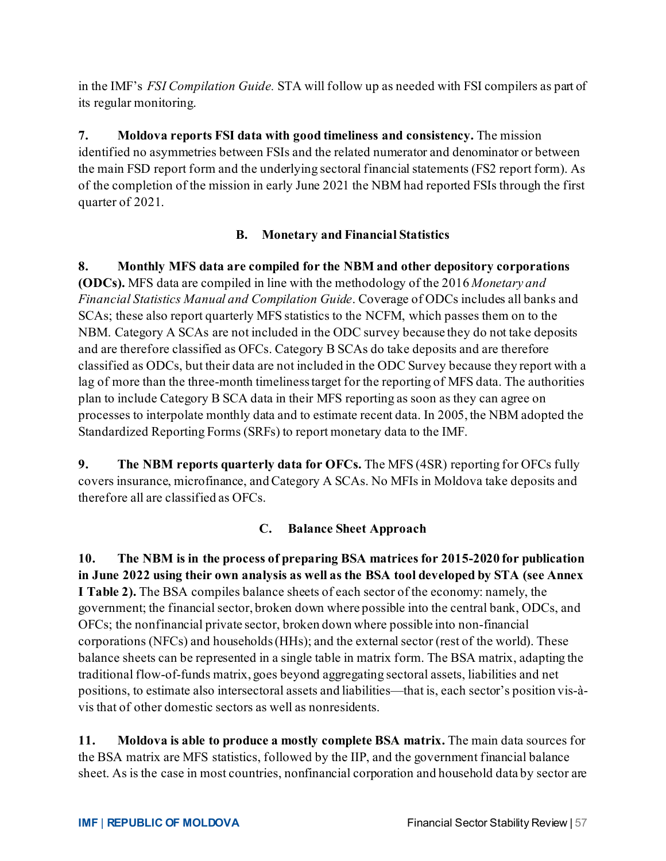in the IMF's *FSI Compilation Guide.* STA will follow up as needed with FSI compilers as part of its regular monitoring.

**7. Moldova reports FSI data with good timeliness and consistency.** The mission identified no asymmetries between FSIs and the related numerator and denominator or between the main FSD report form and the underlying sectoral financial statements (FS2 report form). As of the completion of the mission in early June 2021 the NBM had reported FSIs through the first quarter of 2021.

# **B. Monetary and Financial Statistics**

**8. Monthly MFS data are compiled for the NBM and other depository corporations (ODCs).** MFS data are compiled in line with the methodology of the 2016 *Monetary and Financial Statistics Manual and Compilation Guide*. Coverage of ODCs includes all banks and SCAs; these also report quarterly MFS statistics to the NCFM, which passes them on to the NBM. Category A SCAs are not included in the ODC survey because they do not take deposits and are therefore classified as OFCs. Category B SCAs do take deposits and are therefore classified as ODCs, but their data are not included in the ODC Survey because they report with a lag of more than the three-month timeliness target for the reporting of MFS data. The authorities plan to include Category B SCA data in their MFS reporting as soon as they can agree on processes to interpolate monthly data and to estimate recent data. In 2005, the NBM adopted the Standardized Reporting Forms (SRFs) to report monetary data to the IMF.

**9. The NBM reports quarterly data for OFCs.** The MFS (4SR) reporting for OFCs fully covers insurance, microfinance, and Category A SCAs. No MFIs in Moldova take deposits and therefore all are classified as OFCs.

# **C. Balance Sheet Approach**

**10. The NBM is in the process of preparing BSA matrices for 2015-2020 for publication in June 2022 using their own analysis as well as the BSA tool developed by STA (see Annex I Table 2).** The BSA compiles balance sheets of each sector of the economy: namely, the government; the financial sector, broken down where possible into the central bank, ODCs, and OFCs; the nonfinancial private sector, broken down where possible into non-financial corporations (NFCs) and households (HHs); and the external sector (rest of the world). These balance sheets can be represented in a single table in matrix form. The BSA matrix, adapting the traditional flow-of-funds matrix, goes beyond aggregating sectoral assets, liabilities and net positions, to estimate also intersectoral assets and liabilities—that is, each sector's position vis-àvis that of other domestic sectors as well as nonresidents.

**11. Moldova is able to produce a mostly complete BSA matrix.** The main data sources for the BSA matrix are MFS statistics, followed by the IIP, and the government financial balance sheet. As is the case in most countries, nonfinancial corporation and household data by sector are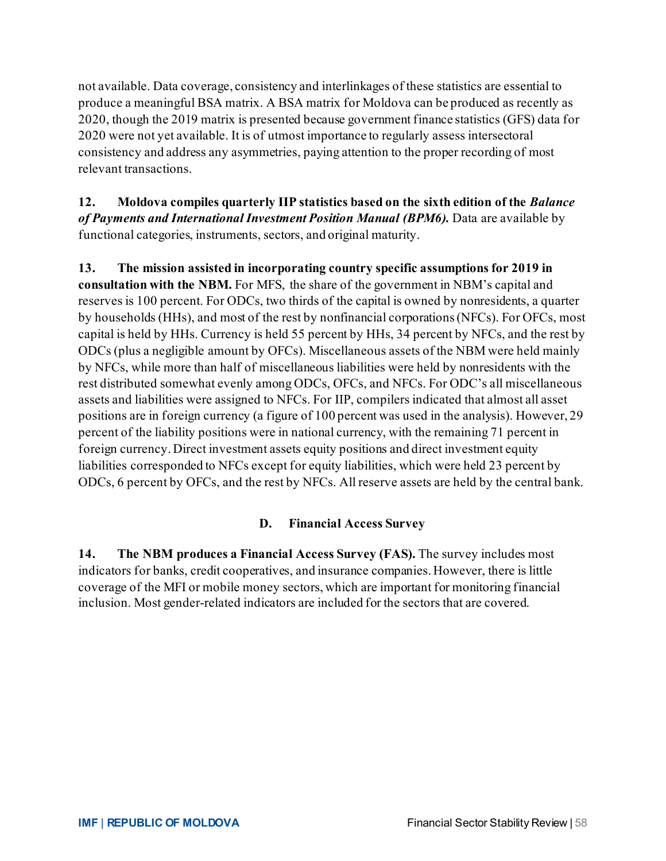not available. Data coverage, consistency and interlinkages of these statistics are essential to produce a meaningful BSA matrix. A BSA matrix for Moldova can be produced as recently as 2020, though the 2019 matrix is presented because government finance statistics (GFS) data for 2020 were not yet available. It is of utmost importance to regularly assess intersectoral consistency and address any asymmetries, paying attention to the proper recording of most relevant transactions.

**12. Moldova compiles quarterly IIP statistics based on the sixth edition of the** *Balance of Payments and International Investment Position Manual (BPM6).* Data are available by functional categories, instruments, sectors, and original maturity.

**13. The mission assisted in incorporating country specific assumptions for 2019 in consultation with the NBM.** For MFS, the share of the government in NBM's capital and reserves is 100 percent. For ODCs, two thirds of the capital is owned by nonresidents, a quarter by households (HHs), and most of the rest by nonfinancial corporations (NFCs). For OFCs, most capital is held by HHs. Currency is held 55 percent by HHs, 34 percent by NFCs, and the rest by ODCs (plus a negligible amount by OFCs). Miscellaneous assets of the NBM were held mainly by NFCs, while more than half of miscellaneous liabilities were held by nonresidents with the rest distributed somewhat evenly among ODCs, OFCs, and NFCs. For ODC's all miscellaneous assets and liabilities were assigned to NFCs. For IIP, compilers indicated that almost all asset positions are in foreign currency (a figure of 100 percent was used in the analysis). However, 29 percent of the liability positions were in national currency, with the remaining 71 percent in foreign currency. Direct investment assets equity positions and direct investment equity liabilities corresponded to NFCs except for equity liabilities, which were held 23 percent by ODCs, 6 percent by OFCs, and the rest by NFCs. All reserve assets are held by the central bank.

#### **D. Financial Access Survey**

**14. The NBM produces a Financial Access Survey (FAS).** The survey includes most indicators for banks, credit cooperatives, and insurance companies. However, there is little coverage of the MFI or mobile money sectors, which are important for monitoring financial inclusion. Most gender-related indicators are included for the sectors that are covered.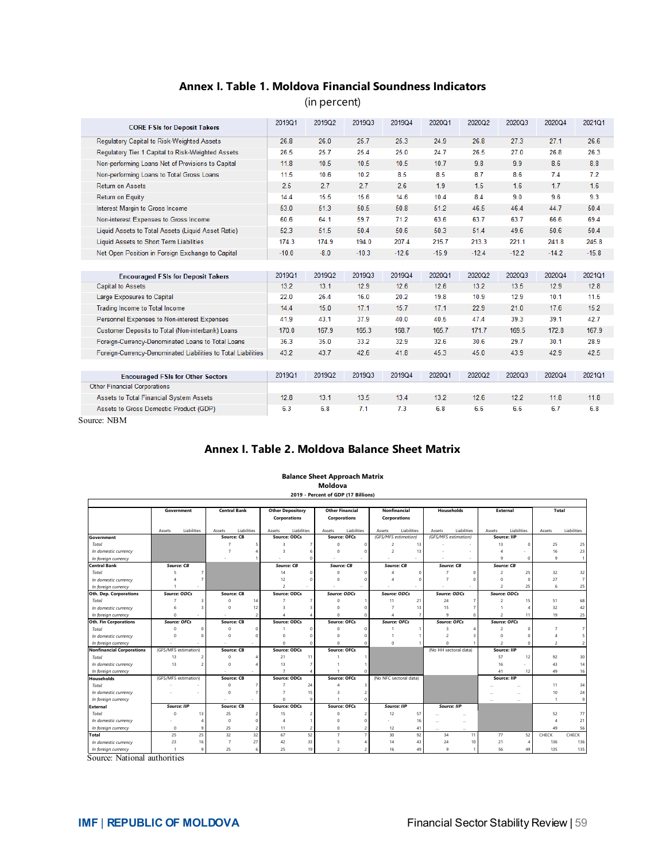#### **Annex I. Table 1. Moldova Financial Soundness Indicators**

(in percent)

| <b>CORE FSIs for Deposit Takers</b>                           | 2019Q1  | 2019Q2 | 2019Q3  | 2019Q4  | 2020Q1  | 2020Q2  | 2020Q3  | 2020Q4  | 2021Q1  |
|---------------------------------------------------------------|---------|--------|---------|---------|---------|---------|---------|---------|---------|
| Regulatory Capital to Risk-Weighted Assets                    | 26.8    | 26.0   | 25.7    | 25.3    | 24.9    | 26.8    | 27.3    | 27.1    | 26.6    |
| Regulatory Tier 1 Capital to Risk-Weighted Assets             | 26.5    | 25.7   | 25.4    | 25.0    | 24.7    | 26.5    | 27.0    | 26.8    | 26.3    |
| Non-performing Loans Net of Provisions to Capital             | 11.8    | 10.5   | 10.5    | 10.5    | 10.7    | 9.8     | 9.9     | 8.6     | 8.8     |
| Non-performing Loans to Total Gross Loans                     | 11.5    | 10.6   | 10.2    | 8.5     | 8.5     | 8.7     | 8.6     | 7.4     | 7.2     |
| <b>Return on Assets</b>                                       | 2.5     | 2.7    | 2.7     | 2.6     | 1.9     | 1.5     | 1.6     | 1.7     | 1.6     |
| Return on Equity                                              | 14.4    | 15.5   | 15.6    | 14.6    | 10.4    | 8.4     | 9.0     | 9.6     | 9.3     |
| Interest Margin to Gross Income                               | 53.0    | 51.3   | 50.5    | 50.8    | 51.2    | 46.5    | 46.4    | 44.7    | 50.4    |
| Non-interest Expenses to Gross Income                         | 60.6    | 64.1   | 59.7    | 71.2    | 63.6    | 63.7    | 63.7    | 66.6    | 69.4    |
| Liquid Assets to Total Assets (Liquid Asset Ratio)            | 52.3    | 51.5   | 50.4    | 50.6    | 50.3    | 51.4    | 49.6    | 50.6    | 50.4    |
| Liquid Assets to Short Term Liabilities                       | 174.3   | 174.9  | 194.0   | 207.4   | 215.7   | 213.3   | 221.1   | 241.8   | 245.8   |
| Net Open Position in Foreign Exchange to Capital              | $-10.0$ | $-8.0$ | $-10.3$ | $-12.6$ | $-15.9$ | $-12.4$ | $-12.2$ | $-14.2$ | $-15.8$ |
|                                                               |         |        |         |         |         |         |         |         |         |
| <b>Encouraged FSIs for Deposit Takers</b>                     | 2019Q1  | 2019Q2 | 2019Q3  | 2019Q4  | 2020Q1  | 2020Q2  | 2020Q3  | 2020Q4  | 2021Q1  |
| <b>Capital to Assets</b>                                      | 13.2    | 13.1   | 12.9    | 12.6    | 12.6    | 13.2    | 13.5    | 12.9    | 12.8    |
| Large Exposures to Capital                                    | 22.0    | 26.4   | 16.0    | 20.2    | 19.8    | 10.9    | 12.9    | 10.1    | 11.5    |
| Trading Income to Total Income                                | 14.4    | 15.0   | 17.1    | 15.7    | 17.1    | 22.9    | 21.0    | 17.6    | 15.2    |
| Personnel Expenses to Non-interest Expenses                   | 41.9    | 43.1   | 37.9    | 40.0    | 40.5    | 47.4    | 39.3    | 39.1    | 42.7    |
| Customer Deposits to Total (Non-interbank) Loans              | 170.0   | 167.9  | 165.3   | 168.7   | 165.7   | 171.7   | 169.5   | 172.8   | 167.9   |
| Foreign-Currency-Denominated Loans to Total Loans             | 36.3    | 35.0   | 33.2    | 32.9    | 32.6    | 30.6    | 29.7    | 30.1    | 28.9    |
|                                                               |         |        |         |         |         |         |         |         |         |
| Foreign-Currency-Denominated Liabilities to Total Liabilities | 43.2    | 43.7   | 42.6    | 41.8    | 45.3    | 45.0    | 43.9    | 42.9    | 42.5    |
|                                                               |         |        |         |         |         |         |         |         |         |
| <b>Encouraged FSIs for Other Sectors</b>                      | 2019Q1  | 2019Q2 | 2019Q3  | 2019Q4  | 2020Q1  | 2020Q2  | 2020Q3  | 2020Q4  | 2021Q1  |
| <b>Other Financial Corporations</b>                           |         |        |         |         |         |         |         |         |         |
| Assets to Total Financial System Assets                       | 12.8    | 13.1   | 13.5    | 13.4    | 13.2    | 12.6    | 12.2    | 11.8    | 11.8    |

Source: NBM

#### **Annex I. Table 2. Moldova Balance Sheet Matrix**

|                                  |                      |                |                     |                |                                                |                        | Moldova                                |                          |                              |             |                       |                      |                     |                          |                |                |
|----------------------------------|----------------------|----------------|---------------------|----------------|------------------------------------------------|------------------------|----------------------------------------|--------------------------|------------------------------|-------------|-----------------------|----------------------|---------------------|--------------------------|----------------|----------------|
|                                  |                      |                |                     |                |                                                |                        | 2019 - Percent of GDP (17 Billions)    |                          |                              |             |                       |                      |                     |                          |                |                |
|                                  | Government           |                | <b>Central Bank</b> |                | <b>Other Depository</b><br><b>Corporations</b> |                        | <b>Other Financial</b><br>Corporations |                          | Nonfinancial<br>Corporations |             | <b>Households</b>     |                      | <b>External</b>     |                          | Total          |                |
|                                  | Assets               | Liabilities    | Assets              | Liabilities    | Assets                                         | Liabilities            | Assets                                 | Liabilities              | Assets                       | Liabilities | Assets                | Liabilities          | Assets              | Liabilities              | Assets         | Liabilities    |
| Government                       |                      |                | <b>Source: CB</b>   |                | <b>Source: ODCs</b>                            |                        | <b>Source: OFCs</b>                    |                          | (GFS/MFS estimation)         |             |                       | (GFS/MFS estimation) | Source: IIP         |                          |                |                |
| Total                            |                      |                | $\overline{7}$      |                | $\overline{3}$                                 | 7                      | $\Omega$                               | $\Omega$                 | $\mathfrak{p}$               | 13          |                       |                      | 13                  | $\circ$                  | 25             | 25             |
| In domestic currency             |                      |                |                     |                | $\overline{a}$                                 | 6                      | $\Omega$                               | $\Omega$                 | $\overline{2}$               | 13          |                       |                      |                     |                          | 16             | 23             |
| In foreign currency              |                      |                |                     |                |                                                | $\Omega$               |                                        |                          |                              |             |                       |                      | 9                   | $^{\circ}$               | $\overline{9}$ | $\mathbf{1}$   |
| <b>Central Bank</b>              | <b>Source: CB</b>    |                |                     |                | <b>Source: CB</b>                              |                        |                                        | Source: CB               |                              | Source: CB  |                       | <b>Source: CB</b>    |                     | <b>Source: CB</b>        |                |                |
| Total                            |                      | $\overline{7}$ |                     |                | 14                                             | 0                      | $\Omega$                               | $\Omega$                 |                              | $\Omega$    |                       | $\Omega$             | $\mathcal{P}$       | 25                       | 32             | 32             |
| In domestic currency             |                      |                |                     |                | 12                                             | Ω                      | $\Omega$                               |                          |                              |             |                       |                      | $\Omega$            | $\Omega$                 | 27             | $\overline{7}$ |
| In foreign currency              |                      |                |                     |                | $\mathfrak{p}$                                 |                        |                                        |                          |                              |             |                       |                      | $\overline{2}$      | 25                       | 6              | 25             |
| Oth. Dep. Corporations           | Source: ODCs         |                | Source: CB          |                | Source: ODCs                                   |                        | Source: ODCs                           |                          | Source: ODCs                 |             |                       | Source: ODCs         | <b>Source: ODCs</b> |                          |                |                |
| Total                            |                      | 3              | $\Omega$            | 14             |                                                | $\overline{7}$         | $\Omega$                               |                          | 11                           | 21          | 24                    | 7                    | $\overline{2}$      | 15                       | 51             | 68             |
| In domestic currency             |                      | $\overline{a}$ | $\Omega$            | 12             |                                                |                        | $\Omega$                               |                          |                              | 13          | 15                    | $\overline{7}$       |                     | 4                        | 32             | 42             |
| In foreign currency              | $\Omega$             |                |                     | $\mathfrak{p}$ |                                                |                        | $\Omega$                               | $\Omega$                 | Δ                            | 7           | 9                     | $\mathbf 0$          | $\overline{c}$      | 11                       | 19             | 25             |
| <b>Oth. Fin Corporations</b>     | <b>Source: OFCs</b>  |                | <b>Source: CB</b>   |                | <b>Source: ODCs</b>                            |                        | <b>Source: OFCs</b>                    |                          | <b>Source: OFCs</b>          |             |                       | <b>Source: OFCs</b>  | <b>Source: OFCs</b> |                          |                |                |
| Total                            | $\Omega$             | $\Omega$       | $\Omega$            | n              |                                                | $^{\circ}$             | $\Omega$                               | $\Omega$                 |                              |             | з                     |                      | $\overline{2}$      | $\Omega$                 |                | $\overline{7}$ |
| In domestic currency             | $\Omega$             | $\Omega$       | $\Omega$            |                | $\Omega$                                       | $\Omega$               | $\Omega$                               |                          |                              |             | $\mathfrak{p}$        | $\overline{3}$       | $\Omega$            | $\Omega$                 |                | 5              |
| In foreign currency              |                      | $\sim$         | $\sim$              |                | $\circ$                                        | $\mathbf 0$            | $\mathbf 0$                            | $\Omega$                 | $\circ$                      |             | $\Omega$              |                      | $\overline{c}$      | $\circ$                  | $\overline{2}$ | $\overline{c}$ |
| <b>Nonfinancial Corporations</b> | (GFS/MFS estimation) |                | <b>Source: CB</b>   |                | <b>Source: ODCs</b>                            |                        | <b>Source: OFCs</b>                    |                          |                              |             | (No HH sectoral data) |                      | Source: IIP         |                          |                |                |
| Total                            | 13                   | $\overline{c}$ | $\Omega$            | Δ              | 21                                             | 11                     |                                        | $\mathbf{1}$             |                              |             |                       |                      | 57                  | 12                       | 92             | 30             |
| In domestic currency             | 13                   | $\overline{c}$ | $\Omega$            |                | 13                                             | $\overline{7}$         |                                        |                          |                              |             |                       |                      | 16                  |                          | 43             | 14             |
| In foreign currency              |                      |                |                     |                | $\overline{7}$                                 | $\boldsymbol{\Lambda}$ |                                        |                          |                              |             |                       |                      | 41                  | 12                       | 49             | 16             |
| Households                       | (GFS/MFS estimation) |                | <b>Source: CB</b>   |                | <b>Source: ODCs</b>                            |                        | Source: OFCs                           |                          | (No NFC sectoral data)       |             |                       |                      | Source: IIP         |                          |                |                |
| Total                            |                      |                | $\Omega$            |                |                                                | 24                     | $\overline{A}$                         | 3                        |                              |             |                       |                      |                     | $\sim$                   | 11             | 34             |
| In domestic currency             |                      |                | $^{\circ}$          |                | 7                                              | 15                     | 3                                      |                          |                              |             |                       |                      |                     | $\sim$                   | 10             | 24             |
| In foreign currency              |                      |                |                     |                | $\Omega$                                       | 9                      |                                        |                          |                              |             |                       |                      | $\sim$              | $\overline{\phantom{a}}$ | $\mathbf{1}$   | $\overline{9}$ |
| External                         | <b>Source: IIP</b>   |                | <b>Source: CB</b>   |                | Source: ODCs                                   |                        | <b>Source: OFCs</b>                    |                          | Source: IIP                  |             | Source: IIP           |                      |                     |                          |                |                |
| Total                            | $\Omega$             | 13             | 25                  | 2              | 15                                             | 2                      | $\Omega$                               | $\overline{c}$           | 12                           | 57          |                       | $\sim$               |                     |                          | 52             | 77             |
| In domestic currency             |                      | 4              | $\mathbf 0$         | $\Omega$       |                                                |                        | $\Omega$                               | $\Omega$                 |                              | 16          |                       |                      |                     |                          | 4              | 21             |
| In foreign currency              | $\circ$              | $\ddot{q}$     | 25                  | $\mathfrak{p}$ | 11                                             | $\overline{c}$         | $\Omega$                               | $\overline{\phantom{a}}$ | 12                           | 41          |                       |                      |                     |                          | 49             | 56             |
| Total                            | 25                   | 25             | 32                  | 32             | 67                                             | 52                     | $\overline{7}$                         | $\overline{7}$           | 30                           | 92          | 34                    | 11                   | 77                  | 52                       | CHECK          | CHECK          |
| In domestic currency             | 23                   | 16             | $\overline{7}$      | 27             | 42                                             | 33                     | 5                                      | $\boldsymbol{\Lambda}$   | 14                           | 43          | 24                    | 10                   | 21                  | $\Delta$                 | 136            | 136            |
| In foreign currency              |                      | $\ddot{q}$     | 25                  | 6              | 25                                             | 19                     | $\mathfrak{p}$                         | $\overline{\phantom{a}}$ | 16                           | 49          | $\ddot{q}$            | $\mathbf{1}$         | 56                  | 49                       | 135            | 135            |

**Balance Sheet Approach Matrix Moldova**

Source: National authorities